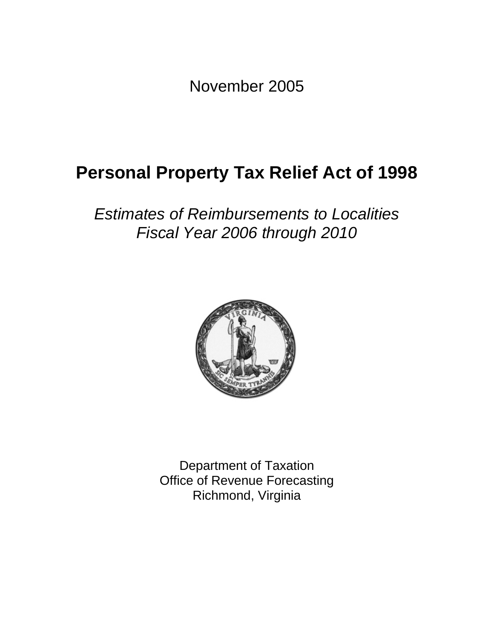November 2005

# **Personal Property Tax Relief Act of 1998**

## *Estimates of Reimbursements to Localities Fiscal Year 2006 through 2010*



Department of Taxation Office of Revenue Forecasting Richmond, Virginia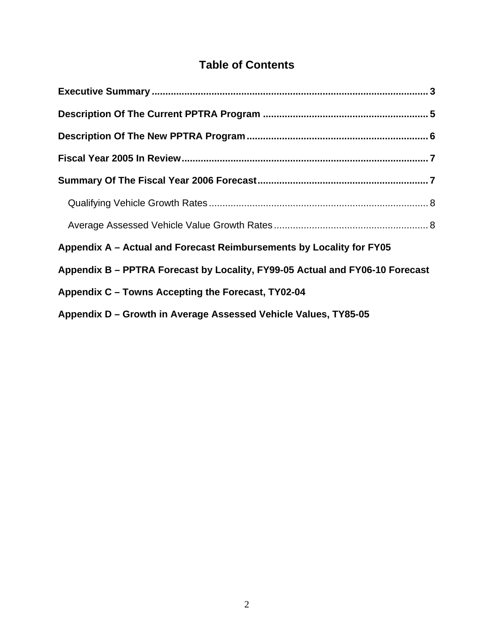## **Table of Contents**

| Appendix A - Actual and Forecast Reimbursements by Locality for FY05         |  |
|------------------------------------------------------------------------------|--|
| Appendix B - PPTRA Forecast by Locality, FY99-05 Actual and FY06-10 Forecast |  |
| Appendix C - Towns Accepting the Forecast, TY02-04                           |  |
| Appendix D - Growth in Average Assessed Vehicle Values, TY85-05              |  |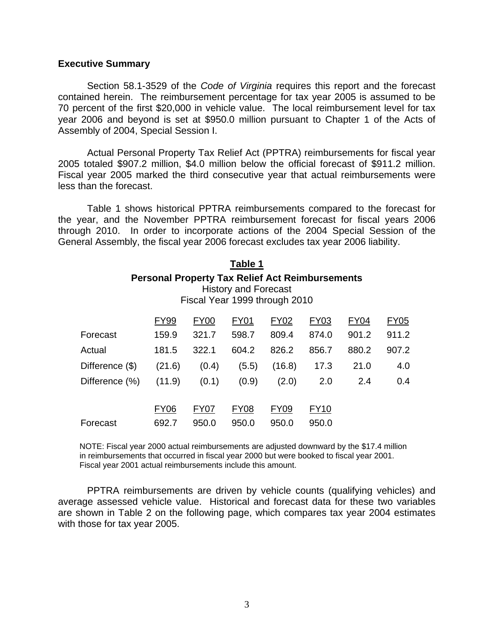#### **Executive Summary**

Section 58.1-3529 of the *Code of Virginia* requires this report and the forecast contained herein. The reimbursement percentage for tax year 2005 is assumed to be 70 percent of the first \$20,000 in vehicle value. The local reimbursement level for tax year 2006 and beyond is set at \$950.0 million pursuant to Chapter 1 of the Acts of Assembly of 2004, Special Session I.

Actual Personal Property Tax Relief Act (PPTRA) reimbursements for fiscal year 2005 totaled \$907.2 million, \$4.0 million below the official forecast of \$911.2 million. Fiscal year 2005 marked the third consecutive year that actual reimbursements were less than the forecast.

 Table 1 shows historical PPTRA reimbursements compared to the forecast for the year, and the November PPTRA reimbursement forecast for fiscal years 2006 through 2010. In order to incorporate actions of the 2004 Special Session of the General Assembly, the fiscal year 2006 forecast excludes tax year 2006 liability.

|                 |                                                        |             | Table 1                     |                               |       |             |             |
|-----------------|--------------------------------------------------------|-------------|-----------------------------|-------------------------------|-------|-------------|-------------|
|                 | <b>Personal Property Tax Relief Act Reimbursements</b> |             | <b>History and Forecast</b> | Fiscal Year 1999 through 2010 |       |             |             |
|                 |                                                        |             |                             |                               |       |             |             |
|                 | <b>FY99</b>                                            | <b>FY00</b> | <b>FY01</b>                 | <b>FY02</b>                   | FY03  | <b>FY04</b> | <b>FY05</b> |
| Forecast        | 159.9                                                  | 321.7       | 598.7                       | 809.4                         | 874.0 | 901.2       | 911.2       |
| Actual          | 181.5                                                  | 322.1       | 604.2                       | 826.2                         | 856.7 | 880.2       | 907.2       |
| Difference (\$) | (21.6)                                                 | (0.4)       | (5.5)                       | (16.8)                        | 17.3  | 21.0        | 4.0         |
| Difference (%)  | (11.9)                                                 | (0.1)       | (0.9)                       | (2.0)                         | 2.0   | 2.4         | 0.4         |
|                 | FY06                                                   | FY07        | FY08                        | FY09                          | FY10  |             |             |

NOTE: Fiscal year 2000 actual reimbursements are adjusted downward by the \$17.4 million in reimbursements that occurred in fiscal year 2000 but were booked to fiscal year 2001. Fiscal year 2001 actual reimbursements include this amount.

Forecast 692.7 950.0 950.0 950.0 950.0

PPTRA reimbursements are driven by vehicle counts (qualifying vehicles) and average assessed vehicle value. Historical and forecast data for these two variables are shown in Table 2 on the following page, which compares tax year 2004 estimates with those for tax year 2005.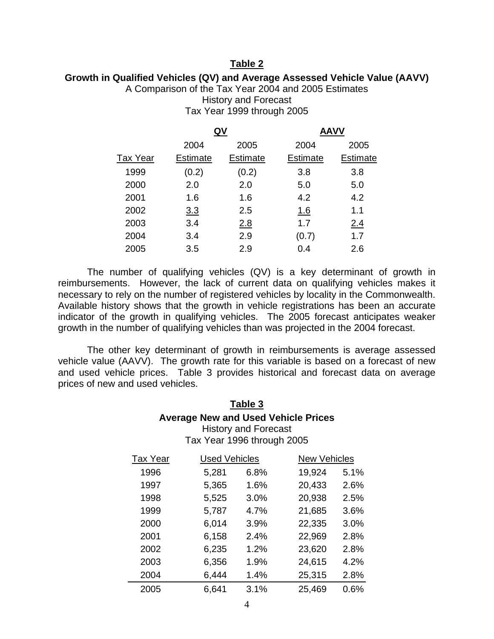### **Table 2**

### **Growth in Qualified Vehicles (QV) and Average Assessed Vehicle Value (AAVV)**

A Comparison of the Tax Year 2004 and 2005 Estimates

History and Forecast Tax Year 1999 through 2005

|                 |            | QV       | <b>AAVV</b>     |          |
|-----------------|------------|----------|-----------------|----------|
|                 | 2004       | 2005     | 2004            | 2005     |
| <b>Tax Year</b> | Estimate   | Estimate | <b>Estimate</b> | Estimate |
| 1999            | (0.2)      | (0.2)    | 3.8             | 3.8      |
| 2000            | 2.0        | 2.0      | 5.0             | 5.0      |
| 2001            | 1.6        | 1.6      | 4.2             | 4.2      |
| 2002            | <u>3.3</u> | 2.5      | <u>1.6</u>      | 1.1      |
| 2003            | 3.4        | 2.8      | 1.7             | 2.4      |
| 2004            | 3.4        | 2.9      | (0.7)           | 1.7      |
| 2005            | 3.5        | 2.9      | 0.4             | 2.6      |

The number of qualifying vehicles (QV) is a key determinant of growth in reimbursements. However, the lack of current data on qualifying vehicles makes it necessary to rely on the number of registered vehicles by locality in the Commonwealth. Available history shows that the growth in vehicle registrations has been an accurate indicator of the growth in qualifying vehicles. The 2005 forecast anticipates weaker growth in the number of qualifying vehicles than was projected in the 2004 forecast.

The other key determinant of growth in reimbursements is average assessed vehicle value (AAVV). The growth rate for this variable is based on a forecast of new and used vehicle prices. Table 3 provides historical and forecast data on average prices of new and used vehicles.

### **Table 3 Average New and Used Vehicle Prices**  History and Forecast Tax Year 1996 through 2005

| <b>Tax Year</b> | <b>Used Vehicles</b> |      | <b>New Vehicles</b> |      |
|-----------------|----------------------|------|---------------------|------|
| 1996            | 5,281                | 6.8% | 19,924              | 5.1% |
| 1997            | 5,365                | 1.6% | 20,433              | 2.6% |
| 1998            | 5,525                | 3.0% | 20,938              | 2.5% |
| 1999            | 5,787                | 4.7% | 21,685              | 3.6% |
| 2000            | 6,014                | 3.9% | 22,335              | 3.0% |
| 2001            | 6,158                | 2.4% | 22,969              | 2.8% |
| 2002            | 6,235                | 1.2% | 23,620              | 2.8% |
| 2003            | 6,356                | 1.9% | 24,615              | 4.2% |
| 2004            | 6,444                | 1.4% | 25,315              | 2.8% |
| 2005            | 6,641                | 3.1% | 25,469              | 0.6% |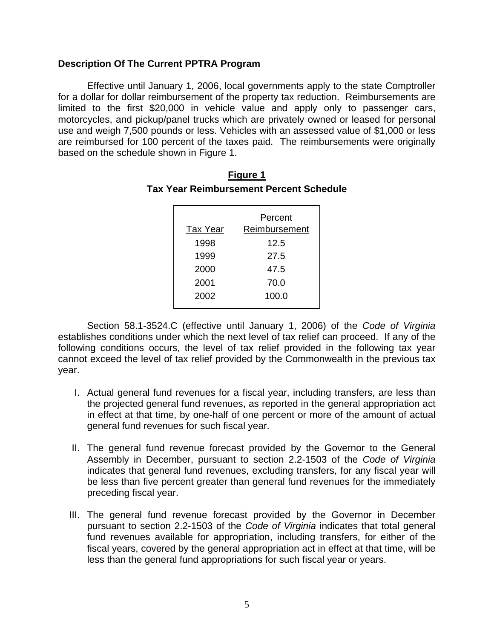### **Description Of The Current PPTRA Program**

Effective until January 1, 2006, local governments apply to the state Comptroller for a dollar for dollar reimbursement of the property tax reduction. Reimbursements are limited to the first \$20,000 in vehicle value and apply only to passenger cars, motorcycles, and pickup/panel trucks which are privately owned or leased for personal use and weigh 7,500 pounds or less. Vehicles with an assessed value of \$1,000 or less are reimbursed for 100 percent of the taxes paid. The reimbursements were originally based on the schedule shown in Figure 1.

|                 | Percent       |
|-----------------|---------------|
| <b>Tax Year</b> | Reimbursement |
| 1998            | 12.5          |
| 1999            | 27.5          |
| 2000            | 47.5          |
| 2001            | 70.0          |
| 2002            | 100.0         |

| <b>Figure 1</b>                                |
|------------------------------------------------|
| <b>Tax Year Reimbursement Percent Schedule</b> |

Section 58.1-3524.C (effective until January 1, 2006) of the *Code of Virginia* establishes conditions under which the next level of tax relief can proceed. If any of the following conditions occurs, the level of tax relief provided in the following tax year cannot exceed the level of tax relief provided by the Commonwealth in the previous tax year.

- I. Actual general fund revenues for a fiscal year, including transfers, are less than the projected general fund revenues, as reported in the general appropriation act in effect at that time, by one-half of one percent or more of the amount of actual general fund revenues for such fiscal year.
- II. The general fund revenue forecast provided by the Governor to the General Assembly in December, pursuant to section 2.2-1503 of the *Code of Virginia* indicates that general fund revenues, excluding transfers, for any fiscal year will be less than five percent greater than general fund revenues for the immediately preceding fiscal year.
- III. The general fund revenue forecast provided by the Governor in December pursuant to section 2.2-1503 of the *Code of Virginia* indicates that total general fund revenues available for appropriation, including transfers, for either of the fiscal years, covered by the general appropriation act in effect at that time, will be less than the general fund appropriations for such fiscal year or years.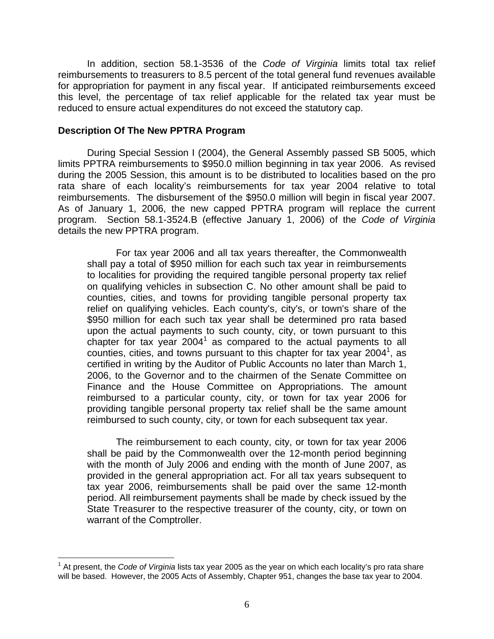In addition, section 58.1-3536 of the *Code of Virginia* limits total tax relief reimbursements to treasurers to 8.5 percent of the total general fund revenues available for appropriation for payment in any fiscal year. If anticipated reimbursements exceed this level, the percentage of tax relief applicable for the related tax year must be reduced to ensure actual expenditures do not exceed the statutory cap.

### **Description Of The New PPTRA Program**

During Special Session I (2004), the General Assembly passed SB 5005, which limits PPTRA reimbursements to \$950.0 million beginning in tax year 2006. As revised during the 2005 Session, this amount is to be distributed to localities based on the pro rata share of each locality's reimbursements for tax year 2004 relative to total reimbursements. The disbursement of the \$950.0 million will begin in fiscal year 2007. As of January 1, 2006, the new capped PPTRA program will replace the current program. Section 58.1-3524.B (effective January 1, 2006) of the *Code of Virginia* details the new PPTRA program.

For tax year 2006 and all tax years thereafter, the Commonwealth shall pay a total of \$950 million for each such tax year in reimbursements to localities for providing the required tangible personal property tax relief on qualifying vehicles in subsection C. No other amount shall be paid to counties, cities, and towns for providing tangible personal property tax relief on qualifying vehicles. Each county's, city's, or town's share of the \$950 million for each such tax year shall be determined pro rata based upon the actual payments to such county, city, or town pursuant to this chapter for tax year  $2004<sup>1</sup>$  as compared to the actual payments to all counties, cities, and towns pursuant to this chapter for tax year 2004<sup>1</sup>, as certified in writing by the Auditor of Public Accounts no later than March 1, 2006, to the Governor and to the chairmen of the Senate Committee on Finance and the House Committee on Appropriations. The amount reimbursed to a particular county, city, or town for tax year 2006 for providing tangible personal property tax relief shall be the same amount reimbursed to such county, city, or town for each subsequent tax year.

The reimbursement to each county, city, or town for tax year 2006 shall be paid by the Commonwealth over the 12-month period beginning with the month of July 2006 and ending with the month of June 2007, as provided in the general appropriation act. For all tax years subsequent to tax year 2006, reimbursements shall be paid over the same 12-month period. All reimbursement payments shall be made by check issued by the State Treasurer to the respective treasurer of the county, city, or town on warrant of the Comptroller.

 $\overline{a}$ <sup>1</sup> At present, the *Code of Virginia* lists tax year 2005 as the year on which each locality's pro rata share will be based. However, the 2005 Acts of Assembly, Chapter 951, changes the base tax year to 2004.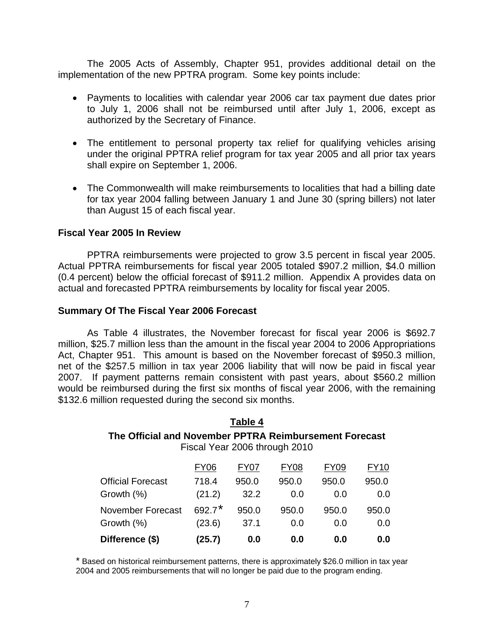The 2005 Acts of Assembly, Chapter 951, provides additional detail on the implementation of the new PPTRA program. Some key points include:

- Payments to localities with calendar year 2006 car tax payment due dates prior to July 1, 2006 shall not be reimbursed until after July 1, 2006, except as authorized by the Secretary of Finance.
- The entitlement to personal property tax relief for qualifying vehicles arising under the original PPTRA relief program for tax year 2005 and all prior tax years shall expire on September 1, 2006.
- The Commonwealth will make reimbursements to localities that had a billing date for tax year 2004 falling between January 1 and June 30 (spring billers) not later than August 15 of each fiscal year.

### **Fiscal Year 2005 In Review**

PPTRA reimbursements were projected to grow 3.5 percent in fiscal year 2005. Actual PPTRA reimbursements for fiscal year 2005 totaled \$907.2 million, \$4.0 million (0.4 percent) below the official forecast of \$911.2 million. Appendix A provides data on actual and forecasted PPTRA reimbursements by locality for fiscal year 2005.

### **Summary Of The Fiscal Year 2006 Forecast**

 As Table 4 illustrates, the November forecast for fiscal year 2006 is \$692.7 million, \$25.7 million less than the amount in the fiscal year 2004 to 2006 Appropriations Act, Chapter 951. This amount is based on the November forecast of \$950.3 million, net of the \$257.5 million in tax year 2006 liability that will now be paid in fiscal year 2007. If payment patterns remain consistent with past years, about \$560.2 million would be reimbursed during the first six months of fiscal year 2006, with the remaining \$132.6 million requested during the second six months.

### **Table 4 The Official and November PPTRA Reimbursement Forecast**  Fiscal Year 2006 through 2010

| Difference (\$)          | (25.7)      | 0.0   | 0.0         | 0.0         | 0.0   |
|--------------------------|-------------|-------|-------------|-------------|-------|
| Growth (%)               | (23.6)      | 37.1  | 0.0         | 0.0         | 0.0   |
| <b>November Forecast</b> | $692.7*$    | 950.0 | 950.0       | 950.0       | 950.0 |
| Growth (%)               | (21.2)      | 32.2  | 0.0         | 0.0         | 0.0   |
| <b>Official Forecast</b> | 718.4       | 950.0 | 950.0       | 950.0       | 950.0 |
|                          | <b>FY06</b> | FY07  | <b>FY08</b> | <b>FY09</b> | FY10  |

\* Based on historical reimbursement patterns, there is approximately \$26.0 million in tax year 2004 and 2005 reimbursements that will no longer be paid due to the program ending.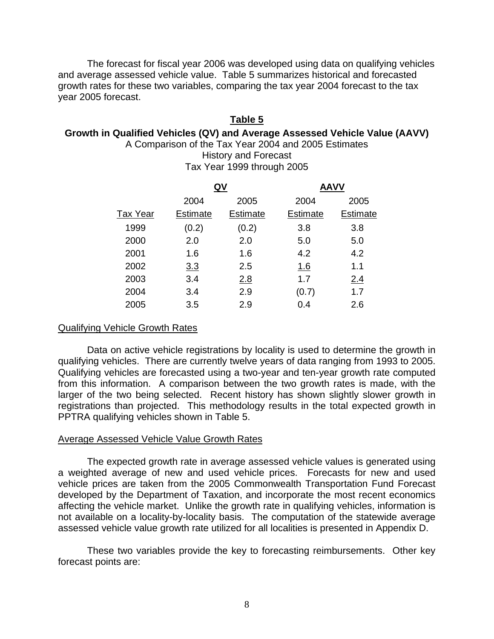The forecast for fiscal year 2006 was developed using data on qualifying vehicles and average assessed vehicle value. Table 5 summarizes historical and forecasted growth rates for these two variables, comparing the tax year 2004 forecast to the tax year 2005 forecast.

### **Table 5**

### **Growth in Qualified Vehicles (QV) and Average Assessed Vehicle Value (AAVV)**

A Comparison of the Tax Year 2004 and 2005 Estimates History and Forecast Tax Year 1999 through 2005

|                 |                 | QV       | <b>AAVV</b> |          |
|-----------------|-----------------|----------|-------------|----------|
|                 | 2004            | 2005     | 2004        | 2005     |
| <b>Tax Year</b> | <b>Estimate</b> | Estimate | Estimate    | Estimate |
| 1999            | (0.2)           | (0.2)    | 3.8         | 3.8      |
| 2000            | 2.0             | 2.0      | 5.0         | 5.0      |
| 2001            | 1.6             | 1.6      | 4.2         | 4.2      |
| 2002            | <u>3.3</u>      | 2.5      | <u>1.6</u>  | 1.1      |
| 2003            | 3.4             | 2.8      | 1.7         | 2.4      |
| 2004            | 3.4             | 2.9      | (0.7)       | 1.7      |
| 2005            | 3.5             | 2.9      | 0.4         | 2.6      |
|                 |                 |          |             |          |

### Qualifying Vehicle Growth Rates

Data on active vehicle registrations by locality is used to determine the growth in qualifying vehicles. There are currently twelve years of data ranging from 1993 to 2005. Qualifying vehicles are forecasted using a two-year and ten-year growth rate computed from this information. A comparison between the two growth rates is made, with the larger of the two being selected. Recent history has shown slightly slower growth in registrations than projected. This methodology results in the total expected growth in PPTRA qualifying vehicles shown in Table 5.

### Average Assessed Vehicle Value Growth Rates

 The expected growth rate in average assessed vehicle values is generated using a weighted average of new and used vehicle prices. Forecasts for new and used vehicle prices are taken from the 2005 Commonwealth Transportation Fund Forecast developed by the Department of Taxation, and incorporate the most recent economics affecting the vehicle market. Unlike the growth rate in qualifying vehicles, information is not available on a locality-by-locality basis. The computation of the statewide average assessed vehicle value growth rate utilized for all localities is presented in Appendix D.

These two variables provide the key to forecasting reimbursements. Other key forecast points are: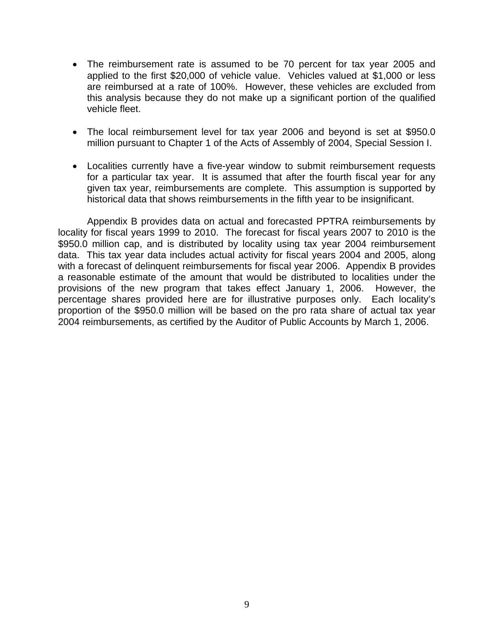- The reimbursement rate is assumed to be 70 percent for tax year 2005 and applied to the first \$20,000 of vehicle value. Vehicles valued at \$1,000 or less are reimbursed at a rate of 100%. However, these vehicles are excluded from this analysis because they do not make up a significant portion of the qualified vehicle fleet.
- The local reimbursement level for tax year 2006 and beyond is set at \$950.0 million pursuant to Chapter 1 of the Acts of Assembly of 2004, Special Session I.
- Localities currently have a five-year window to submit reimbursement requests for a particular tax year. It is assumed that after the fourth fiscal year for any given tax year, reimbursements are complete. This assumption is supported by historical data that shows reimbursements in the fifth year to be insignificant.

Appendix B provides data on actual and forecasted PPTRA reimbursements by locality for fiscal years 1999 to 2010. The forecast for fiscal years 2007 to 2010 is the \$950.0 million cap, and is distributed by locality using tax year 2004 reimbursement data. This tax year data includes actual activity for fiscal years 2004 and 2005, along with a forecast of delinquent reimbursements for fiscal year 2006. Appendix B provides a reasonable estimate of the amount that would be distributed to localities under the provisions of the new program that takes effect January 1, 2006. However, the percentage shares provided here are for illustrative purposes only. Each locality's proportion of the \$950.0 million will be based on the pro rata share of actual tax year 2004 reimbursements, as certified by the Auditor of Public Accounts by March 1, 2006.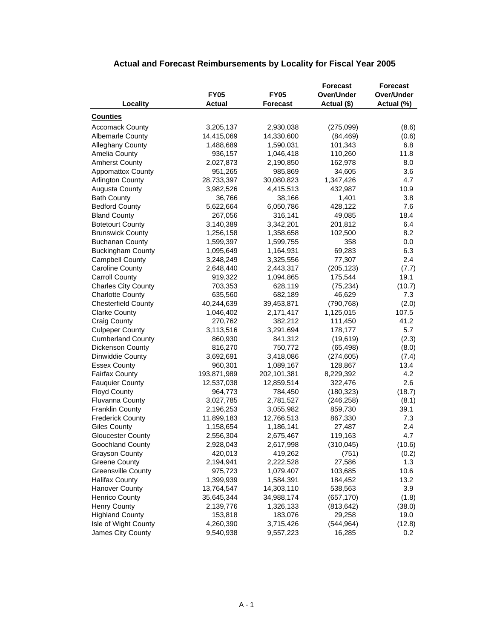|                            |               |                 | <b>Forecast</b> | <b>Forecast</b> |
|----------------------------|---------------|-----------------|-----------------|-----------------|
|                            | <b>FY05</b>   | <b>FY05</b>     | Over/Under      | Over/Under      |
| Locality                   | <b>Actual</b> | <b>Forecast</b> | Actual (\$)     | Actual (%)      |
| <b>Counties</b>            |               |                 |                 |                 |
| <b>Accomack County</b>     | 3,205,137     | 2,930,038       | (275,099)       | (8.6)           |
| <b>Albemarle County</b>    | 14,415,069    | 14,330,600      | (84, 469)       | (0.6)           |
| Alleghany County           | 1,488,689     | 1,590,031       | 101,343         | 6.8             |
| Amelia County              | 936,157       | 1,046,418       | 110,260         | 11.8            |
| <b>Amherst County</b>      | 2,027,873     | 2,190,850       | 162,978         | 8.0             |
| <b>Appomattox County</b>   | 951,265       | 985,869         | 34,605          | 3.6             |
| <b>Arlington County</b>    | 28,733,397    | 30,080,823      | 1,347,426       | 4.7             |
| <b>Augusta County</b>      | 3,982,526     | 4,415,513       | 432,987         | 10.9            |
| <b>Bath County</b>         | 36,766        | 38,166          | 1,401           | 3.8             |
| <b>Bedford County</b>      | 5,622,664     | 6,050,786       | 428,122         | 7.6             |
| <b>Bland County</b>        | 267,056       | 316,141         | 49,085          | 18.4            |
| <b>Botetourt County</b>    | 3,140,389     | 3,342,201       | 201,812         | 6.4             |
| <b>Brunswick County</b>    | 1,256,158     | 1,358,658       | 102,500         | 8.2             |
| <b>Buchanan County</b>     | 1,599,397     | 1,599,755       | 358             | 0.0             |
| <b>Buckingham County</b>   | 1,095,649     | 1,164,931       | 69,283          | 6.3             |
| <b>Campbell County</b>     | 3,248,249     | 3,325,556       | 77,307          | 2.4             |
| <b>Caroline County</b>     | 2,648,440     | 2,443,317       | (205, 123)      | (7.7)           |
| <b>Carroll County</b>      | 919,322       | 1,094,865       | 175,544         | 19.1            |
| <b>Charles City County</b> | 703,353       | 628,119         | (75, 234)       | (10.7)          |
| <b>Charlotte County</b>    | 635,560       | 682,189         | 46,629          | 7.3             |
| <b>Chesterfield County</b> | 40,244,639    | 39,453,871      | (790, 768)      | (2.0)           |
| <b>Clarke County</b>       | 1,046,402     | 2,171,417       | 1,125,015       | 107.5           |
| <b>Craig County</b>        | 270,762       | 382,212         | 111,450         | 41.2            |
| <b>Culpeper County</b>     | 3,113,516     | 3,291,694       | 178,177         | 5.7             |
| <b>Cumberland County</b>   | 860,930       | 841,312         | (19, 619)       | (2.3)           |
| <b>Dickenson County</b>    | 816,270       | 750,772         | (65, 498)       | (8.0)           |
| Dinwiddie County           | 3,692,691     | 3,418,086       | (274, 605)      | (7.4)           |
| <b>Essex County</b>        | 960,301       | 1,089,167       | 128,867         | 13.4            |
| <b>Fairfax County</b>      | 193,871,989   | 202,101,381     | 8,229,392       | 4.2             |
| <b>Fauquier County</b>     | 12,537,038    | 12,859,514      | 322,476         | 2.6             |
| <b>Floyd County</b>        | 964,773       | 784,450         | (180, 323)      | (18.7)          |
| Fluvanna County            | 3,027,785     | 2,781,527       | (246, 258)      | (8.1)           |
| <b>Franklin County</b>     | 2,196,253     | 3,055,982       | 859,730         | 39.1            |
| <b>Frederick County</b>    | 11,899,183    | 12,766,513      | 867,330         | 7.3             |
| <b>Giles County</b>        | 1,158,654     | 1,186,141       | 27,487          | 2.4             |
| <b>Gloucester County</b>   | 2,556,304     | 2,675,467       | 119,163         | 4.7             |
| Goochland County           | 2,928,043     | 2,617,998       | (310, 045)      | (10.6)          |
| <b>Grayson County</b>      | 420,013       | 419,262         | (751)           | (0.2)           |
| <b>Greene County</b>       | 2,194,941     | 2,222,528       | 27,586          | 1.3             |
| <b>Greensville County</b>  | 975,723       | 1,079,407       | 103,685         | 10.6            |
| <b>Halifax County</b>      | 1,399,939     | 1,584,391       | 184,452         | 13.2            |
| <b>Hanover County</b>      | 13,764,547    | 14,303,110      | 538,563         | 3.9             |
| <b>Henrico County</b>      | 35,645,344    | 34,988,174      | (657, 170)      | (1.8)           |
| Henry County               | 2,139,776     | 1,326,133       | (813, 642)      | (38.0)          |
| <b>Highland County</b>     | 153,818       | 183,076         | 29,258          | 19.0            |
| Isle of Wight County       | 4,260,390     | 3,715,426       | (544, 964)      | (12.8)          |
| James City County          | 9,540,938     | 9,557,223       | 16,285          | 0.2             |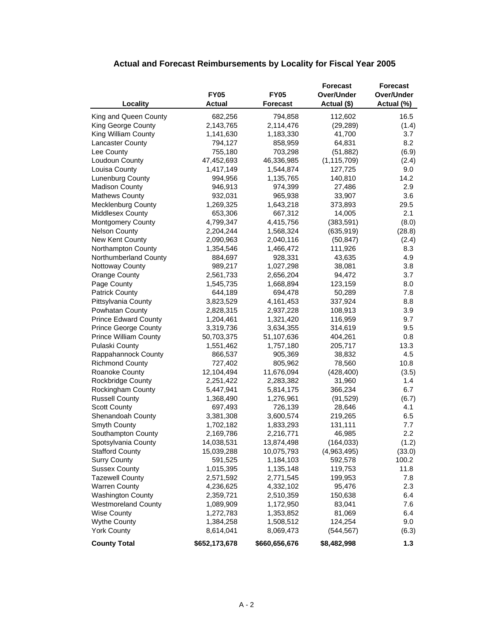|                                       |               |                 | <b>Forecast</b> | <b>Forecast</b>   |
|---------------------------------------|---------------|-----------------|-----------------|-------------------|
|                                       | <b>FY05</b>   | <b>FY05</b>     | Over/Under      | <b>Over/Under</b> |
| Locality                              | <b>Actual</b> | <b>Forecast</b> | Actual (\$)     | Actual (%)        |
| King and Queen County                 | 682,256       | 794,858         | 112,602         | 16.5              |
| King George County                    | 2,143,765     | 2,114,476       | (29, 289)       | (1.4)             |
| King William County                   | 1,141,630     | 1,183,330       | 41,700          | 3.7               |
| <b>Lancaster County</b>               | 794,127       | 858,959         | 64,831          | 8.2               |
| Lee County                            | 755,180       | 703,298         | (51, 882)       | (6.9)             |
| Loudoun County                        | 47,452,693    | 46,336,985      | (1, 115, 709)   | (2.4)             |
| Louisa County                         | 1,417,149     | 1,544,874       | 127,725         | 9.0               |
| Lunenburg County                      | 994,956       | 1,135,765       | 140,810         | 14.2              |
| Madison County                        | 946,913       | 974,399         | 27,486          | 2.9               |
| <b>Mathews County</b>                 | 932,031       | 965,938         | 33,907          | 3.6               |
| <b>Mecklenburg County</b>             | 1,269,325     | 1,643,218       | 373,893         | 29.5              |
| <b>Middlesex County</b>               | 653,306       | 667,312         | 14,005          | 2.1               |
| Montgomery County                     | 4,799,347     | 4,415,756       | (383, 591)      | (8.0)             |
| <b>Nelson County</b>                  | 2,204,244     | 1,568,324       | (635, 919)      |                   |
|                                       |               |                 |                 | (28.8)            |
| New Kent County<br>Northampton County | 2,090,963     | 2,040,116       | (50, 847)       | (2.4)             |
|                                       | 1,354,546     | 1,466,472       | 111,926         | 8.3<br>4.9        |
| Northumberland County                 | 884,697       | 928,331         | 43,635          |                   |
| <b>Nottoway County</b>                | 989,217       | 1,027,298       | 38,081          | 3.8               |
| <b>Orange County</b>                  | 2,561,733     | 2,656,204       | 94,472          | 3.7               |
| Page County                           | 1,545,735     | 1,668,894       | 123,159         | 8.0               |
| <b>Patrick County</b>                 | 644,189       | 694,478         | 50,289          | 7.8               |
| Pittsylvania County                   | 3,823,529     | 4,161,453       | 337,924         | 8.8               |
| Powhatan County                       | 2,828,315     | 2,937,228       | 108,913         | 3.9               |
| <b>Prince Edward County</b>           | 1,204,461     | 1,321,420       | 116,959         | 9.7               |
| <b>Prince George County</b>           | 3,319,736     | 3,634,355       | 314,619         | 9.5               |
| <b>Prince William County</b>          | 50,703,375    | 51,107,636      | 404,261         | 0.8               |
| Pulaski County                        | 1,551,462     | 1,757,180       | 205,717         | 13.3              |
| Rappahannock County                   | 866,537       | 905,369         | 38,832          | 4.5               |
| <b>Richmond County</b>                | 727,402       | 805,962         | 78,560          | 10.8              |
| Roanoke County                        | 12,104,494    | 11,676,094      | (428, 400)      | (3.5)             |
| Rockbridge County                     | 2,251,422     | 2,283,382       | 31,960          | 1.4               |
| Rockingham County                     | 5,447,941     | 5,814,175       | 366,234         | 6.7               |
| <b>Russell County</b>                 | 1,368,490     | 1,276,961       | (91, 529)       | (6.7)             |
| <b>Scott County</b>                   | 697,493       | 726,139         | 28,646          | 4.1               |
| Shenandoah County                     | 3,381,308     | 3,600,574       | 219,265         | 6.5               |
| Smyth County                          | 1,702,182     | 1,833,293       | 131,111         | 7.7               |
| Southampton County                    | 2,169,786     | 2,216,771       | 46,985          | 2.2               |
| Spotsylvania County                   | 14,038,531    | 13,874,498      | (164, 033)      | (1.2)             |
| <b>Stafford County</b>                | 15,039,288    | 10,075,793      | (4,963,495)     | (33.0)            |
| <b>Surry County</b>                   | 591,525       | 1,184,103       | 592,578         | 100.2             |
| <b>Sussex County</b>                  | 1,015,395     | 1,135,148       | 119,753         | 11.8              |
| <b>Tazewell County</b>                | 2,571,592     | 2,771,545       | 199,953         | 7.8               |
| <b>Warren County</b>                  | 4,236,625     | 4,332,102       | 95,476          | 2.3               |
| <b>Washington County</b>              | 2,359,721     | 2,510,359       | 150,638         | 6.4               |
| <b>Westmoreland County</b>            | 1,089,909     | 1,172,950       | 83,041          | 7.6               |
| <b>Wise County</b>                    | 1,272,783     | 1,353,852       | 81,069          | 6.4               |
| <b>Wythe County</b>                   | 1,384,258     | 1,508,512       | 124,254         | 9.0               |
| <b>York County</b>                    | 8,614,041     | 8,069,473       | (544, 567)      | (6.3)             |
| <b>County Total</b>                   | \$652,173,678 | \$660,656,676   | \$8,482,998     | 1.3               |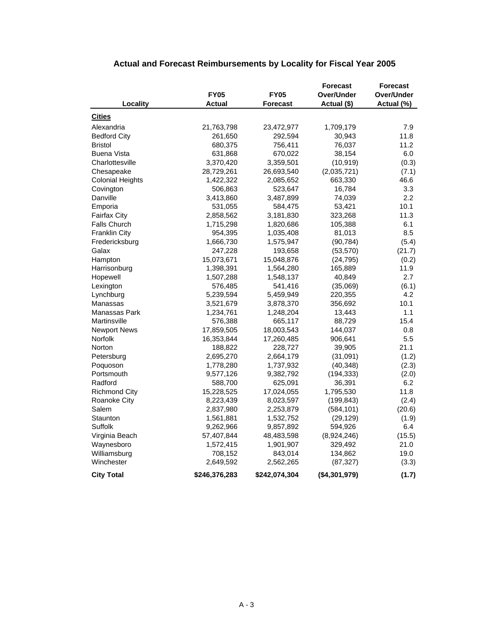#### **Forecast Forecast FY05 FY05 Over/Under Over/Under Locality Actual Forecast Actual (\$) Actual (%) Cities** Alexandria 21,763,798 23,472,977 1,709,179 7.9 Bedford City **261,650** 292,594 30,943 11.8 Bristol 680,375 756,411 76,037 11.2 Buena Vista 631,868 670,022 38,154 6.0 Charlottesville 3,370,420 3,359,501 (10,919) (0.3) Chesapeake 28,729,261 26,693,540 (2,035,721) (7.1) Colonial Heights 1,422,322 2,085,652 663,330 46.6 Covington 506,863 523,647 16,784 3.3 Danville 3,413,860 3,487,899 74,039 2.2 Emporia 531,055 584,475 53,421 10.1 Fairfax City 2,858,562 3,181,830 323,268 11.3 Falls Church 1,715,298 1,820,686 105,388 6.1 Franklin City **854,395** 1,035,408 81,013 8.5 Fredericksburg 1,666,730 1,575,947 (90,784) (5.4) Galax 247,228 193,658 (53,570) (21.7) Hampton 15,073,671 15,048,876 (24,795) (0.2) Harrisonburg 1,398,391 1,564,280 165,889 11.9 Hopewell 1,507,288 1,548,137 40,849 2.7 Lexington 576,485 541,416 (35,069) (6.1) Lynchburg 5,239,594 5,459,949 220,355 4.2 Manassas 3,521,679 3,878,370 356,692 10.1 Manassas Park 1,234,761 1,248,204 13,443 1.1 Martinsville 576,388 665,117 88,729 15.4 Newport News **17,859,505** 18,003,543 144,037 0.8 Norfolk 16,353,844 17,260,485 906,641 5.5 Norton 188,822 228,727 39,905 21.1 Petersburg 2,695,270 2,664,179 (31,091) (1.2) Poquoson 1,778,280 1,737,932 (40,348) (2.3) Portsmouth 9,577,126 9,382,792 (194,333) (2.0) Radford 588,700 625,091 36,391 6.2 Richmond City 15,228,525 17,024,055 1,795,530 11.8 Roanoke City 8,223,439 8,023,597 (199,843) (2.4) Salem 2,837,980 2,253,879 (584,101) (20.6) Staunton 1,561,881 1,532,752 (29,129) (1.9) Suffolk 9,262,966 9,857,892 594,926 6.4 Virginia Beach 57,407,844 48,483,598 (8,924,246) (15.5) Waynesboro 1,572,415 1,901,907 329,492 21.0 Williamsburg 19.0 1208,152 843,014 134,862 19.0 Winchester 2,649,592 2,562,265 (87,327) (3.3) **City Total \$246,376,283 \$242,074,304 (\$4,301,979) (1.7)**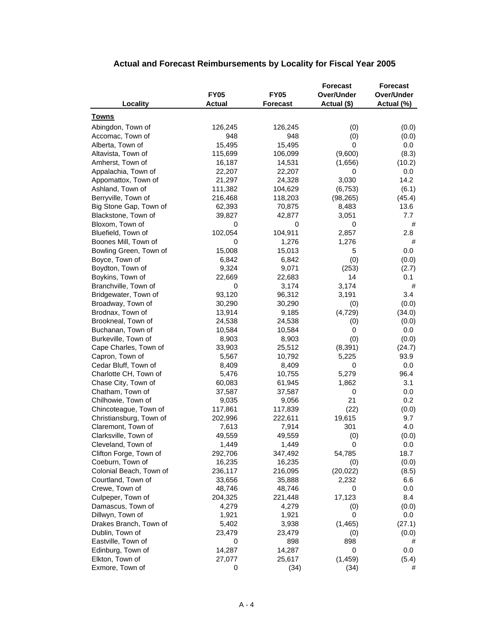|                         |               |                 | <b>Forecast</b> | <b>Forecast</b>   |
|-------------------------|---------------|-----------------|-----------------|-------------------|
|                         | <b>FY05</b>   | <b>FY05</b>     | Over/Under      | <b>Over/Under</b> |
| Locality                | <b>Actual</b> | <b>Forecast</b> | Actual (\$)     | Actual (%)        |
| Towns                   |               |                 |                 |                   |
|                         | 126,245       | 126,245         |                 |                   |
| Abingdon, Town of       | 948           | 948             | (0)             | (0.0)             |
| Accomac, Town of        |               |                 | (0)             | (0.0)             |
| Alberta, Town of        | 15,495        | 15,495          | 0               | 0.0               |
| Altavista, Town of      | 115,699       | 106,099         | (9,600)         | (8.3)             |
| Amherst, Town of        | 16,187        | 14,531          | (1,656)         | (10.2)            |
| Appalachia, Town of     | 22,207        | 22,207          | 0               | 0.0               |
| Appomattox, Town of     | 21,297        | 24,328          | 3,030           | 14.2              |
| Ashland, Town of        | 111,382       | 104,629         | (6, 753)        | (6.1)             |
| Berryville, Town of     | 216,468       | 118,203         | (98, 265)       | (45.4)            |
| Big Stone Gap, Town of  | 62,393        | 70,875          | 8,483           | 13.6              |
| Blackstone, Town of     | 39,827        | 42,877          | 3,051           | 7.7               |
| Bloxom, Town of         | 0             | 0               | 0               | #                 |
| Bluefield, Town of      | 102,054       | 104,911         | 2,857           | 2.8               |
| Boones Mill, Town of    | 0             | 1,276           | 1,276           | #                 |
| Bowling Green, Town of  | 15,008        | 15,013          | 5               | 0.0               |
| Boyce, Town of          | 6,842         | 6,842           | (0)             | (0.0)             |
| Boydton, Town of        | 9,324         | 9,071           | (253)           | (2.7)             |
| Boykins, Town of        | 22,669        | 22,683          | 14              | 0.1               |
| Branchville, Town of    | 0             | 3,174           | 3,174           | #                 |
| Bridgewater, Town of    | 93,120        | 96,312          | 3,191           | 3.4               |
| Broadway, Town of       | 30,290        | 30,290          |                 |                   |
|                         |               |                 | (0)             | (0.0)             |
| Brodnax, Town of        | 13,914        | 9,185           | (4, 729)        | (34.0)            |
| Brookneal, Town of      | 24,538        | 24,538          | (0)             | (0.0)             |
| Buchanan, Town of       | 10,584        | 10,584          | 0               | 0.0               |
| Burkeville, Town of     | 8,903         | 8,903           | (0)             | (0.0)             |
| Cape Charles, Town of   | 33,903        | 25,512          | (8,391)         | (24.7)            |
| Capron, Town of         | 5,567         | 10,792          | 5,225           | 93.9              |
| Cedar Bluff, Town of    | 8,409         | 8,409           | 0               | 0.0               |
| Charlotte CH, Town of   | 5,476         | 10,755          | 5,279           | 96.4              |
| Chase City, Town of     | 60,083        | 61,945          | 1,862           | 3.1               |
| Chatham, Town of        | 37,587        | 37,587          | 0               | 0.0               |
| Chilhowie, Town of      | 9,035         | 9,056           | 21              | 0.2               |
| Chincoteague, Town of   | 117,861       | 117,839         | (22)            | (0.0)             |
| Christiansburg, Town of | 202,996       | 222,611         | 19,615          | 9.7               |
| Claremont, Town of      | 7,613         | 7,914           | 301             | 4.0               |
| Clarksville, Town of    | 49,559        | 49,559          | (0)             | (0.0)             |
| Cleveland, Town of      | 1,449         | 1,449           | $\cup$          | $0.0\,$           |
| Clifton Forge, Town of  | 292,706       | 347,492         | 54,785          | 18.7              |
| Coeburn, Town of        | 16,235        | 16,235          | (0)             | (0.0)             |
| Colonial Beach, Town of | 236,117       | 216,095         | (20, 022)       | (8.5)             |
| Courtland, Town of      | 33,656        | 35,888          | 2,232           | 6.6               |
| Crewe, Town of          | 48,746        | 48,746          | 0               | 0.0               |
|                         | 204,325       | 221,448         |                 | 8.4               |
| Culpeper, Town of       |               |                 | 17,123          |                   |
| Damascus, Town of       | 4,279         | 4,279           | (0)             | (0.0)             |
| Dillwyn, Town of        | 1,921         | 1,921           | 0               | 0.0               |
| Drakes Branch, Town of  | 5,402         | 3,938           | (1, 465)        | (27.1)            |
| Dublin, Town of         | 23,479        | 23,479          | (0)             | (0.0)             |
| Eastville, Town of      | 0             | 898             | 898             | #                 |
| Edinburg, Town of       | 14,287        | 14,287          | $\mathbf 0$     | 0.0               |
| Elkton, Town of         | 27,077        | 25,617          | (1, 459)        | (5.4)             |
| Exmore, Town of         | 0             | (34)            | (34)            | #                 |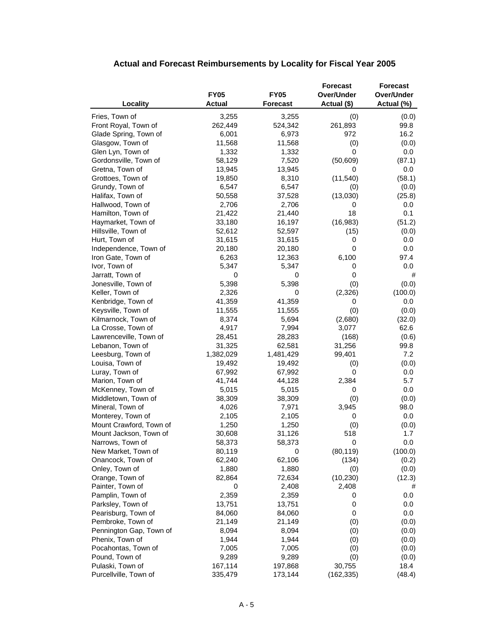|                                     |                 |                 | <b>Forecast</b>  | <b>Forecast</b> |
|-------------------------------------|-----------------|-----------------|------------------|-----------------|
|                                     | <b>FY05</b>     | <b>FY05</b>     | Over/Under       | Over/Under      |
| Locality                            | <b>Actual</b>   | <b>Forecast</b> | Actual (\$)      | Actual (%)      |
| Fries, Town of                      | 3,255           | 3,255           | (0)              | (0.0)           |
| Front Royal, Town of                | 262,449         | 524,342         | 261,893          | 99.8            |
| Glade Spring, Town of               | 6,001           | 6,973           | 972              | 16.2            |
| Glasgow, Town of                    | 11,568          | 11,568          | (0)              | (0.0)           |
| Glen Lyn, Town of                   | 1,332           | 1,332           | 0                | $0.0\,$         |
| Gordonsville, Town of               | 58,129          | 7,520           | (50, 609)        | (87.1)          |
| Gretna, Town of                     | 13,945          | 13,945          | 0                | $0.0\,$         |
| Grottoes, Town of                   | 19,850          | 8,310           | (11, 540)        | (58.1)          |
| Grundy, Town of                     | 6,547           | 6,547           | (0)              | (0.0)           |
| Halifax, Town of                    | 50,558          | 37,528          | (13,030)         | (25.8)          |
| Hallwood, Town of                   | 2,706           | 2,706           | 0                | $0.0\,$         |
| Hamilton, Town of                   | 21,422          | 21,440          | 18               | 0.1             |
| Haymarket, Town of                  | 33,180          | 16,197          | (16, 983)        | (51.2)          |
| Hillsville, Town of                 | 52,612          | 52,597          | (15)             | (0.0)           |
| Hurt, Town of                       | 31,615          | 31,615          | 0                | $0.0\,$         |
| Independence, Town of               | 20,180          | 20,180          | 0                | $0.0\,$         |
| Iron Gate, Town of                  | 6,263           | 12,363          | 6,100            | 97.4            |
| Ivor, Town of                       | 5,347           | 5,347           | 0                | 0.0             |
| Jarratt, Town of                    | 0               | 0               | 0                | #               |
| Jonesville, Town of                 | 5,398           | 5,398           | (0)              | (0.0)           |
| Keller, Town of                     | 2,326           | 0               | (2,326)          | (100.0)         |
| Kenbridge, Town of                  | 41,359          | 41,359          | 0                | $0.0\,$         |
| Keysville, Town of                  | 11,555          | 11,555          | (0)              | (0.0)           |
| Kilmarnock, Town of                 | 8,374           | 5,694           | (2,680)          | (32.0)          |
| La Crosse, Town of                  | 4,917           | 7,994           | 3,077            | 62.6            |
| Lawrenceville, Town of              | 28,451          | 28,283          | (168)            | (0.6)           |
| Lebanon, Town of                    | 31,325          | 62,581          | 31,256           | 99.8            |
| Leesburg, Town of                   | 1,382,029       | 1,481,429       | 99,401           | 7.2             |
| Louisa, Town of                     | 19,492          | 19,492          | (0)              | (0.0)           |
| Luray, Town of                      | 67,992          | 67,992          | 0                | $0.0\,$         |
| Marion, Town of                     | 41,744          | 44,128          | 2,384            | 5.7             |
| McKenney, Town of                   | 5,015           | 5,015           | 0                | 0.0             |
| Middletown, Town of                 | 38,309          | 38,309          | (0)              | (0.0)           |
| Mineral, Town of                    | 4,026           | 7,971           | 3,945            | 98.0            |
| Monterey, Town of                   | 2,105           | 2,105           | 0                | 0.0             |
| Mount Crawford, Town of             | 1,250           | 1,250           | (0)              | (0.0)           |
| Mount Jackson, Town of              | 30,608          | 31,126          | 518              | 1.7             |
| Narrows, Town of                    | 58,373          | 58,373          | 0                | 0.0             |
| New Market, Town of                 | 80,119          | 0<br>62,106     | (80, 119)        | (100.0)         |
| Onancock, Town of                   | 62,240<br>1,880 | 1,880           | (134)            | (0.2)           |
| Onley, Town of                      |                 | 72,634          | (0)<br>(10, 230) | (0.0)           |
| Orange, Town of<br>Painter, Town of | 82,864<br>0     | 2,408           | 2,408            | (12.3)<br>#     |
| Pamplin, Town of                    | 2,359           | 2,359           | 0                | 0.0             |
| Parksley, Town of                   | 13,751          | 13,751          | 0                | 0.0             |
| Pearisburg, Town of                 | 84,060          | 84,060          | 0                | 0.0             |
| Pembroke, Town of                   | 21,149          | 21,149          | (0)              | (0.0)           |
| Pennington Gap, Town of             | 8,094           | 8,094           | (0)              | (0.0)           |
| Phenix, Town of                     | 1,944           | 1,944           | (0)              | (0.0)           |
| Pocahontas, Town of                 | 7,005           | 7,005           | (0)              | (0.0)           |
| Pound, Town of                      | 9,289           | 9,289           | (0)              | (0.0)           |
| Pulaski, Town of                    | 167,114         | 197,868         | 30,755           | 18.4            |
| Purcellville, Town of               | 335,479         | 173,144         | (162, 335)       | (48.4)          |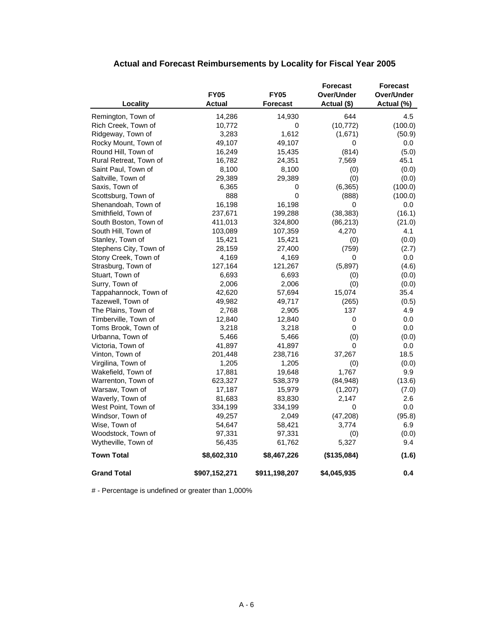|                        |               |                 | <b>Forecast</b> | Forecast   |
|------------------------|---------------|-----------------|-----------------|------------|
|                        | <b>FY05</b>   | <b>FY05</b>     | Over/Under      | Over/Under |
| Locality               | Actual        | <b>Forecast</b> | Actual (\$)     | Actual (%) |
| Remington, Town of     | 14,286        | 14,930          | 644             | 4.5        |
| Rich Creek, Town of    | 10,772        | 0               | (10, 772)       | (100.0)    |
| Ridgeway, Town of      | 3,283         | 1,612           | (1,671)         | (50.9)     |
| Rocky Mount, Town of   | 49,107        | 49,107          | 0               | $0.0\,$    |
| Round Hill, Town of    | 16,249        | 15,435          | (814)           | (5.0)      |
| Rural Retreat, Town of | 16,782        | 24,351          | 7,569           | 45.1       |
| Saint Paul, Town of    | 8,100         | 8,100           | (0)             | (0.0)      |
| Saltville, Town of     | 29,389        | 29,389          | (0)             | (0.0)      |
| Saxis, Town of         | 6,365         | 0               | (6, 365)        | (100.0)    |
| Scottsburg, Town of    | 888           | 0               | (888)           | (100.0)    |
| Shenandoah, Town of    | 16,198        | 16,198          | 0               | 0.0        |
| Smithfield, Town of    | 237,671       | 199,288         | (38, 383)       | (16.1)     |
| South Boston, Town of  | 411,013       | 324,800         | (86, 213)       | (21.0)     |
| South Hill, Town of    | 103,089       | 107,359         | 4,270           | 4.1        |
| Stanley, Town of       | 15,421        | 15,421          | (0)             | (0.0)      |
| Stephens City, Town of | 28,159        | 27,400          | (759)           | (2.7)      |
| Stony Creek, Town of   | 4,169         | 4,169           | 0               | $0.0\,$    |
| Strasburg, Town of     | 127,164       | 121,267         | (5,897)         | (4.6)      |
| Stuart, Town of        | 6,693         | 6,693           | (0)             | (0.0)      |
| Surry, Town of         | 2,006         | 2,006           | (0)             | (0.0)      |
| Tappahannock, Town of  | 42,620        | 57,694          | 15,074          | 35.4       |
| Tazewell, Town of      | 49,982        | 49,717          | (265)           | (0.5)      |
| The Plains, Town of    | 2,768         | 2,905           | 137             | 4.9        |
| Timberville, Town of   | 12,840        | 12,840          | 0               | 0.0        |
| Toms Brook, Town of    | 3,218         | 3,218           | 0               | 0.0        |
| Urbanna, Town of       | 5,466         | 5,466           | (0)             | (0.0)      |
| Victoria, Town of      | 41,897        | 41,897          | 0               | $0.0\,$    |
| Vinton, Town of        | 201,448       | 238,716         | 37,267          | 18.5       |
| Virgilina, Town of     | 1,205         | 1,205           | (0)             | (0.0)      |
| Wakefield, Town of     | 17,881        | 19,648          | 1,767           | 9.9        |
| Warrenton, Town of     | 623,327       | 538,379         | (84, 948)       | (13.6)     |
| Warsaw, Town of        | 17,187        | 15,979          | (1, 207)        | (7.0)      |
| Waverly, Town of       | 81,683        | 83,830          | 2,147           | 2.6        |
| West Point, Town of    | 334,199       | 334,199         | 0               | 0.0        |
| Windsor, Town of       | 49,257        | 2,049           | (47, 208)       | (95.8)     |
| Wise, Town of          | 54,647        | 58,421          | 3,774           | 6.9        |
| Woodstock, Town of     | 97,331        | 97,331          | (0)             | (0.0)      |
| Wytheville, Town of    | 56,435        | 61,762          | 5,327           | 9.4        |
| <b>Town Total</b>      | \$8,602,310   | \$8,467,226     | (\$135,084)     | (1.6)      |
| <b>Grand Total</b>     | \$907,152,271 | \$911,198,207   | \$4,045,935     | 0.4        |

# - Percentage is undefined or greater than 1,000%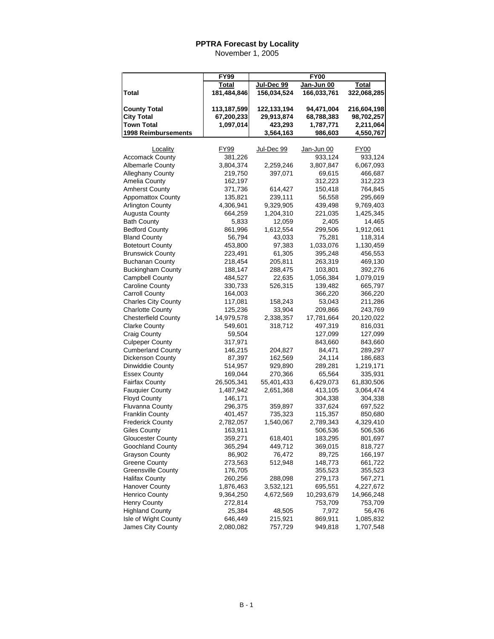| Jan-Jun 00<br>Jul-Dec 99<br>Total<br>Total<br>156,034,524<br>166,033,761<br>Total<br>181,484,846<br>322,068,285<br><b>County Total</b><br>113,187,599<br>216,604,198<br>122,133,194<br>94,471,004<br><b>City Total</b><br>67,200,233<br>29,913,874<br>98,702,257<br>68,788,383<br><b>Town Total</b><br>1,097,014<br>423,293<br>1,787,771<br>2,211,064<br>1998 Reimbursements<br>3,564,163<br>4,550,767<br>986,603<br>FY99<br><b>FY00</b><br>Locality<br>Jul-Dec 99<br><u>Jan-Jun 00</u><br><b>Accomack County</b><br>381,226<br>933,124<br>933,124<br><b>Albemarle County</b><br>3,804,374<br>2,259,246<br>3,807,847<br>6,067,093<br><b>Alleghany County</b><br>219,750<br>397,071<br>69,615<br>466,687<br>Amelia County<br>162,197<br>312,223<br>312,223<br><b>Amherst County</b><br>371,736<br>614,427<br>150,418<br>764,845<br><b>Appomattox County</b><br>135,821<br>239,111<br>56,558<br>295,669<br>9,329,905<br><b>Arlington County</b><br>4,306,941<br>439,498<br>9,769,403<br><b>Augusta County</b><br>664,259<br>1,204,310<br>221,035<br>1,425,345<br><b>Bath County</b><br>5,833<br>12,059<br>2,405<br>14,465<br>861,996<br>1,612,554<br>299,506<br>1,912,061<br><b>Bedford County</b><br><b>Bland County</b><br>43,033<br>118,314<br>56,794<br>75,281<br><b>Botetourt County</b><br>97,383<br>453,800<br>1,033,076<br>1,130,459<br><b>Brunswick County</b><br>223,491<br>61,305<br>395,248<br>456,553<br><b>Buchanan County</b><br>218,454<br>205,811<br>263,319<br>469,130<br><b>Buckingham County</b><br>188,147<br>288,475<br>103,801<br>392,276<br><b>Campbell County</b><br>484,527<br>22,635<br>1,056,384<br>1,079,019<br>Caroline County<br>330,733<br>526,315<br>139,482<br>665,797<br><b>Carroll County</b><br>366,220<br>366,220<br>164,003<br><b>Charles City County</b><br>117,081<br>158,243<br>53,043<br>211,286<br><b>Charlotte County</b><br>125,236<br>33,904<br>209,866<br>243,769<br><b>Chesterfield County</b><br>14,979,578<br>2,338,357<br>17,781,664<br>20,120,022<br>549,601<br><b>Clarke County</b><br>318,712<br>497,319<br>816,031<br>Craig County<br>59,504<br>127,099<br>127,099<br><b>Culpeper County</b><br>317,971<br>843,660<br>843,660<br><b>Cumberland County</b><br>146,215<br>204,827<br>84,471<br>289,297<br>87,397<br>162,569<br>Dickenson County<br>24,114<br>186,683<br>Dinwiddie County<br>514,957<br>929,890<br>289,281<br>1,219,171<br>335,931<br><b>Essex County</b><br>169,044<br>270,366<br>65,564<br><b>Fairfax County</b><br>26,505,341<br>55,401,433<br>6,429,073<br>61,830,506<br><b>Fauquier County</b><br>1,487,942<br>2,651,368<br>413,105<br>3,064,474<br><b>Floyd County</b><br>146,171<br>304,338<br>304,338<br><b>Fluvanna County</b><br>296,375<br>359,897<br>337,624<br>697,522<br><b>Franklin County</b><br>735,323<br>401,457<br>115,357<br>850,680<br><b>Frederick County</b><br>1,540,067<br>4,329,410<br>2,782,057<br>2,789,343<br><b>Giles County</b><br>163,911<br>506,536<br>506,536<br><b>Gloucester County</b><br>359,271<br>618,401<br>183,295<br>801,697<br>Goochland County<br>365,294<br>449,712<br>369,015<br>818,727<br><b>Grayson County</b><br>86,902<br>76,472<br>166,197<br>89,725<br>Greene County<br>273,563<br>512,948<br>148,773<br>661,722<br><b>Greensville County</b><br>176,705<br>355,523<br>355,523<br><b>Halifax County</b><br>288,098<br>260,256<br>279,173<br>567,271<br><b>Hanover County</b><br>1,876,463<br>3,532,121<br>695,551<br>4,227,672<br><b>Henrico County</b><br>9,364,250<br>4,672,569<br>10,293,679<br>14,966,248<br><b>Henry County</b><br>272,814<br>753,709<br>753,709<br><b>Highland County</b><br>25,384<br>48,505<br>7,972<br>56,476 |                      | <b>FY99</b> | <b>FY00</b> |         |  |  |  |
|------------------------------------------------------------------------------------------------------------------------------------------------------------------------------------------------------------------------------------------------------------------------------------------------------------------------------------------------------------------------------------------------------------------------------------------------------------------------------------------------------------------------------------------------------------------------------------------------------------------------------------------------------------------------------------------------------------------------------------------------------------------------------------------------------------------------------------------------------------------------------------------------------------------------------------------------------------------------------------------------------------------------------------------------------------------------------------------------------------------------------------------------------------------------------------------------------------------------------------------------------------------------------------------------------------------------------------------------------------------------------------------------------------------------------------------------------------------------------------------------------------------------------------------------------------------------------------------------------------------------------------------------------------------------------------------------------------------------------------------------------------------------------------------------------------------------------------------------------------------------------------------------------------------------------------------------------------------------------------------------------------------------------------------------------------------------------------------------------------------------------------------------------------------------------------------------------------------------------------------------------------------------------------------------------------------------------------------------------------------------------------------------------------------------------------------------------------------------------------------------------------------------------------------------------------------------------------------------------------------------------------------------------------------------------------------------------------------------------------------------------------------------------------------------------------------------------------------------------------------------------------------------------------------------------------------------------------------------------------------------------------------------------------------------------------------------------------------------------------------------------------------------------------------------------------------------------------------------------------------------------------------------------------------------------------------------------------------------------------------------------------------------------------------------------------------------------------------------------------------------------------------------------------------------------------------------------------------------------------------------------------------------------------------|----------------------|-------------|-------------|---------|--|--|--|
|                                                                                                                                                                                                                                                                                                                                                                                                                                                                                                                                                                                                                                                                                                                                                                                                                                                                                                                                                                                                                                                                                                                                                                                                                                                                                                                                                                                                                                                                                                                                                                                                                                                                                                                                                                                                                                                                                                                                                                                                                                                                                                                                                                                                                                                                                                                                                                                                                                                                                                                                                                                                                                                                                                                                                                                                                                                                                                                                                                                                                                                                                                                                                                                                                                                                                                                                                                                                                                                                                                                                                                                                                                                                  |                      |             |             |         |  |  |  |
|                                                                                                                                                                                                                                                                                                                                                                                                                                                                                                                                                                                                                                                                                                                                                                                                                                                                                                                                                                                                                                                                                                                                                                                                                                                                                                                                                                                                                                                                                                                                                                                                                                                                                                                                                                                                                                                                                                                                                                                                                                                                                                                                                                                                                                                                                                                                                                                                                                                                                                                                                                                                                                                                                                                                                                                                                                                                                                                                                                                                                                                                                                                                                                                                                                                                                                                                                                                                                                                                                                                                                                                                                                                                  |                      |             |             |         |  |  |  |
|                                                                                                                                                                                                                                                                                                                                                                                                                                                                                                                                                                                                                                                                                                                                                                                                                                                                                                                                                                                                                                                                                                                                                                                                                                                                                                                                                                                                                                                                                                                                                                                                                                                                                                                                                                                                                                                                                                                                                                                                                                                                                                                                                                                                                                                                                                                                                                                                                                                                                                                                                                                                                                                                                                                                                                                                                                                                                                                                                                                                                                                                                                                                                                                                                                                                                                                                                                                                                                                                                                                                                                                                                                                                  |                      |             |             |         |  |  |  |
|                                                                                                                                                                                                                                                                                                                                                                                                                                                                                                                                                                                                                                                                                                                                                                                                                                                                                                                                                                                                                                                                                                                                                                                                                                                                                                                                                                                                                                                                                                                                                                                                                                                                                                                                                                                                                                                                                                                                                                                                                                                                                                                                                                                                                                                                                                                                                                                                                                                                                                                                                                                                                                                                                                                                                                                                                                                                                                                                                                                                                                                                                                                                                                                                                                                                                                                                                                                                                                                                                                                                                                                                                                                                  |                      |             |             |         |  |  |  |
|                                                                                                                                                                                                                                                                                                                                                                                                                                                                                                                                                                                                                                                                                                                                                                                                                                                                                                                                                                                                                                                                                                                                                                                                                                                                                                                                                                                                                                                                                                                                                                                                                                                                                                                                                                                                                                                                                                                                                                                                                                                                                                                                                                                                                                                                                                                                                                                                                                                                                                                                                                                                                                                                                                                                                                                                                                                                                                                                                                                                                                                                                                                                                                                                                                                                                                                                                                                                                                                                                                                                                                                                                                                                  |                      |             |             |         |  |  |  |
|                                                                                                                                                                                                                                                                                                                                                                                                                                                                                                                                                                                                                                                                                                                                                                                                                                                                                                                                                                                                                                                                                                                                                                                                                                                                                                                                                                                                                                                                                                                                                                                                                                                                                                                                                                                                                                                                                                                                                                                                                                                                                                                                                                                                                                                                                                                                                                                                                                                                                                                                                                                                                                                                                                                                                                                                                                                                                                                                                                                                                                                                                                                                                                                                                                                                                                                                                                                                                                                                                                                                                                                                                                                                  |                      |             |             |         |  |  |  |
|                                                                                                                                                                                                                                                                                                                                                                                                                                                                                                                                                                                                                                                                                                                                                                                                                                                                                                                                                                                                                                                                                                                                                                                                                                                                                                                                                                                                                                                                                                                                                                                                                                                                                                                                                                                                                                                                                                                                                                                                                                                                                                                                                                                                                                                                                                                                                                                                                                                                                                                                                                                                                                                                                                                                                                                                                                                                                                                                                                                                                                                                                                                                                                                                                                                                                                                                                                                                                                                                                                                                                                                                                                                                  |                      |             |             |         |  |  |  |
|                                                                                                                                                                                                                                                                                                                                                                                                                                                                                                                                                                                                                                                                                                                                                                                                                                                                                                                                                                                                                                                                                                                                                                                                                                                                                                                                                                                                                                                                                                                                                                                                                                                                                                                                                                                                                                                                                                                                                                                                                                                                                                                                                                                                                                                                                                                                                                                                                                                                                                                                                                                                                                                                                                                                                                                                                                                                                                                                                                                                                                                                                                                                                                                                                                                                                                                                                                                                                                                                                                                                                                                                                                                                  |                      |             |             |         |  |  |  |
|                                                                                                                                                                                                                                                                                                                                                                                                                                                                                                                                                                                                                                                                                                                                                                                                                                                                                                                                                                                                                                                                                                                                                                                                                                                                                                                                                                                                                                                                                                                                                                                                                                                                                                                                                                                                                                                                                                                                                                                                                                                                                                                                                                                                                                                                                                                                                                                                                                                                                                                                                                                                                                                                                                                                                                                                                                                                                                                                                                                                                                                                                                                                                                                                                                                                                                                                                                                                                                                                                                                                                                                                                                                                  |                      |             |             |         |  |  |  |
|                                                                                                                                                                                                                                                                                                                                                                                                                                                                                                                                                                                                                                                                                                                                                                                                                                                                                                                                                                                                                                                                                                                                                                                                                                                                                                                                                                                                                                                                                                                                                                                                                                                                                                                                                                                                                                                                                                                                                                                                                                                                                                                                                                                                                                                                                                                                                                                                                                                                                                                                                                                                                                                                                                                                                                                                                                                                                                                                                                                                                                                                                                                                                                                                                                                                                                                                                                                                                                                                                                                                                                                                                                                                  |                      |             |             |         |  |  |  |
|                                                                                                                                                                                                                                                                                                                                                                                                                                                                                                                                                                                                                                                                                                                                                                                                                                                                                                                                                                                                                                                                                                                                                                                                                                                                                                                                                                                                                                                                                                                                                                                                                                                                                                                                                                                                                                                                                                                                                                                                                                                                                                                                                                                                                                                                                                                                                                                                                                                                                                                                                                                                                                                                                                                                                                                                                                                                                                                                                                                                                                                                                                                                                                                                                                                                                                                                                                                                                                                                                                                                                                                                                                                                  |                      |             |             |         |  |  |  |
|                                                                                                                                                                                                                                                                                                                                                                                                                                                                                                                                                                                                                                                                                                                                                                                                                                                                                                                                                                                                                                                                                                                                                                                                                                                                                                                                                                                                                                                                                                                                                                                                                                                                                                                                                                                                                                                                                                                                                                                                                                                                                                                                                                                                                                                                                                                                                                                                                                                                                                                                                                                                                                                                                                                                                                                                                                                                                                                                                                                                                                                                                                                                                                                                                                                                                                                                                                                                                                                                                                                                                                                                                                                                  |                      |             |             |         |  |  |  |
|                                                                                                                                                                                                                                                                                                                                                                                                                                                                                                                                                                                                                                                                                                                                                                                                                                                                                                                                                                                                                                                                                                                                                                                                                                                                                                                                                                                                                                                                                                                                                                                                                                                                                                                                                                                                                                                                                                                                                                                                                                                                                                                                                                                                                                                                                                                                                                                                                                                                                                                                                                                                                                                                                                                                                                                                                                                                                                                                                                                                                                                                                                                                                                                                                                                                                                                                                                                                                                                                                                                                                                                                                                                                  |                      |             |             |         |  |  |  |
|                                                                                                                                                                                                                                                                                                                                                                                                                                                                                                                                                                                                                                                                                                                                                                                                                                                                                                                                                                                                                                                                                                                                                                                                                                                                                                                                                                                                                                                                                                                                                                                                                                                                                                                                                                                                                                                                                                                                                                                                                                                                                                                                                                                                                                                                                                                                                                                                                                                                                                                                                                                                                                                                                                                                                                                                                                                                                                                                                                                                                                                                                                                                                                                                                                                                                                                                                                                                                                                                                                                                                                                                                                                                  |                      |             |             |         |  |  |  |
|                                                                                                                                                                                                                                                                                                                                                                                                                                                                                                                                                                                                                                                                                                                                                                                                                                                                                                                                                                                                                                                                                                                                                                                                                                                                                                                                                                                                                                                                                                                                                                                                                                                                                                                                                                                                                                                                                                                                                                                                                                                                                                                                                                                                                                                                                                                                                                                                                                                                                                                                                                                                                                                                                                                                                                                                                                                                                                                                                                                                                                                                                                                                                                                                                                                                                                                                                                                                                                                                                                                                                                                                                                                                  |                      |             |             |         |  |  |  |
|                                                                                                                                                                                                                                                                                                                                                                                                                                                                                                                                                                                                                                                                                                                                                                                                                                                                                                                                                                                                                                                                                                                                                                                                                                                                                                                                                                                                                                                                                                                                                                                                                                                                                                                                                                                                                                                                                                                                                                                                                                                                                                                                                                                                                                                                                                                                                                                                                                                                                                                                                                                                                                                                                                                                                                                                                                                                                                                                                                                                                                                                                                                                                                                                                                                                                                                                                                                                                                                                                                                                                                                                                                                                  |                      |             |             |         |  |  |  |
|                                                                                                                                                                                                                                                                                                                                                                                                                                                                                                                                                                                                                                                                                                                                                                                                                                                                                                                                                                                                                                                                                                                                                                                                                                                                                                                                                                                                                                                                                                                                                                                                                                                                                                                                                                                                                                                                                                                                                                                                                                                                                                                                                                                                                                                                                                                                                                                                                                                                                                                                                                                                                                                                                                                                                                                                                                                                                                                                                                                                                                                                                                                                                                                                                                                                                                                                                                                                                                                                                                                                                                                                                                                                  |                      |             |             |         |  |  |  |
|                                                                                                                                                                                                                                                                                                                                                                                                                                                                                                                                                                                                                                                                                                                                                                                                                                                                                                                                                                                                                                                                                                                                                                                                                                                                                                                                                                                                                                                                                                                                                                                                                                                                                                                                                                                                                                                                                                                                                                                                                                                                                                                                                                                                                                                                                                                                                                                                                                                                                                                                                                                                                                                                                                                                                                                                                                                                                                                                                                                                                                                                                                                                                                                                                                                                                                                                                                                                                                                                                                                                                                                                                                                                  |                      |             |             |         |  |  |  |
|                                                                                                                                                                                                                                                                                                                                                                                                                                                                                                                                                                                                                                                                                                                                                                                                                                                                                                                                                                                                                                                                                                                                                                                                                                                                                                                                                                                                                                                                                                                                                                                                                                                                                                                                                                                                                                                                                                                                                                                                                                                                                                                                                                                                                                                                                                                                                                                                                                                                                                                                                                                                                                                                                                                                                                                                                                                                                                                                                                                                                                                                                                                                                                                                                                                                                                                                                                                                                                                                                                                                                                                                                                                                  |                      |             |             |         |  |  |  |
|                                                                                                                                                                                                                                                                                                                                                                                                                                                                                                                                                                                                                                                                                                                                                                                                                                                                                                                                                                                                                                                                                                                                                                                                                                                                                                                                                                                                                                                                                                                                                                                                                                                                                                                                                                                                                                                                                                                                                                                                                                                                                                                                                                                                                                                                                                                                                                                                                                                                                                                                                                                                                                                                                                                                                                                                                                                                                                                                                                                                                                                                                                                                                                                                                                                                                                                                                                                                                                                                                                                                                                                                                                                                  |                      |             |             |         |  |  |  |
|                                                                                                                                                                                                                                                                                                                                                                                                                                                                                                                                                                                                                                                                                                                                                                                                                                                                                                                                                                                                                                                                                                                                                                                                                                                                                                                                                                                                                                                                                                                                                                                                                                                                                                                                                                                                                                                                                                                                                                                                                                                                                                                                                                                                                                                                                                                                                                                                                                                                                                                                                                                                                                                                                                                                                                                                                                                                                                                                                                                                                                                                                                                                                                                                                                                                                                                                                                                                                                                                                                                                                                                                                                                                  |                      |             |             |         |  |  |  |
|                                                                                                                                                                                                                                                                                                                                                                                                                                                                                                                                                                                                                                                                                                                                                                                                                                                                                                                                                                                                                                                                                                                                                                                                                                                                                                                                                                                                                                                                                                                                                                                                                                                                                                                                                                                                                                                                                                                                                                                                                                                                                                                                                                                                                                                                                                                                                                                                                                                                                                                                                                                                                                                                                                                                                                                                                                                                                                                                                                                                                                                                                                                                                                                                                                                                                                                                                                                                                                                                                                                                                                                                                                                                  |                      |             |             |         |  |  |  |
|                                                                                                                                                                                                                                                                                                                                                                                                                                                                                                                                                                                                                                                                                                                                                                                                                                                                                                                                                                                                                                                                                                                                                                                                                                                                                                                                                                                                                                                                                                                                                                                                                                                                                                                                                                                                                                                                                                                                                                                                                                                                                                                                                                                                                                                                                                                                                                                                                                                                                                                                                                                                                                                                                                                                                                                                                                                                                                                                                                                                                                                                                                                                                                                                                                                                                                                                                                                                                                                                                                                                                                                                                                                                  |                      |             |             |         |  |  |  |
|                                                                                                                                                                                                                                                                                                                                                                                                                                                                                                                                                                                                                                                                                                                                                                                                                                                                                                                                                                                                                                                                                                                                                                                                                                                                                                                                                                                                                                                                                                                                                                                                                                                                                                                                                                                                                                                                                                                                                                                                                                                                                                                                                                                                                                                                                                                                                                                                                                                                                                                                                                                                                                                                                                                                                                                                                                                                                                                                                                                                                                                                                                                                                                                                                                                                                                                                                                                                                                                                                                                                                                                                                                                                  |                      |             |             |         |  |  |  |
|                                                                                                                                                                                                                                                                                                                                                                                                                                                                                                                                                                                                                                                                                                                                                                                                                                                                                                                                                                                                                                                                                                                                                                                                                                                                                                                                                                                                                                                                                                                                                                                                                                                                                                                                                                                                                                                                                                                                                                                                                                                                                                                                                                                                                                                                                                                                                                                                                                                                                                                                                                                                                                                                                                                                                                                                                                                                                                                                                                                                                                                                                                                                                                                                                                                                                                                                                                                                                                                                                                                                                                                                                                                                  |                      |             |             |         |  |  |  |
|                                                                                                                                                                                                                                                                                                                                                                                                                                                                                                                                                                                                                                                                                                                                                                                                                                                                                                                                                                                                                                                                                                                                                                                                                                                                                                                                                                                                                                                                                                                                                                                                                                                                                                                                                                                                                                                                                                                                                                                                                                                                                                                                                                                                                                                                                                                                                                                                                                                                                                                                                                                                                                                                                                                                                                                                                                                                                                                                                                                                                                                                                                                                                                                                                                                                                                                                                                                                                                                                                                                                                                                                                                                                  |                      |             |             |         |  |  |  |
|                                                                                                                                                                                                                                                                                                                                                                                                                                                                                                                                                                                                                                                                                                                                                                                                                                                                                                                                                                                                                                                                                                                                                                                                                                                                                                                                                                                                                                                                                                                                                                                                                                                                                                                                                                                                                                                                                                                                                                                                                                                                                                                                                                                                                                                                                                                                                                                                                                                                                                                                                                                                                                                                                                                                                                                                                                                                                                                                                                                                                                                                                                                                                                                                                                                                                                                                                                                                                                                                                                                                                                                                                                                                  |                      |             |             |         |  |  |  |
|                                                                                                                                                                                                                                                                                                                                                                                                                                                                                                                                                                                                                                                                                                                                                                                                                                                                                                                                                                                                                                                                                                                                                                                                                                                                                                                                                                                                                                                                                                                                                                                                                                                                                                                                                                                                                                                                                                                                                                                                                                                                                                                                                                                                                                                                                                                                                                                                                                                                                                                                                                                                                                                                                                                                                                                                                                                                                                                                                                                                                                                                                                                                                                                                                                                                                                                                                                                                                                                                                                                                                                                                                                                                  |                      |             |             |         |  |  |  |
|                                                                                                                                                                                                                                                                                                                                                                                                                                                                                                                                                                                                                                                                                                                                                                                                                                                                                                                                                                                                                                                                                                                                                                                                                                                                                                                                                                                                                                                                                                                                                                                                                                                                                                                                                                                                                                                                                                                                                                                                                                                                                                                                                                                                                                                                                                                                                                                                                                                                                                                                                                                                                                                                                                                                                                                                                                                                                                                                                                                                                                                                                                                                                                                                                                                                                                                                                                                                                                                                                                                                                                                                                                                                  |                      |             |             |         |  |  |  |
|                                                                                                                                                                                                                                                                                                                                                                                                                                                                                                                                                                                                                                                                                                                                                                                                                                                                                                                                                                                                                                                                                                                                                                                                                                                                                                                                                                                                                                                                                                                                                                                                                                                                                                                                                                                                                                                                                                                                                                                                                                                                                                                                                                                                                                                                                                                                                                                                                                                                                                                                                                                                                                                                                                                                                                                                                                                                                                                                                                                                                                                                                                                                                                                                                                                                                                                                                                                                                                                                                                                                                                                                                                                                  |                      |             |             |         |  |  |  |
|                                                                                                                                                                                                                                                                                                                                                                                                                                                                                                                                                                                                                                                                                                                                                                                                                                                                                                                                                                                                                                                                                                                                                                                                                                                                                                                                                                                                                                                                                                                                                                                                                                                                                                                                                                                                                                                                                                                                                                                                                                                                                                                                                                                                                                                                                                                                                                                                                                                                                                                                                                                                                                                                                                                                                                                                                                                                                                                                                                                                                                                                                                                                                                                                                                                                                                                                                                                                                                                                                                                                                                                                                                                                  |                      |             |             |         |  |  |  |
|                                                                                                                                                                                                                                                                                                                                                                                                                                                                                                                                                                                                                                                                                                                                                                                                                                                                                                                                                                                                                                                                                                                                                                                                                                                                                                                                                                                                                                                                                                                                                                                                                                                                                                                                                                                                                                                                                                                                                                                                                                                                                                                                                                                                                                                                                                                                                                                                                                                                                                                                                                                                                                                                                                                                                                                                                                                                                                                                                                                                                                                                                                                                                                                                                                                                                                                                                                                                                                                                                                                                                                                                                                                                  |                      |             |             |         |  |  |  |
|                                                                                                                                                                                                                                                                                                                                                                                                                                                                                                                                                                                                                                                                                                                                                                                                                                                                                                                                                                                                                                                                                                                                                                                                                                                                                                                                                                                                                                                                                                                                                                                                                                                                                                                                                                                                                                                                                                                                                                                                                                                                                                                                                                                                                                                                                                                                                                                                                                                                                                                                                                                                                                                                                                                                                                                                                                                                                                                                                                                                                                                                                                                                                                                                                                                                                                                                                                                                                                                                                                                                                                                                                                                                  |                      |             |             |         |  |  |  |
|                                                                                                                                                                                                                                                                                                                                                                                                                                                                                                                                                                                                                                                                                                                                                                                                                                                                                                                                                                                                                                                                                                                                                                                                                                                                                                                                                                                                                                                                                                                                                                                                                                                                                                                                                                                                                                                                                                                                                                                                                                                                                                                                                                                                                                                                                                                                                                                                                                                                                                                                                                                                                                                                                                                                                                                                                                                                                                                                                                                                                                                                                                                                                                                                                                                                                                                                                                                                                                                                                                                                                                                                                                                                  |                      |             |             |         |  |  |  |
|                                                                                                                                                                                                                                                                                                                                                                                                                                                                                                                                                                                                                                                                                                                                                                                                                                                                                                                                                                                                                                                                                                                                                                                                                                                                                                                                                                                                                                                                                                                                                                                                                                                                                                                                                                                                                                                                                                                                                                                                                                                                                                                                                                                                                                                                                                                                                                                                                                                                                                                                                                                                                                                                                                                                                                                                                                                                                                                                                                                                                                                                                                                                                                                                                                                                                                                                                                                                                                                                                                                                                                                                                                                                  |                      |             |             |         |  |  |  |
|                                                                                                                                                                                                                                                                                                                                                                                                                                                                                                                                                                                                                                                                                                                                                                                                                                                                                                                                                                                                                                                                                                                                                                                                                                                                                                                                                                                                                                                                                                                                                                                                                                                                                                                                                                                                                                                                                                                                                                                                                                                                                                                                                                                                                                                                                                                                                                                                                                                                                                                                                                                                                                                                                                                                                                                                                                                                                                                                                                                                                                                                                                                                                                                                                                                                                                                                                                                                                                                                                                                                                                                                                                                                  |                      |             |             |         |  |  |  |
|                                                                                                                                                                                                                                                                                                                                                                                                                                                                                                                                                                                                                                                                                                                                                                                                                                                                                                                                                                                                                                                                                                                                                                                                                                                                                                                                                                                                                                                                                                                                                                                                                                                                                                                                                                                                                                                                                                                                                                                                                                                                                                                                                                                                                                                                                                                                                                                                                                                                                                                                                                                                                                                                                                                                                                                                                                                                                                                                                                                                                                                                                                                                                                                                                                                                                                                                                                                                                                                                                                                                                                                                                                                                  |                      |             |             |         |  |  |  |
|                                                                                                                                                                                                                                                                                                                                                                                                                                                                                                                                                                                                                                                                                                                                                                                                                                                                                                                                                                                                                                                                                                                                                                                                                                                                                                                                                                                                                                                                                                                                                                                                                                                                                                                                                                                                                                                                                                                                                                                                                                                                                                                                                                                                                                                                                                                                                                                                                                                                                                                                                                                                                                                                                                                                                                                                                                                                                                                                                                                                                                                                                                                                                                                                                                                                                                                                                                                                                                                                                                                                                                                                                                                                  |                      |             |             |         |  |  |  |
|                                                                                                                                                                                                                                                                                                                                                                                                                                                                                                                                                                                                                                                                                                                                                                                                                                                                                                                                                                                                                                                                                                                                                                                                                                                                                                                                                                                                                                                                                                                                                                                                                                                                                                                                                                                                                                                                                                                                                                                                                                                                                                                                                                                                                                                                                                                                                                                                                                                                                                                                                                                                                                                                                                                                                                                                                                                                                                                                                                                                                                                                                                                                                                                                                                                                                                                                                                                                                                                                                                                                                                                                                                                                  |                      |             |             |         |  |  |  |
|                                                                                                                                                                                                                                                                                                                                                                                                                                                                                                                                                                                                                                                                                                                                                                                                                                                                                                                                                                                                                                                                                                                                                                                                                                                                                                                                                                                                                                                                                                                                                                                                                                                                                                                                                                                                                                                                                                                                                                                                                                                                                                                                                                                                                                                                                                                                                                                                                                                                                                                                                                                                                                                                                                                                                                                                                                                                                                                                                                                                                                                                                                                                                                                                                                                                                                                                                                                                                                                                                                                                                                                                                                                                  |                      |             |             |         |  |  |  |
|                                                                                                                                                                                                                                                                                                                                                                                                                                                                                                                                                                                                                                                                                                                                                                                                                                                                                                                                                                                                                                                                                                                                                                                                                                                                                                                                                                                                                                                                                                                                                                                                                                                                                                                                                                                                                                                                                                                                                                                                                                                                                                                                                                                                                                                                                                                                                                                                                                                                                                                                                                                                                                                                                                                                                                                                                                                                                                                                                                                                                                                                                                                                                                                                                                                                                                                                                                                                                                                                                                                                                                                                                                                                  |                      |             |             |         |  |  |  |
|                                                                                                                                                                                                                                                                                                                                                                                                                                                                                                                                                                                                                                                                                                                                                                                                                                                                                                                                                                                                                                                                                                                                                                                                                                                                                                                                                                                                                                                                                                                                                                                                                                                                                                                                                                                                                                                                                                                                                                                                                                                                                                                                                                                                                                                                                                                                                                                                                                                                                                                                                                                                                                                                                                                                                                                                                                                                                                                                                                                                                                                                                                                                                                                                                                                                                                                                                                                                                                                                                                                                                                                                                                                                  |                      |             |             |         |  |  |  |
|                                                                                                                                                                                                                                                                                                                                                                                                                                                                                                                                                                                                                                                                                                                                                                                                                                                                                                                                                                                                                                                                                                                                                                                                                                                                                                                                                                                                                                                                                                                                                                                                                                                                                                                                                                                                                                                                                                                                                                                                                                                                                                                                                                                                                                                                                                                                                                                                                                                                                                                                                                                                                                                                                                                                                                                                                                                                                                                                                                                                                                                                                                                                                                                                                                                                                                                                                                                                                                                                                                                                                                                                                                                                  |                      |             |             |         |  |  |  |
|                                                                                                                                                                                                                                                                                                                                                                                                                                                                                                                                                                                                                                                                                                                                                                                                                                                                                                                                                                                                                                                                                                                                                                                                                                                                                                                                                                                                                                                                                                                                                                                                                                                                                                                                                                                                                                                                                                                                                                                                                                                                                                                                                                                                                                                                                                                                                                                                                                                                                                                                                                                                                                                                                                                                                                                                                                                                                                                                                                                                                                                                                                                                                                                                                                                                                                                                                                                                                                                                                                                                                                                                                                                                  |                      |             |             |         |  |  |  |
|                                                                                                                                                                                                                                                                                                                                                                                                                                                                                                                                                                                                                                                                                                                                                                                                                                                                                                                                                                                                                                                                                                                                                                                                                                                                                                                                                                                                                                                                                                                                                                                                                                                                                                                                                                                                                                                                                                                                                                                                                                                                                                                                                                                                                                                                                                                                                                                                                                                                                                                                                                                                                                                                                                                                                                                                                                                                                                                                                                                                                                                                                                                                                                                                                                                                                                                                                                                                                                                                                                                                                                                                                                                                  |                      |             |             |         |  |  |  |
|                                                                                                                                                                                                                                                                                                                                                                                                                                                                                                                                                                                                                                                                                                                                                                                                                                                                                                                                                                                                                                                                                                                                                                                                                                                                                                                                                                                                                                                                                                                                                                                                                                                                                                                                                                                                                                                                                                                                                                                                                                                                                                                                                                                                                                                                                                                                                                                                                                                                                                                                                                                                                                                                                                                                                                                                                                                                                                                                                                                                                                                                                                                                                                                                                                                                                                                                                                                                                                                                                                                                                                                                                                                                  |                      |             |             |         |  |  |  |
|                                                                                                                                                                                                                                                                                                                                                                                                                                                                                                                                                                                                                                                                                                                                                                                                                                                                                                                                                                                                                                                                                                                                                                                                                                                                                                                                                                                                                                                                                                                                                                                                                                                                                                                                                                                                                                                                                                                                                                                                                                                                                                                                                                                                                                                                                                                                                                                                                                                                                                                                                                                                                                                                                                                                                                                                                                                                                                                                                                                                                                                                                                                                                                                                                                                                                                                                                                                                                                                                                                                                                                                                                                                                  |                      |             |             |         |  |  |  |
|                                                                                                                                                                                                                                                                                                                                                                                                                                                                                                                                                                                                                                                                                                                                                                                                                                                                                                                                                                                                                                                                                                                                                                                                                                                                                                                                                                                                                                                                                                                                                                                                                                                                                                                                                                                                                                                                                                                                                                                                                                                                                                                                                                                                                                                                                                                                                                                                                                                                                                                                                                                                                                                                                                                                                                                                                                                                                                                                                                                                                                                                                                                                                                                                                                                                                                                                                                                                                                                                                                                                                                                                                                                                  |                      |             |             |         |  |  |  |
|                                                                                                                                                                                                                                                                                                                                                                                                                                                                                                                                                                                                                                                                                                                                                                                                                                                                                                                                                                                                                                                                                                                                                                                                                                                                                                                                                                                                                                                                                                                                                                                                                                                                                                                                                                                                                                                                                                                                                                                                                                                                                                                                                                                                                                                                                                                                                                                                                                                                                                                                                                                                                                                                                                                                                                                                                                                                                                                                                                                                                                                                                                                                                                                                                                                                                                                                                                                                                                                                                                                                                                                                                                                                  |                      |             |             |         |  |  |  |
|                                                                                                                                                                                                                                                                                                                                                                                                                                                                                                                                                                                                                                                                                                                                                                                                                                                                                                                                                                                                                                                                                                                                                                                                                                                                                                                                                                                                                                                                                                                                                                                                                                                                                                                                                                                                                                                                                                                                                                                                                                                                                                                                                                                                                                                                                                                                                                                                                                                                                                                                                                                                                                                                                                                                                                                                                                                                                                                                                                                                                                                                                                                                                                                                                                                                                                                                                                                                                                                                                                                                                                                                                                                                  |                      |             |             |         |  |  |  |
|                                                                                                                                                                                                                                                                                                                                                                                                                                                                                                                                                                                                                                                                                                                                                                                                                                                                                                                                                                                                                                                                                                                                                                                                                                                                                                                                                                                                                                                                                                                                                                                                                                                                                                                                                                                                                                                                                                                                                                                                                                                                                                                                                                                                                                                                                                                                                                                                                                                                                                                                                                                                                                                                                                                                                                                                                                                                                                                                                                                                                                                                                                                                                                                                                                                                                                                                                                                                                                                                                                                                                                                                                                                                  |                      |             |             |         |  |  |  |
|                                                                                                                                                                                                                                                                                                                                                                                                                                                                                                                                                                                                                                                                                                                                                                                                                                                                                                                                                                                                                                                                                                                                                                                                                                                                                                                                                                                                                                                                                                                                                                                                                                                                                                                                                                                                                                                                                                                                                                                                                                                                                                                                                                                                                                                                                                                                                                                                                                                                                                                                                                                                                                                                                                                                                                                                                                                                                                                                                                                                                                                                                                                                                                                                                                                                                                                                                                                                                                                                                                                                                                                                                                                                  |                      |             |             |         |  |  |  |
|                                                                                                                                                                                                                                                                                                                                                                                                                                                                                                                                                                                                                                                                                                                                                                                                                                                                                                                                                                                                                                                                                                                                                                                                                                                                                                                                                                                                                                                                                                                                                                                                                                                                                                                                                                                                                                                                                                                                                                                                                                                                                                                                                                                                                                                                                                                                                                                                                                                                                                                                                                                                                                                                                                                                                                                                                                                                                                                                                                                                                                                                                                                                                                                                                                                                                                                                                                                                                                                                                                                                                                                                                                                                  |                      |             |             |         |  |  |  |
|                                                                                                                                                                                                                                                                                                                                                                                                                                                                                                                                                                                                                                                                                                                                                                                                                                                                                                                                                                                                                                                                                                                                                                                                                                                                                                                                                                                                                                                                                                                                                                                                                                                                                                                                                                                                                                                                                                                                                                                                                                                                                                                                                                                                                                                                                                                                                                                                                                                                                                                                                                                                                                                                                                                                                                                                                                                                                                                                                                                                                                                                                                                                                                                                                                                                                                                                                                                                                                                                                                                                                                                                                                                                  | Isle of Wight County | 646,449     |             | 869,911 |  |  |  |
| 215,921<br>1,085,832<br>James City County<br>757,729<br>2,080,082<br>949,818<br>1,707,548                                                                                                                                                                                                                                                                                                                                                                                                                                                                                                                                                                                                                                                                                                                                                                                                                                                                                                                                                                                                                                                                                                                                                                                                                                                                                                                                                                                                                                                                                                                                                                                                                                                                                                                                                                                                                                                                                                                                                                                                                                                                                                                                                                                                                                                                                                                                                                                                                                                                                                                                                                                                                                                                                                                                                                                                                                                                                                                                                                                                                                                                                                                                                                                                                                                                                                                                                                                                                                                                                                                                                                        |                      |             |             |         |  |  |  |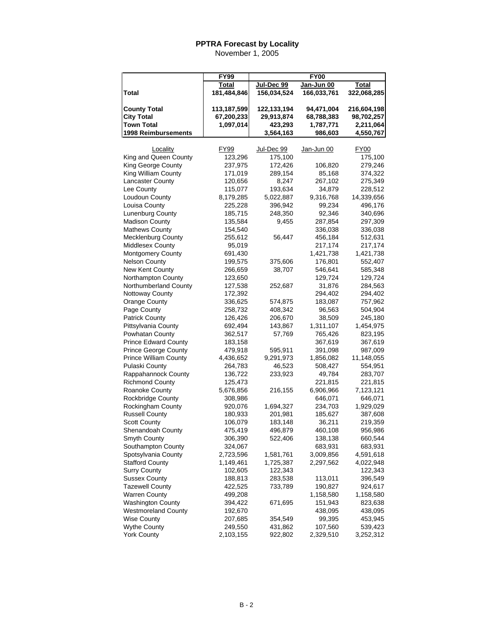|                                             | <b>FY99</b>        | <b>FY00</b>        |                    |                    |  |  |
|---------------------------------------------|--------------------|--------------------|--------------------|--------------------|--|--|
|                                             | Total              | Jul-Dec 99         | Jan-Jun 00         | Total              |  |  |
| Total                                       | 181,484,846        | 156,034,524        | 166,033,761        | 322,068,285        |  |  |
|                                             |                    |                    |                    |                    |  |  |
| <b>County Total</b>                         | 113,187,599        | 122,133,194        | 94,471,004         | 216,604,198        |  |  |
| <b>City Total</b>                           | 67,200,233         | 29,913,874         | 68,788,383         | 98,702,257         |  |  |
| <b>Town Total</b>                           | 1,097,014          | 423,293            | 1,787,771          | 2,211,064          |  |  |
| 1998 Reimbursements                         |                    | 3,564,163          | 986,603            | 4,550,767          |  |  |
|                                             |                    |                    |                    |                    |  |  |
| Locality                                    | FY99               | Jul-Dec 99         | Jan-Jun 00         | <b>FY00</b>        |  |  |
| King and Queen County                       | 123,296            | 175,100            |                    | 175,100            |  |  |
| King George County                          | 237,975            | 172,426            | 106,820            | 279,246            |  |  |
| King William County                         | 171,019            | 289,154            | 85,168             | 374,322            |  |  |
| Lancaster County                            | 120,656            | 8,247              | 267,102            | 275,349            |  |  |
| Lee County                                  | 115,077            | 193,634            | 34,879             | 228,512            |  |  |
| Loudoun County                              | 8,179,285          | 5,022,887          | 9,316,768          | 14,339,656         |  |  |
| Louisa County                               | 225,228            | 396,942            | 99,234             | 496,176            |  |  |
| <b>Lunenburg County</b>                     | 185,715            | 248,350            | 92,346             | 340,696            |  |  |
| <b>Madison County</b>                       | 135,584            | 9,455              | 287,854            | 297,309            |  |  |
| <b>Mathews County</b>                       | 154,540            |                    | 336,038            | 336,038            |  |  |
| <b>Mecklenburg County</b>                   | 255,612            | 56,447             | 456,184            | 512,631            |  |  |
| Middlesex County                            | 95,019             |                    | 217,174            | 217,174            |  |  |
| Montgomery County                           | 691,430            |                    | 1,421,738          | 1,421,738          |  |  |
| <b>Nelson County</b><br>New Kent County     | 199,575            | 375,606            | 176,801            | 552,407            |  |  |
|                                             | 266,659            | 38,707             | 546,641            | 585,348<br>129,724 |  |  |
| Northampton County<br>Northumberland County | 123,650            |                    | 129,724<br>31,876  |                    |  |  |
|                                             | 127,538<br>172,392 | 252,687            |                    | 284,563<br>294,402 |  |  |
| Nottoway County<br><b>Orange County</b>     | 336,625            | 574,875            | 294,402<br>183,087 | 757,962            |  |  |
| Page County                                 |                    |                    |                    |                    |  |  |
| <b>Patrick County</b>                       | 258,732<br>126,426 | 408,342<br>206,670 | 96,563<br>38,509   | 504,904<br>245,180 |  |  |
| Pittsylvania County                         | 692,494            | 143,867            | 1,311,107          | 1,454,975          |  |  |
| Powhatan County                             | 362,517            | 57,769             | 765,426            | 823,195            |  |  |
| <b>Prince Edward County</b>                 | 183,158            |                    | 367,619            | 367,619            |  |  |
| <b>Prince George County</b>                 | 479,918            | 595,911            | 391,098            | 987,009            |  |  |
| <b>Prince William County</b>                | 4,436,652          | 9,291,973          | 1,856,082          | 11,148,055         |  |  |
| Pulaski County                              | 264,783            | 46,523             | 508,427            | 554,951            |  |  |
| Rappahannock County                         | 136,722            | 233,923            | 49,784             | 283,707            |  |  |
| <b>Richmond County</b>                      | 125,473            |                    | 221,815            | 221,815            |  |  |
| Roanoke County                              | 5,676,856          | 216,155            | 6,906,966          | 7,123,121          |  |  |
| Rockbridge County                           | 308,986            |                    | 646,071            | 646,071            |  |  |
| Rockingham County                           | 920,076            | 1,694,327          | 234,703            | 1,929,029          |  |  |
| <b>Russell County</b>                       | 180,933            | 201,981            | 185,627            | 387,608            |  |  |
| <b>Scott County</b>                         | 106,079            | 183,148            | 36,211             | 219,359            |  |  |
| Shenandoah County                           | 475,419            | 496,879            | 460,108            | 956,986            |  |  |
| Smyth County                                | 306,390            | 522,406            | 138,138            | 660,544            |  |  |
| Southampton County                          | 324,067            |                    | 683,931            | 683,931            |  |  |
| Spotsylvania County                         | 2,723,596          | 1,581,761          | 3,009,856          | 4,591,618          |  |  |
| <b>Stafford County</b>                      | 1,149,461          | 1,725,387          | 2,297,562          | 4,022,948          |  |  |
| <b>Surry County</b>                         | 102,605            | 122,343            |                    | 122,343            |  |  |
| <b>Sussex County</b>                        | 188,813            | 283,538            | 113,011            | 396,549            |  |  |
| <b>Tazewell County</b>                      | 422,525            | 733,789            | 190,827            | 924,617            |  |  |
| <b>Warren County</b>                        | 499,208            |                    | 1,158,580          | 1,158,580          |  |  |
| <b>Washington County</b>                    | 394,422            | 671,695            | 151,943            | 823,638            |  |  |
| Westmoreland County                         | 192,670            |                    | 438,095            | 438,095            |  |  |
| <b>Wise County</b>                          | 207,685            | 354,549            | 99,395             | 453,945            |  |  |
| <b>Wythe County</b>                         | 249,550            | 431,862            | 107,560            | 539,423            |  |  |
| <b>York County</b>                          | 2,103,155          | 922,802            | 2,329,510          | 3,252,312          |  |  |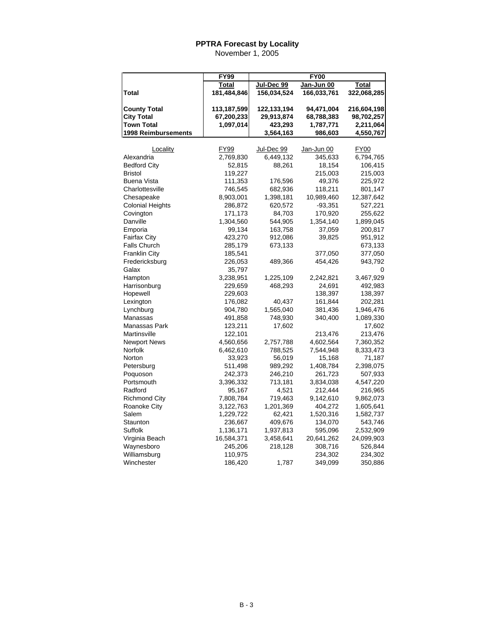|                            | <b>FY99</b> | <b>FY00</b> |             |              |  |  |
|----------------------------|-------------|-------------|-------------|--------------|--|--|
|                            | Total       | Jul-Dec 99  | Jan-Jun 00  | <b>Total</b> |  |  |
| Total                      | 181,484,846 | 156,034,524 | 166,033,761 | 322,068,285  |  |  |
|                            |             |             |             |              |  |  |
| <b>County Total</b>        | 113,187,599 | 122,133,194 | 94,471,004  | 216,604,198  |  |  |
| <b>City Total</b>          | 67,200,233  | 29,913,874  | 68,788,383  | 98,702,257   |  |  |
| <b>Town Total</b>          | 1,097,014   | 423,293     | 1,787,771   | 2,211,064    |  |  |
| <b>1998 Reimbursements</b> |             | 3,564,163   | 986,603     | 4,550,767    |  |  |
| Locality                   | FY99        | Jul-Dec 99  | Jan-Jun 00  | <b>FY00</b>  |  |  |
| Alexandria                 | 2,769,830   | 6,449,132   | 345,633     | 6,794,765    |  |  |
| <b>Bedford City</b>        | 52,815      | 88,261      | 18,154      | 106,415      |  |  |
| <b>Bristol</b>             | 119,227     |             | 215,003     | 215,003      |  |  |
| <b>Buena Vista</b>         | 111,353     | 176,596     | 49,376      | 225,972      |  |  |
| Charlottesville            | 746,545     | 682,936     | 118,211     | 801,147      |  |  |
| Chesapeake                 | 8,903,001   | 1,398,181   | 10,989,460  | 12,387,642   |  |  |
| Colonial Heights           | 286,872     | 620,572     | $-93,351$   | 527,221      |  |  |
| Covington                  | 171,173     | 84,703      | 170,920     | 255,622      |  |  |
| Danville                   | 1,304,560   | 544,905     | 1,354,140   | 1,899,045    |  |  |
| Emporia                    | 99,134      | 163,758     | 37,059      | 200,817      |  |  |
| Fairfax City               | 423,270     | 912,086     | 39,825      | 951,912      |  |  |
| <b>Falls Church</b>        | 285,179     | 673,133     |             | 673,133      |  |  |
| <b>Franklin City</b>       | 185,541     |             | 377,050     | 377,050      |  |  |
| Fredericksburg             | 226,053     | 489,366     | 454,426     | 943,792      |  |  |
| Galax                      | 35,797      |             |             | 0            |  |  |
| Hampton                    | 3,238,951   | 1,225,109   | 2,242,821   | 3,467,929    |  |  |
| Harrisonburg               | 229,659     | 468,293     | 24,691      | 492,983      |  |  |
| Hopewell                   | 229,603     |             | 138,397     | 138,397      |  |  |
| Lexington                  | 176,082     | 40,437      | 161,844     | 202,281      |  |  |
| Lynchburg                  | 904,780     | 1,565,040   | 381,436     | 1,946,476    |  |  |
| Manassas                   | 491,858     | 748,930     | 340,400     | 1,089,330    |  |  |
| Manassas Park              | 123,211     | 17,602      |             | 17,602       |  |  |
| Martinsville               | 122,101     |             | 213,476     | 213,476      |  |  |
| <b>Newport News</b>        | 4,560,656   | 2,757,788   | 4,602,564   | 7,360,352    |  |  |
| Norfolk                    | 6,462,610   | 788,525     | 7,544,948   | 8,333,473    |  |  |
| Norton                     | 33,923      | 56,019      | 15,168      | 71,187       |  |  |
| Petersburg                 | 511,498     | 989,292     | 1,408,784   | 2,398,075    |  |  |
| Poquoson                   | 242,373     | 246,210     | 261,723     | 507,933      |  |  |
| Portsmouth                 | 3,396,332   | 713,181     | 3,834,038   | 4,547,220    |  |  |
| Radford                    | 95,167      | 4,521       | 212,444     | 216,965      |  |  |
| <b>Richmond City</b>       | 7,808,784   | 719,463     | 9,142,610   | 9,862,073    |  |  |
| Roanoke City               | 3,122,763   | 1,201,369   | 404,272     | 1,605,641    |  |  |
| Salem                      | 1,229,722   | 62,421      | 1,520,316   | 1,582,737    |  |  |
| Staunton                   | 236,667     | 409,676     | 134,070     | 543,746      |  |  |
| Suffolk                    | 1,136,171   | 1,937,813   | 595,096     | 2,532,909    |  |  |
| Virginia Beach             | 16,584,371  | 3,458,641   | 20,641,262  | 24,099,903   |  |  |
| Waynesboro                 | 245,206     | 218,128     | 308,716     | 526,844      |  |  |
| Williamsburg               | 110,975     |             | 234,302     | 234,302      |  |  |
| Winchester                 | 186,420     | 1,787       | 349,099     | 350,886      |  |  |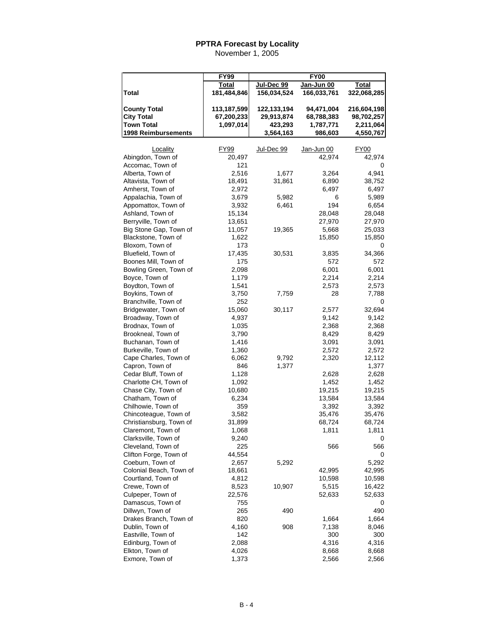|                                           | <b>FY99</b>    |             | <b>FY00</b>    |                |
|-------------------------------------------|----------------|-------------|----------------|----------------|
|                                           | Total          | Jul-Dec 99  | Jan-Jun 00     | Total          |
| <b>Total</b>                              | 181,484,846    | 156,034,524 | 166,033,761    | 322,068,285    |
|                                           |                |             |                |                |
| <b>County Total</b>                       | 113,187,599    | 122,133,194 | 94,471,004     | 216,604,198    |
| <b>City Total</b>                         | 67,200,233     | 29,913,874  | 68,788,383     | 98,702,257     |
| <b>Town Total</b>                         | 1,097,014      | 423,293     | 1,787,771      | 2,211,064      |
| <b>1998 Reimbursements</b>                |                | 3,564,163   | 986,603        | 4,550,767      |
|                                           |                |             |                |                |
| Locality                                  | FY99           | Jul-Dec 99  | Jan-Jun 00     | FY00           |
| Abingdon, Town of                         | 20,497         |             | 42,974         | 42,974         |
| Accomac, Town of                          | 121            |             |                | 0              |
| Alberta, Town of                          | 2,516          | 1,677       | 3,264          | 4,941          |
| Altavista, Town of                        | 18,491         | 31,861      | 6,890          | 38,752         |
| Amherst, Town of                          | 2,972          |             | 6,497          | 6,497          |
| Appalachia, Town of                       | 3,679          | 5,982       | 6              | 5,989          |
| Appomattox, Town of                       | 3,932          | 6,461       | 194            | 6,654          |
| Ashland, Town of                          | 15,134         |             | 28,048         | 28,048         |
| Berryville, Town of                       | 13,651         |             | 27,970         | 27,970         |
| Big Stone Gap, Town of                    | 11,057         | 19,365      | 5,668          | 25,033         |
| Blackstone, Town of                       | 1,622          |             | 15,850         | 15,850         |
| Bloxom, Town of                           | 173            |             |                | 0              |
| Bluefield, Town of                        | 17,435         | 30,531      | 3,835          | 34,366         |
| Boones Mill, Town of                      | 175            |             | 572            | 572            |
| Bowling Green, Town of                    | 2,098          |             | 6,001          | 6,001          |
| Boyce, Town of                            | 1,179          |             | 2,214          | 2,214          |
| Boydton, Town of                          | 1,541          |             | 2,573          | 2,573          |
| Boykins, Town of                          | 3,750          | 7,759       | 28             | 7,788          |
| Branchville, Town of                      | 252            |             |                | 0              |
| Bridgewater, Town of                      | 15,060         | 30,117      | 2,577          | 32,694         |
| Broadway, Town of                         | 4,937          |             | 9,142          | 9,142          |
| Brodnax, Town of<br>Brookneal, Town of    | 1,035<br>3,790 |             | 2,368<br>8,429 | 2,368<br>8,429 |
| Buchanan, Town of                         | 1,416          |             | 3,091          | 3,091          |
| Burkeville, Town of                       | 1,360          |             | 2,572          | 2,572          |
| Cape Charles, Town of                     | 6,062          | 9,792       | 2,320          | 12,112         |
| Capron, Town of                           | 846            | 1,377       |                | 1,377          |
| Cedar Bluff, Town of                      | 1,128          |             | 2,628          | 2,628          |
| Charlotte CH, Town of                     | 1,092          |             | 1,452          | 1,452          |
| Chase City, Town of                       | 10,680         |             | 19,215         | 19,215         |
| Chatham, Town of                          | 6,234          |             | 13,584         | 13,584         |
| Chilhowie, Town of                        | 359            |             | 3,392          | 3,392          |
| Chincoteague, Town of                     | 3,582          |             | 35,476         | 35,476         |
| Christiansburg, Town of                   | 31,899         |             | 68,724         | 68,724         |
| Claremont, Town of                        | 1,068          |             | 1,811          | 1,811          |
| Clarksville, Town of                      | 9,240          |             |                | 0              |
| Cleveland, Town of                        | 225            |             | 566            | 566            |
| Clifton Forge, Town of                    | 44,554         |             |                | 0              |
| Coeburn, Town of                          | 2,657          | 5,292       |                | 5,292          |
| Colonial Beach, Town of                   | 18,661         |             | 42,995         | 42,995         |
| Courtland, Town of                        | 4,812          |             | 10,598         | 10,598         |
| Crewe, Town of                            | 8,523          | 10,907      | 5,515          | 16,422         |
| Culpeper, Town of                         | 22,576         |             | 52,633         | 52,633         |
| Damascus, Town of                         | 755            |             |                | 0              |
| Dillwyn, Town of                          | 265            | 490         |                | 490            |
| Drakes Branch, Town of<br>Dublin, Town of | 820<br>4,160   | 908         | 1,664<br>7,138 | 1,664<br>8,046 |
| Eastville, Town of                        | 142            |             | 300            | 300            |
| Edinburg, Town of                         | 2,088          |             | 4,316          | 4,316          |
| Elkton, Town of                           | 4,026          |             | 8,668          | 8,668          |
| Exmore, Town of                           | 1,373          |             | 2,566          | 2,566          |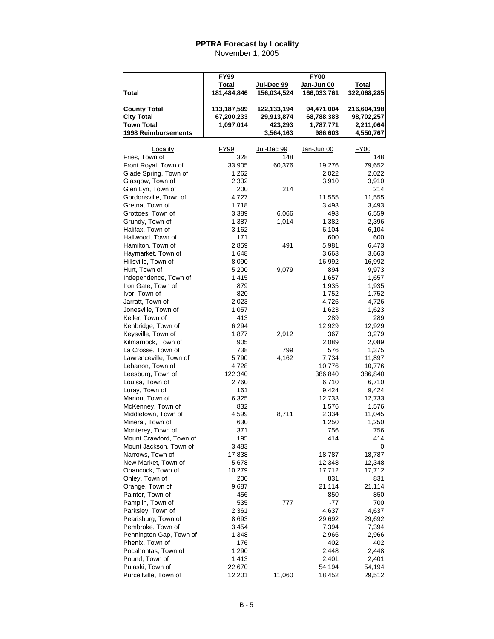|                         | <b>FY99</b> | <b>FY00</b> |             |              |  |  |
|-------------------------|-------------|-------------|-------------|--------------|--|--|
|                         | Total       | Jul-Dec 99  | Jan-Jun 00  | <b>Total</b> |  |  |
| <b>Total</b>            | 181,484,846 | 156,034,524 | 166,033,761 | 322,068,285  |  |  |
|                         |             |             |             |              |  |  |
| <b>County Total</b>     | 113,187,599 | 122,133,194 | 94,471,004  | 216,604,198  |  |  |
| City Total              | 67,200,233  | 29,913,874  | 68,788,383  | 98,702,257   |  |  |
| <b>Town Total</b>       | 1,097,014   | 423,293     | 1,787,771   | 2,211,064    |  |  |
| 1998 Reimbursements     |             | 3,564,163   | 986,603     | 4,550,767    |  |  |
|                         |             |             |             |              |  |  |
| Locality                | <b>FY99</b> | Jul-Dec 99  | Jan-Jun 00  | <b>FY00</b>  |  |  |
| Fries, Town of          | 328         | 148         |             | 148          |  |  |
| Front Royal, Town of    | 33,905      | 60,376      | 19,276      | 79,652       |  |  |
| Glade Spring, Town of   | 1,262       |             | 2,022       | 2,022        |  |  |
| Glasgow, Town of        | 2,332       |             | 3,910       | 3,910        |  |  |
| Glen Lyn, Town of       | 200         | 214         |             | 214          |  |  |
| Gordonsville, Town of   | 4,727       |             | 11,555      | 11,555       |  |  |
| Gretna, Town of         | 1,718       |             | 3,493       | 3,493        |  |  |
| Grottoes, Town of       | 3,389       | 6,066       | 493         | 6,559        |  |  |
| Grundy, Town of         | 1,387       | 1,014       | 1,382       | 2,396        |  |  |
| Halifax, Town of        | 3,162       |             | 6,104       | 6,104        |  |  |
| Hallwood, Town of       | 171         |             | 600         | 600          |  |  |
| Hamilton, Town of       | 2,859       | 491         | 5,981       | 6,473        |  |  |
| Haymarket, Town of      | 1,648       |             | 3,663       | 3,663        |  |  |
| Hillsville, Town of     | 8,090       |             | 16,992      | 16,992       |  |  |
| Hurt, Town of           | 5,200       | 9,079       | 894         | 9,973        |  |  |
| Independence, Town of   | 1,415       |             | 1,657       | 1,657        |  |  |
| Iron Gate, Town of      | 879         |             | 1,935       | 1,935        |  |  |
| Ivor, Town of           | 820         |             | 1,752       | 1,752        |  |  |
| Jarratt, Town of        | 2,023       |             | 4,726       | 4,726        |  |  |
| Jonesville, Town of     | 1,057       |             | 1,623       | 1,623        |  |  |
| Keller, Town of         | 413         |             | 289         | 289          |  |  |
| Kenbridge, Town of      | 6,294       |             | 12,929      | 12,929       |  |  |
| Keysville, Town of      | 1,877       | 2,912       | 367         | 3,279        |  |  |
| Kilmarnock, Town of     | 905         |             | 2,089       | 2,089        |  |  |
| La Crosse, Town of      | 738         | 799         | 576         | 1,375        |  |  |
| Lawrenceville, Town of  | 5,790       | 4,162       | 7,734       | 11,897       |  |  |
| Lebanon, Town of        | 4,728       |             | 10,776      | 10,776       |  |  |
| Leesburg, Town of       | 122,340     |             | 386,840     | 386,840      |  |  |
| Louisa, Town of         | 2,760       |             | 6,710       | 6,710        |  |  |
| Luray, Town of          | 161         |             | 9,424       | 9,424        |  |  |
| Marion, Town of         | 6,325       |             | 12,733      | 12,733       |  |  |
| McKenney, Town of       | 832         |             | 1,576       | 1,576        |  |  |
| Middletown, Town of     | 4,599       | 8,711       | 2,334       | 11,045       |  |  |
| Mineral, Town of        | 630         |             | 1,250       | 1,250        |  |  |
| Monterey, Town of       | 371         |             | 756         | 756          |  |  |
| Mount Crawford, Town of | 195         |             | 414         | 414          |  |  |
| Mount Jackson, Town of  | 3,483       |             |             | 0            |  |  |
| Narrows, Town of        | 17,838      |             | 18,787      | 18,787       |  |  |
| New Market, Town of     | 5,678       |             | 12,348      | 12,348       |  |  |
| Onancock, Town of       | 10,279      |             | 17,712      | 17,712       |  |  |
| Onley, Town of          | 200         |             | 831         | 831          |  |  |
| Orange, Town of         | 9,687       |             | 21,114      | 21,114       |  |  |
| Painter, Town of        | 456         |             | 850         | 850          |  |  |
| Pamplin, Town of        | 535         | 777         | -77         | 700          |  |  |
| Parksley, Town of       | 2,361       |             | 4,637       | 4,637        |  |  |
| Pearisburg, Town of     | 8,693       |             | 29,692      | 29,692       |  |  |
| Pembroke, Town of       | 3,454       |             | 7,394       | 7,394        |  |  |
| Pennington Gap, Town of | 1,348       |             | 2,966       | 2,966        |  |  |
| Phenix, Town of         | 176         |             | 402         | 402          |  |  |
| Pocahontas, Town of     | 1,290       |             | 2,448       | 2,448        |  |  |
| Pound, Town of          | 1,413       |             | 2,401       | 2,401        |  |  |
| Pulaski, Town of        | 22,670      |             | 54,194      | 54,194       |  |  |
| Purcellville, Town of   | 12,201      | 11,060      | 18,452      | 29,512       |  |  |
|                         |             |             |             |              |  |  |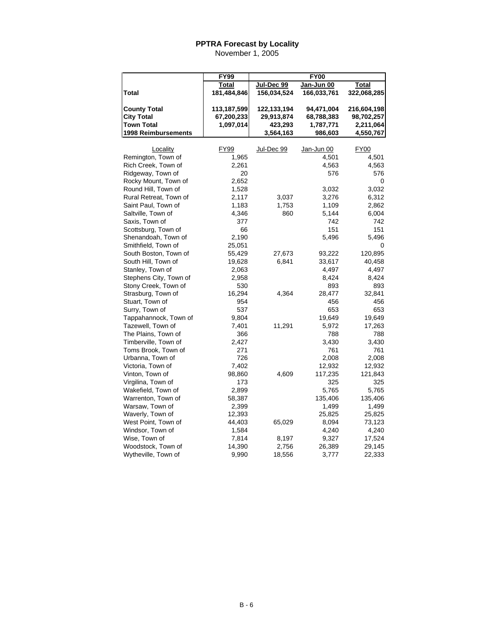|                                                                                      | <b>FY99</b>                            |                                                   | <b>FY00</b>                                      |                                                     |
|--------------------------------------------------------------------------------------|----------------------------------------|---------------------------------------------------|--------------------------------------------------|-----------------------------------------------------|
|                                                                                      | Total                                  | Jul-Dec 99                                        | Jan-Jun 00                                       | Total                                               |
| <b>Total</b>                                                                         | 181,484,846                            | 156,034,524                                       | 166,033,761                                      | 322,068,285                                         |
| <b>County Total</b><br><b>City Total</b><br><b>Town Total</b><br>1998 Reimbursements | 113,187,599<br>67,200,233<br>1,097,014 | 122,133,194<br>29,913,874<br>423,293<br>3,564,163 | 94,471,004<br>68,788,383<br>1,787,771<br>986,603 | 216,604,198<br>98,702,257<br>2,211,064<br>4,550,767 |
|                                                                                      |                                        |                                                   |                                                  |                                                     |
| Locality                                                                             | <b>FY99</b>                            | Jul-Dec 99                                        | Jan-Jun 00                                       | <b>FY00</b>                                         |
| Remington, Town of                                                                   | 1,965                                  |                                                   | 4,501                                            | 4,501                                               |
| Rich Creek, Town of                                                                  | 2,261                                  |                                                   | 4,563                                            | 4,563                                               |
| Ridgeway, Town of                                                                    | 20                                     |                                                   | 576                                              | 576                                                 |
| Rocky Mount, Town of                                                                 | 2,652                                  |                                                   |                                                  | 0                                                   |
| Round Hill, Town of                                                                  | 1,528                                  |                                                   | 3,032                                            | 3,032                                               |
| Rural Retreat, Town of                                                               | 2,117                                  | 3,037                                             | 3,276                                            | 6,312                                               |
| Saint Paul, Town of                                                                  | 1,183                                  | 1,753                                             | 1,109                                            | 2,862                                               |
| Saltville, Town of                                                                   | 4,346                                  | 860                                               | 5,144                                            | 6,004                                               |
| Saxis, Town of                                                                       | 377                                    |                                                   | 742                                              | 742                                                 |
| Scottsburg, Town of                                                                  | 66                                     |                                                   | 151                                              | 151                                                 |
| Shenandoah, Town of                                                                  | 2,190                                  |                                                   | 5,496                                            | 5,496                                               |
| Smithfield, Town of                                                                  | 25,051                                 |                                                   |                                                  | 0                                                   |
| South Boston, Town of                                                                | 55,429                                 | 27,673                                            | 93,222                                           | 120,895                                             |
| South Hill, Town of                                                                  | 19,628                                 | 6,841                                             | 33,617                                           | 40,458                                              |
| Stanley, Town of                                                                     | 2,063                                  |                                                   | 4,497                                            | 4,497                                               |
| Stephens City, Town of                                                               | 2,958                                  |                                                   | 8,424                                            | 8,424                                               |
| Stony Creek, Town of                                                                 | 530                                    |                                                   | 893                                              | 893                                                 |
| Strasburg, Town of                                                                   | 16,294                                 | 4,364                                             | 28,477                                           | 32,841                                              |
| Stuart, Town of                                                                      | 954                                    |                                                   | 456                                              | 456                                                 |
| Surry, Town of                                                                       | 537                                    |                                                   | 653                                              | 653                                                 |
| Tappahannock, Town of                                                                | 9,804                                  |                                                   | 19,649                                           | 19,649                                              |
| Tazewell, Town of                                                                    | 7,401                                  | 11,291                                            | 5,972                                            | 17,263                                              |
| The Plains, Town of                                                                  | 366                                    |                                                   | 788                                              | 788                                                 |
| Timberville, Town of                                                                 | 2,427                                  |                                                   | 3,430                                            | 3,430                                               |
| Toms Brook, Town of                                                                  | 271                                    |                                                   | 761                                              | 761                                                 |
| Urbanna, Town of                                                                     | 726                                    |                                                   | 2,008                                            | 2,008                                               |
| Victoria, Town of                                                                    | 7,402                                  |                                                   | 12,932                                           | 12,932                                              |
| Vinton, Town of                                                                      | 98,860                                 | 4,609                                             | 117,235                                          | 121,843                                             |
| Virgilina, Town of                                                                   | 173                                    |                                                   | 325                                              | 325                                                 |
| Wakefield, Town of                                                                   | 2,899                                  |                                                   | 5,765                                            | 5,765                                               |
| Warrenton, Town of                                                                   | 58,387                                 |                                                   | 135,406                                          | 135,406                                             |
| Warsaw, Town of                                                                      | 2,399                                  |                                                   | 1,499                                            | 1,499                                               |
| Waverly, Town of                                                                     | 12,393                                 |                                                   | 25,825                                           | 25,825                                              |
| West Point, Town of                                                                  | 44,403                                 | 65,029                                            | 8,094                                            | 73,123                                              |
| Windsor, Town of                                                                     | 1,584                                  |                                                   | 4,240                                            | 4,240                                               |
| Wise, Town of                                                                        | 7,814                                  | 8,197                                             | 9,327                                            | 17,524                                              |
| Woodstock, Town of                                                                   | 14,390                                 | 2,756                                             | 26,389                                           | 29,145                                              |
| Wytheville, Town of                                                                  | 9,990                                  | 18,556                                            | 3,777                                            | 22,333                                              |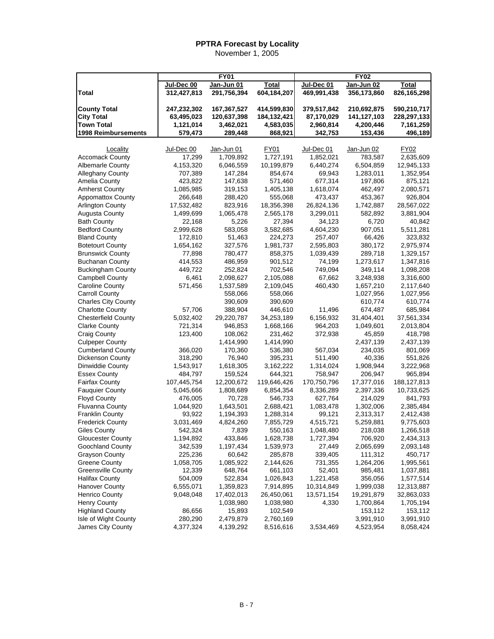|                            |             | <b>FY01</b> |              |             | <b>FY02</b> |               |
|----------------------------|-------------|-------------|--------------|-------------|-------------|---------------|
|                            | Jul-Dec 00  | Jan-Jun 01  | <b>Total</b> | Jul-Dec 01  | Jan-Jun 02  | <b>Total</b>  |
| <b>Total</b>               | 312,427,813 | 291,756,394 | 604,184,207  | 469,991,438 | 356,173,860 | 826,165,298   |
|                            |             |             |              |             |             |               |
| <b>County Total</b>        | 247,232,302 | 167,367,527 | 414,599,830  | 379,517,842 | 210,692,875 | 590,210,717   |
| <b>City Total</b>          | 63,495,023  | 120,637,398 | 184,132,421  | 87,170,029  | 141,127,103 | 228,297,133   |
| <b>Town Total</b>          | 1,121,014   | 3,462,021   | 4,583,035    | 2,960,814   | 4,200,446   | 7,161,259     |
| 1998 Reimbursements        | 579,473     | 289,448     | 868,921      | 342,753     | 153,436     | 496,189       |
|                            |             |             |              |             |             |               |
| Locality                   | Jul-Dec 00  | Jan-Jun 01  | FY01         | Jul-Dec 01  | Jan-Jun 02  | FY02          |
| <b>Accomack County</b>     | 17,299      | 1,709,892   | 1,727,191    | 1,852,021   | 783,587     | 2,635,609     |
| <b>Albemarle County</b>    | 4,153,320   | 6,046,559   | 10,199,879   | 6,440,274   | 6,504,859   | 12,945,133    |
| <b>Alleghany County</b>    | 707,389     | 147,284     | 854,674      | 69,943      | 1,283,011   | 1,352,954     |
| Amelia County              | 423,822     | 147,638     | 571,460      | 677,314     | 197,806     | 875,121       |
| <b>Amherst County</b>      | 1,085,985   | 319,153     | 1,405,138    | 1,618,074   | 462,497     | 2,080,571     |
| <b>Appomattox County</b>   | 266,648     | 288,420     | 555,068      | 473,437     | 453,367     | 926,804       |
| <b>Arlington County</b>    | 17,532,482  | 823,916     | 18,356,398   | 26,824,136  | 1,742,887   | 28,567,022    |
| Augusta County             | 1,499,699   | 1,065,478   | 2,565,178    | 3,299,011   | 582,892     | 3,881,904     |
| <b>Bath County</b>         | 22,168      | 5,226       | 27,394       | 34,123      | 6,720       | 40,842        |
| <b>Bedford County</b>      | 2,999,628   | 583,058     | 3,582,685    | 4,604,230   | 907,051     | 5,511,281     |
| <b>Bland County</b>        | 172,810     | 51,463      | 224,273      | 257,407     | 66,426      | 323,832       |
| <b>Botetourt County</b>    | 1,654,162   | 327,576     | 1,981,737    | 2,595,803   | 380,172     | 2,975,974     |
| <b>Brunswick County</b>    | 77,898      | 780,477     | 858,375      | 1,039,439   | 289,718     | 1,329,157     |
| <b>Buchanan County</b>     | 414,553     | 486,959     | 901,512      | 74,199      | 1,273,617   | 1,347,816     |
| <b>Buckingham County</b>   | 449,722     | 252,824     | 702,546      | 749,094     | 349,114     | 1,098,208     |
| <b>Campbell County</b>     | 6,461       | 2,098,627   | 2,105,088    | 67,662      | 3,248,938   | 3,316,600     |
| Caroline County            | 571,456     | 1,537,589   | 2,109,045    | 460,430     | 1,657,210   | 2,117,640     |
| <b>Carroll County</b>      |             | 558,066     | 558,066      |             | 1,027,956   | 1,027,956     |
| <b>Charles City County</b> |             | 390,609     | 390,609      |             | 610,774     | 610,774       |
| <b>Charlotte County</b>    | 57,706      | 388,904     | 446,610      | 11,496      | 674,487     | 685,984       |
| <b>Chesterfield County</b> | 5,032,402   | 29,220,787  | 34,253,189   | 6,156,932   | 31,404,401  | 37,561,334    |
| <b>Clarke County</b>       | 721,314     | 946,853     | 1,668,166    | 964,203     | 1,049,601   | 2,013,804     |
| <b>Craig County</b>        | 123,400     | 108,062     | 231,462      | 372,938     | 45,859      | 418,798       |
| <b>Culpeper County</b>     |             | 1,414,990   | 1,414,990    |             | 2,437,139   | 2,437,139     |
| <b>Cumberland County</b>   | 366,020     | 170,360     | 536,380      | 567,034     | 234,035     | 801,069       |
| <b>Dickenson County</b>    | 318,290     | 76,940      | 395,231      | 511,490     | 40,336      | 551,826       |
| Dinwiddie County           | 1,543,917   | 1,618,305   | 3,162,222    | 1,314,024   | 1,908,944   | 3,222,968     |
| <b>Essex County</b>        | 484,797     | 159,524     | 644,321      | 758,947     | 206,947     | 965,894       |
| <b>Fairfax County</b>      | 107,445,754 | 12,200,672  | 119,646,426  | 170,750,796 | 17,377,016  | 188, 127, 813 |
| <b>Fauquier County</b>     | 5,045,666   | 1,808,689   | 6,854,354    | 8,336,289   | 2,397,336   | 10,733,625    |
| <b>Floyd County</b>        | 476,005     | 70,728      | 546,733      | 627,764     | 214,029     | 841,793       |
| Fluvanna County            | 1,044,920   | 1,643,501   | 2,688,421    | 1,083,478   | 1,302,006   | 2,385,484     |
| <b>Franklin County</b>     | 93,922      | 1,194,393   | 1,288,314    | 99,121      | 2,313,317   | 2,412,438     |
| <b>Frederick County</b>    | 3,031,469   | 4,824,260   | 7,855,729    | 4,515,721   | 5,259,881   | 9,775,603     |
| Giles County               | 542.324     | 7,839       | 550,163      | 1,048,480   | 218,038     | 1,266,518     |
| <b>Gloucester County</b>   | 1,194,892   | 433,846     | 1,628,738    | 1,727,394   | 706,920     | 2,434,313     |
| <b>Goochland County</b>    | 342,539     | 1,197,434   | 1,539,973    | 27,449      | 2,065,699   | 2,093,148     |
| <b>Grayson County</b>      | 225,236     | 60,642      | 285,878      | 339,405     | 111,312     | 450,717       |
| Greene County              | 1,058,705   | 1,085,922   | 2,144,626    | 731,355     | 1,264,206   | 1,995,561     |
| <b>Greensville County</b>  | 12,339      | 648,764     | 661,103      | 52,401      | 985,481     | 1,037,881     |
| <b>Halifax County</b>      | 504,009     | 522,834     | 1,026,843    | 1,221,458   | 356,056     | 1,577,514     |
| <b>Hanover County</b>      | 6,555,071   | 1,359,823   | 7,914,895    | 10,314,849  | 1,999,038   | 12,313,887    |
| <b>Henrico County</b>      | 9,048,048   | 17,402,013  | 26,450,061   | 13,571,154  | 19,291,879  | 32,863,033    |
| <b>Henry County</b>        |             | 1,038,980   | 1,038,980    | 4,330       | 1,700,864   | 1,705,194     |
| <b>Highland County</b>     | 86,656      | 15,893      | 102,549      |             | 153,112     | 153,112       |
| Isle of Wight County       | 280,290     | 2,479,879   | 2,760,169    |             | 3,991,910   | 3,991,910     |
| James City County          | 4,377,324   | 4,139,292   | 8,516,616    | 3,534,469   | 4,523,954   | 8,058,424     |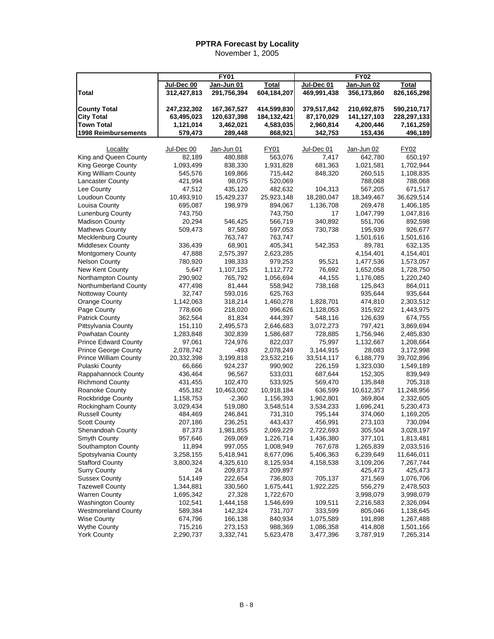|                                              | <b>FY01</b>        |                     |                    | FY02                 |                    |                      |  |
|----------------------------------------------|--------------------|---------------------|--------------------|----------------------|--------------------|----------------------|--|
|                                              | Jul-Dec 00         | Jan-Jun 01          | <b>Total</b>       | Jul-Dec 01           | Jan-Jun 02         | Total                |  |
| <b>Total</b>                                 | 312,427,813        | 291,756,394         | 604,184,207        | 469,991,438          | 356,173,860        | 826,165,298          |  |
|                                              |                    |                     |                    |                      |                    |                      |  |
| <b>County Total</b>                          | 247,232,302        | 167,367,527         | 414,599,830        | 379,517,842          | 210,692,875        | 590,210,717          |  |
| <b>City Total</b>                            | 63,495,023         | 120,637,398         | 184, 132, 421      | 87,170,029           | 141, 127, 103      | 228,297,133          |  |
| <b>Town Total</b>                            | 1,121,014          | 3,462,021           | 4,583,035          | 2,960,814            | 4,200,446          | 7,161,259            |  |
| 1998 Reimbursements                          | 579,473            | 289,448             | 868,921            | 342,753              | 153,436            | 496,189              |  |
|                                              |                    |                     |                    |                      |                    |                      |  |
| Locality                                     | Jul-Dec 00         | Jan-Jun 01          | FY01               | Jul-Dec 01           | Jan-Jun 02         | FY02                 |  |
| King and Queen County                        | 82,189             | 480,888             | 563,076            | 7,417                | 642,780            | 650,197              |  |
| King George County                           | 1,093,499          | 838,330             | 1,931,828          | 681,363              | 1,021,581          | 1,702,944            |  |
| King William County                          | 545,576            | 169,866             | 715,442            | 848,320              | 260,515            | 1,108,835            |  |
| <b>Lancaster County</b>                      | 421,994            | 98,075              | 520,069            |                      | 788,068            | 788,068              |  |
| Lee County                                   | 47,512             | 435,120             | 482,632            | 104,313              | 567,205            | 671,517              |  |
| Loudoun County                               | 10,493,910         | 15,429,237          | 25,923,148         | 18,280,047           | 18,349,467         | 36,629,514           |  |
| Louisa County                                | 695,087            | 198,979             | 894,067            | 1,136,708            | 269,478            | 1,406,185            |  |
| Lunenburg County                             | 743,750            |                     | 743,750            | 17                   | 1,047,799          | 1,047,816            |  |
| <b>Madison County</b>                        | 20,294             | 546,425             | 566,719            | 340,892              | 551,706            | 892,598              |  |
| <b>Mathews County</b>                        | 509,473            | 87,580              | 597,053            | 730,738              | 195,939            | 926,677              |  |
| <b>Mecklenburg County</b>                    |                    | 763,747             | 763,747            |                      | 1,501,616          | 1,501,616            |  |
| Middlesex County                             | 336,439            | 68,901              | 405,341            | 542,353              | 89,781             | 632,135              |  |
| <b>Montgomery County</b>                     | 47,888             | 2,575,397           | 2,623,285          |                      | 4,154,401          | 4,154,401            |  |
| <b>Nelson County</b>                         | 780,920            | 198,333             | 979,253            | 95,521               | 1,477,536          | 1,573,057            |  |
| New Kent County                              | 5,647              | 1,107,125           | 1,112,772          | 76,692               | 1,652,058          | 1,728,750            |  |
| Northampton County                           | 290,902            | 765,792             | 1,056,694          | 44,155               | 1,176,085          | 1,220,240            |  |
| Northumberland County                        | 477,498            | 81,444              | 558,942            | 738,168              | 125,843            | 864,011              |  |
| Nottoway County                              | 32,747             | 593,016             | 625,763            |                      | 935,644            | 935,644              |  |
| Orange County                                | 1,142,063          | 318,214             | 1,460,278          | 1,828,701            | 474,810            | 2,303,512            |  |
| Page County                                  | 778,606            | 218,020             | 996,626<br>444,397 | 1,128,053<br>548,116 | 315,922            | 1,443,975            |  |
| <b>Patrick County</b><br>Pittsylvania County | 362,564<br>151,110 | 81,834<br>2,495,573 | 2,646,683          | 3,072,273            | 126,639<br>797,421 | 674,755<br>3,869,694 |  |
| Powhatan County                              | 1,283,848          | 302,839             | 1,586,687          | 728,885              | 1,756,946          | 2,485,830            |  |
| <b>Prince Edward County</b>                  | 97,061             | 724,976             | 822,037            | 75,997               | 1,132,667          | 1,208,664            |  |
| Prince George County                         | 2,078,742          | -493                | 2,078,249          | 3,144,915            | 28,083             | 3,172,998            |  |
| <b>Prince William County</b>                 | 20,332,398         | 3,199,818           | 23,532,216         | 33,514,117           | 6,188,779          | 39,702,896           |  |
| Pulaski County                               | 66,666             | 924,237             | 990,902            | 226,159              | 1,323,030          | 1,549,189            |  |
| Rappahannock County                          | 436,464            | 96,567              | 533,031            | 687,644              | 152,305            | 839,949              |  |
| <b>Richmond County</b>                       | 431,455            | 102,470             | 533,925            | 569,470              | 135,848            | 705,318              |  |
| <b>Roanoke County</b>                        | 455,182            | 10,463,002          | 10,918,184         | 636,599              | 10,612,357         | 11,248,956           |  |
| <b>Rockbridge County</b>                     | 1,158,753          | $-2,360$            | 1,156,393          | 1,962,801            | 369,804            | 2,332,605            |  |
| Rockingham County                            | 3,029,434          | 519,080             | 3,548,514          | 3,534,233            | 1,696,241          | 5,230,473            |  |
| <b>Russell County</b>                        | 484,469            | 246,841             | 731,310            | 795,144              | 374,060            | 1,169,205            |  |
| <b>Scott County</b>                          | 207,186            | 236,251             | 443,437            | 456,991              | 273,103            | 730,094              |  |
| Shenandoah County                            | 87,373             | 1,981,855           | 2,069,229          | 2,722,693            | 305,504            | 3,028,197            |  |
| Smyth County                                 | 957,646            | 269,069             | 1,226,714          | 1,436,380            | 377,101            | 1,813,481            |  |
| Southampton County                           | 11,894             | 997,055             | 1,008,949          | 767,678              | 1,265,839          | 2,033,516            |  |
| Spotsylvania County                          | 3,258,155          | 5,418,941           | 8,677,096          | 5,406,363            | 6,239,649          | 11,646,011           |  |
| <b>Stafford County</b>                       | 3,800,324          | 4,325,610           | 8,125,934          | 4,158,538            | 3,109,206          | 7,267,744            |  |
| <b>Surry County</b>                          | 24                 | 209,873             | 209,897            |                      | 425,473            | 425,473              |  |
| <b>Sussex County</b>                         | 514,149            | 222,654             | 736,803            | 705,137              | 371,569            | 1,076,706            |  |
| <b>Tazewell County</b>                       | 1,344,881          | 330,560             | 1,675,441          | 1,922,225            | 556,279            | 2,478,503            |  |
| <b>Warren County</b>                         | 1,695,342          | 27,328              | 1,722,670          |                      | 3,998,079          | 3,998,079            |  |
| <b>Washington County</b>                     | 102,541            | 1,444,158           | 1,546,699          | 109,511              | 2,216,583          | 2,326,094            |  |
| <b>Westmoreland County</b>                   | 589,384            | 142,324             | 731,707            | 333,599              | 805,046            | 1,138,645            |  |
| <b>Wise County</b>                           | 674,796            | 166,138             | 840,934            | 1,075,589            | 191,898            | 1,267,488            |  |
| <b>Wythe County</b>                          | 715,216            | 273,153             | 988,369            | 1,086,358            | 414,808            | 1,501,166            |  |
| <b>York County</b>                           | 2,290,737          | 3,332,741           | 5,623,478          | 3,477,396            | 3,787,919          | 7,265,314            |  |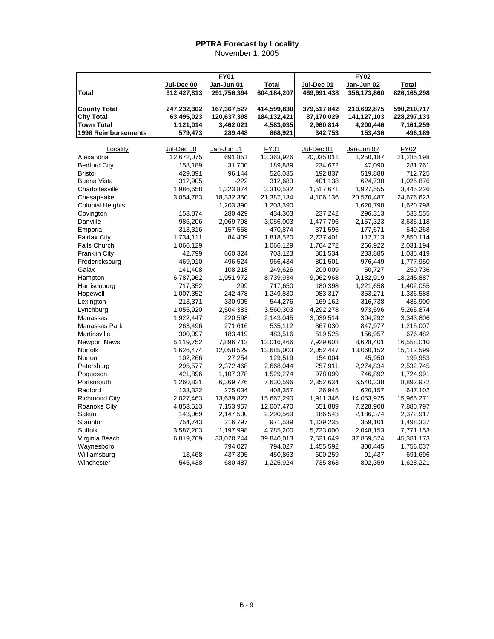|                            |             | <b>FY01</b> |              |             | <b>FY02</b> |              |
|----------------------------|-------------|-------------|--------------|-------------|-------------|--------------|
|                            | Jul-Dec 00  | Jan-Jun 01  | <b>Total</b> | Jul-Dec 01  | Jan-Jun 02  | <b>Total</b> |
| Total                      | 312,427,813 | 291,756,394 | 604,184,207  | 469,991,438 | 356,173,860 | 826,165,298  |
| <b>County Total</b>        | 247,232,302 | 167,367,527 | 414,599,830  | 379,517,842 | 210,692,875 | 590,210,717  |
| <b>City Total</b>          | 63,495,023  | 120,637,398 | 184,132,421  | 87,170,029  | 141,127,103 | 228,297,133  |
| <b>Town Total</b>          | 1,121,014   | 3,462,021   | 4,583,035    | 2,960,814   | 4,200,446   | 7,161,259    |
| <b>1998 Reimbursements</b> | 579,473     | 289,448     | 868,921      | 342,753     | 153,436     | 496,189      |
| Locality                   | Jul-Dec 00  | Jan-Jun 01  | <b>FY01</b>  | Jul-Dec 01  | Jan-Jun 02  | <b>FY02</b>  |
| Alexandria                 | 12,672,075  | 691,851     | 13,363,926   | 20,035,011  | 1,250,187   | 21,285,198   |
| <b>Bedford City</b>        | 158,189     | 31,700      | 189,889      | 234,672     | 47,090      | 281,761      |
| <b>Bristol</b>             | 429,891     | 96,144      | 526,035      | 192,837     | 519,888     | 712,725      |
| <b>Buena Vista</b>         | 312,905     | $-222$      | 312,683      | 401,138     | 624,738     | 1,025,876    |
| Charlottesville            | 1,986,658   | 1,323,874   | 3,310,532    | 1,517,671   | 1,927,555   | 3,445,226    |
| Chesapeake                 | 3,054,783   | 18,332,350  | 21,387,134   | 4,106,136   | 20,570,487  | 24,676,623   |
| <b>Colonial Heights</b>    |             | 1,203,390   | 1,203,390    |             | 1,620,798   | 1,620,798    |
| Covington                  | 153,874     | 280,429     | 434,303      | 237,242     | 296,313     | 533,555      |
| Danville                   | 986,206     | 2,069,798   | 3,056,003    | 1,477,796   | 2,157,323   | 3,635,118    |
|                            | 313,316     | 157,558     | 470,874      | 371,596     | 177,671     | 549,268      |
| Emporia                    |             |             |              |             |             |              |
| <b>Fairfax City</b>        | 1,734,111   | 84,409      | 1,818,520    | 2,737,401   | 112,713     | 2,850,114    |
| <b>Falls Church</b>        | 1,066,129   |             | 1,066,129    | 1,764,272   | 266,922     | 2,031,194    |
| <b>Franklin City</b>       | 42,799      | 660.324     | 703,123      | 801,534     | 233,885     | 1,035,419    |
| Fredericksburg             | 469,910     | 496,524     | 966,434      | 801,501     | 976,449     | 1,777,950    |
| Galax                      | 141,408     | 108,218     | 249,626      | 200,009     | 50,727      | 250,736      |
| Hampton                    | 6,787,962   | 1,951,972   | 8,739,934    | 9,062,968   | 9,182,919   | 18,245,887   |
| Harrisonburg               | 717,352     | 299         | 717,650      | 180,398     | 1,221,658   | 1,402,055    |
| Hopewell                   | 1,007,352   | 242,478     | 1,249,830    | 983,317     | 353,271     | 1,336,588    |
| Lexington                  | 213,371     | 330,905     | 544,276      | 169,162     | 316,738     | 485,900      |
| Lynchburg                  | 1,055,920   | 2,504,383   | 3,560,303    | 4,292,278   | 973,596     | 5,265,874    |
| Manassas                   | 1,922,447   | 220,598     | 2,143,045    | 3,039,514   | 304,292     | 3,343,806    |
| Manassas Park              | 263,496     | 271,616     | 535,112      | 367,030     | 847,977     | 1,215,007    |
| Martinsville               | 300,097     | 183,419     | 483,516      | 519,525     | 156,957     | 676,482      |
| <b>Newport News</b>        | 5,119,752   | 7,896,713   | 13,016,466   | 7,929,608   | 8,628,401   | 16,558,010   |
| Norfolk                    | 1,626,474   | 12,058,529  | 13,685,003   | 2,052,447   | 13,060,152  | 15,112,599   |
| Norton                     | 102,266     | 27,254      | 129,519      | 154,004     | 45,950      | 199,953      |
| Petersburg                 | 295,577     | 2,372,468   | 2,668,044    | 257,911     | 2,274,834   | 2,532,745    |
| Poquoson                   | 421,896     | 1,107,378   | 1,529,274    | 978,099     | 746,892     | 1,724,991    |
| Portsmouth                 | 1,260,821   | 6,369,776   | 7,630,596    | 2,352,634   | 6,540,338   | 8,892,972    |
| Radford                    | 133,322     | 275,034     | 408,357      | 26,945      | 620,157     | 647,102      |
| <b>Richmond City</b>       | 2,027,463   | 13,639,827  | 15,667,290   | 1,911,346   | 14,053,925  | 15,965,271   |
| Roanoke City               | 4,853,513   | 7,153,957   | 12,007,470   | 651,889     | 7,228,908   | 7,880,797    |
| Salem                      | 143,069     | 2,147,500   | 2,290,569    | 186,543     | 2,186,374   | 2,372,917    |
| Staunton                   | 754,743     | 216,797     | 971,539      | 1,139,235   | 359,101     | 1,498,337    |
| Suffolk                    | 3,587,203   | 1,197,998   | 4,785,200    | 5,723,000   | 2,048,153   | 7,771,153    |
| Virginia Beach             | 6,819,769   | 33,020,244  | 39,840,013   | 7,521,649   | 37,859,524  | 45,381,173   |
| Waynesboro                 |             | 794,027     | 794,027      | 1,455,592   | 300,445     | 1,756,037    |
| Williamsburg               | 13,468      | 437,395     | 450,863      | 600,259     | 91,437      | 691,696      |
| Winchester                 | 545,438     | 680,487     | 1,225,924    | 735,863     | 892,359     | 1,628,221    |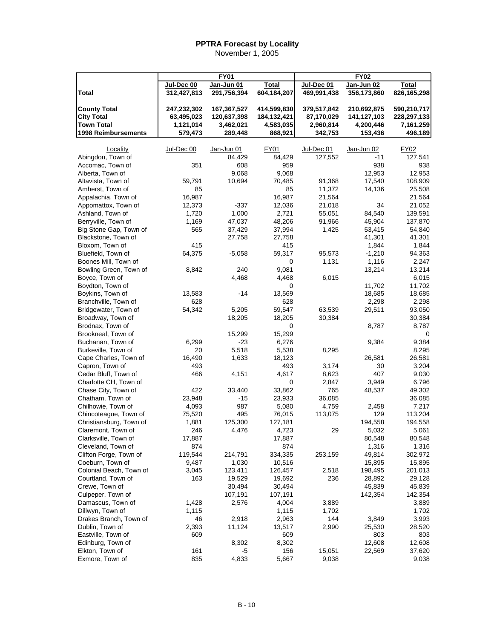|                                          |                           |                           |                             | <b>FY02</b><br><b>FY01</b> |              |                             |  |
|------------------------------------------|---------------------------|---------------------------|-----------------------------|----------------------------|--------------|-----------------------------|--|
|                                          |                           |                           |                             | Jul-Dec 01                 | $Jan-Jun$ 02 |                             |  |
| <b>Total</b>                             | Jul-Dec 00<br>312,427,813 | Jan-Jun 01<br>291,756,394 | <b>Total</b><br>604,184,207 | 469,991,438                | 356,173,860  | <b>Total</b><br>826,165,298 |  |
|                                          |                           |                           |                             |                            |              |                             |  |
| <b>County Total</b>                      | 247,232,302               | 167,367,527               | 414,599,830                 | 379,517,842                | 210,692,875  | 590,210,717                 |  |
| <b>City Total</b>                        | 63,495,023                | 120,637,398               | 184, 132, 421               | 87,170,029                 | 141,127,103  | 228,297,133                 |  |
| <b>Town Total</b>                        | 1,121,014                 | 3,462,021                 | 4,583,035                   | 2,960,814                  | 4,200,446    | 7,161,259                   |  |
| 1998 Reimbursements                      | 579,473                   | 289,448                   | 868,921                     | 342,753                    | 153,436      | 496,189                     |  |
|                                          |                           |                           |                             |                            |              |                             |  |
| Locality                                 | Jul-Dec 00                | Jan-Jun 01                | FY01                        | Jul-Dec 01                 | Jan-Jun 02   | <b>FY02</b>                 |  |
| Abingdon, Town of                        |                           | 84,429                    | 84,429                      | 127,552                    | -11          | 127,541                     |  |
| Accomac, Town of                         | 351                       | 608                       | 959                         |                            | 938          | 938                         |  |
| Alberta, Town of                         |                           | 9,068                     | 9,068                       |                            | 12,953       | 12,953                      |  |
| Altavista, Town of                       | 59,791                    | 10,694                    | 70,485                      | 91,368                     | 17,540       | 108,909                     |  |
| Amherst, Town of                         | 85                        |                           | 85                          | 11,372                     | 14,136       | 25,508                      |  |
| Appalachia, Town of                      | 16,987                    |                           | 16,987                      | 21,564                     |              | 21,564                      |  |
| Appomattox, Town of                      | 12,373                    | $-337$                    | 12,036                      | 21,018                     | 34           | 21,052                      |  |
| Ashland, Town of                         | 1,720                     | 1,000                     | 2,721                       | 55,051                     | 84,540       | 139,591                     |  |
| Berryville, Town of                      | 1,169                     | 47,037                    | 48,206                      | 91,966                     | 45,904       | 137,870                     |  |
| Big Stone Gap, Town of                   | 565                       | 37,429                    | 37,994                      | 1,425                      | 53,415       | 54,840                      |  |
| Blackstone, Town of                      |                           | 27,758                    | 27,758                      |                            | 41,301       | 41,301                      |  |
| Bloxom, Town of                          | 415                       |                           | 415                         |                            | 1,844        | 1,844                       |  |
| Bluefield, Town of                       | 64,375                    | $-5,058$                  | 59,317                      | 95,573                     | $-1,210$     | 94,363                      |  |
| Boones Mill, Town of                     |                           |                           | 0                           | 1,131                      | 1,116        | 2,247                       |  |
| Bowling Green, Town of                   | 8,842                     | 240                       | 9,081                       |                            | 13,214       | 13,214                      |  |
| Boyce, Town of                           |                           | 4,468                     | 4,468                       | 6,015                      |              | 6,015                       |  |
| Boydton, Town of                         |                           |                           | 0                           |                            | 11,702       | 11,702                      |  |
| Boykins, Town of                         | 13,583                    | -14                       | 13,569                      |                            | 18,685       | 18,685                      |  |
| Branchville, Town of                     | 628                       |                           | 628                         |                            | 2,298        | 2,298                       |  |
| Bridgewater, Town of                     | 54,342                    | 5,205                     | 59,547                      | 63,539                     | 29,511       | 93,050                      |  |
| Broadway, Town of                        |                           | 18,205                    | 18,205                      | 30,384                     |              | 30,384                      |  |
| Brodnax, Town of                         |                           |                           | 0                           |                            | 8,787        | 8,787                       |  |
| Brookneal, Town of                       |                           | 15,299                    | 15,299                      |                            |              | 0                           |  |
| Buchanan, Town of                        | 6,299<br>20               | -23<br>5,518              | 6,276                       |                            | 9,384        | 9,384                       |  |
| Burkeville, Town of                      |                           | 1,633                     | 5,538                       | 8,295                      | 26,581       | 8,295                       |  |
| Cape Charles, Town of<br>Capron, Town of | 16,490<br>493             |                           | 18,123<br>493               | 3,174                      | 30           | 26,581<br>3,204             |  |
| Cedar Bluff, Town of                     | 466                       | 4,151                     | 4,617                       | 8,623                      | 407          | 9,030                       |  |
| Charlotte CH, Town of                    |                           |                           | 0                           | 2,847                      | 3,949        | 6,796                       |  |
| Chase City, Town of                      | 422                       | 33,440                    | 33,862                      | 765                        | 48,537       | 49,302                      |  |
| Chatham, Town of                         | 23,948                    | -15                       | 23,933                      | 36,085                     |              | 36,085                      |  |
| Chilhowie, Town of                       | 4,093                     | 987                       | 5,080                       | 4,759                      | 2,458        | 7,217                       |  |
| Chincoteague, Town of                    | 75,520                    | 495                       | 76,015                      | 113,075                    | 129          | 113,204                     |  |
| Christiansburg, Town of                  | 1,881                     | 125,300                   | 127,181                     |                            | 194,558      | 194,558                     |  |
| Claremont, Town of                       | 246                       | 4,476                     | 4,723                       | 29                         | 5,032        | 5,061                       |  |
| Clarksville, Town of                     | 17,887                    |                           | 17,887                      |                            | 80,548       | 80,548                      |  |
| Cleveland, Town of                       | 874                       |                           | 874                         |                            | 1,316        | 1,316                       |  |
| Clifton Forge, Town of                   | 119,544                   | 214,791                   | 334,335                     | 253,159                    | 49,814       | 302,972                     |  |
| Coeburn, Town of                         | 9,487                     | 1,030                     | 10,516                      |                            | 15,895       | 15,895                      |  |
| Colonial Beach, Town of                  | 3,045                     | 123,411                   | 126,457                     | 2,518                      | 198,495      | 201,013                     |  |
| Courtland, Town of                       | 163                       | 19,529                    | 19,692                      | 236                        | 28,892       | 29,128                      |  |
| Crewe, Town of                           |                           | 30,494                    | 30,494                      |                            | 45,839       | 45,839                      |  |
| Culpeper, Town of                        |                           | 107,191                   | 107,191                     |                            | 142,354      | 142,354                     |  |
| Damascus, Town of                        | 1,428                     | 2,576                     | 4,004                       | 3,889                      |              | 3,889                       |  |
| Dillwyn, Town of                         | 1,115                     |                           | 1,115                       | 1,702                      |              | 1,702                       |  |
| Drakes Branch, Town of                   | 46                        | 2,918                     | 2,963                       | 144                        | 3,849        | 3,993                       |  |
| Dublin, Town of                          | 2,393                     | 11,124                    | 13,517                      | 2,990                      | 25,530       | 28,520                      |  |
| Eastville, Town of                       | 609                       |                           | 609                         |                            | 803          | 803                         |  |
| Edinburg, Town of                        |                           | 8,302                     | 8,302                       |                            | 12,608       | 12,608                      |  |
| Elkton, Town of                          | 161                       | -5                        | 156                         | 15,051                     | 22,569       | 37,620                      |  |
| Exmore, Town of                          | 835                       | 4,833                     | 5,667                       | 9,038                      |              | 9,038                       |  |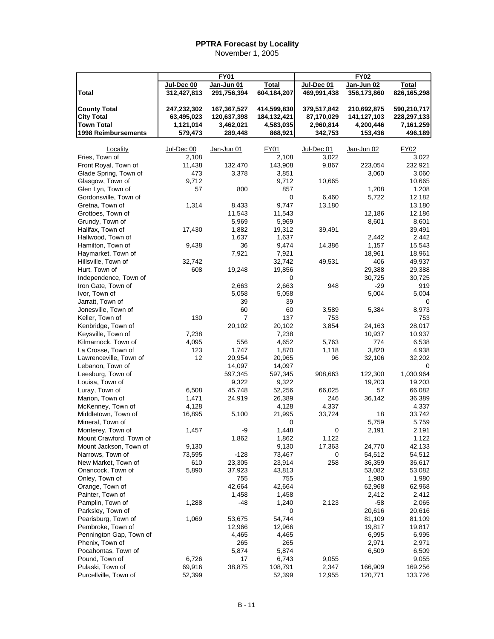|                                              |             | <b>FY01</b>  |                 |             | <b>FY02</b>   |              |
|----------------------------------------------|-------------|--------------|-----------------|-------------|---------------|--------------|
|                                              | Jul-Dec 00  | Jan-Jun 01   | <b>Total</b>    | Jul-Dec 01  | $Jan-Jun$ 02  | <b>Total</b> |
| Total                                        | 312,427,813 | 291,756,394  | 604,184,207     | 469,991,438 | 356,173,860   | 826,165,298  |
|                                              |             |              |                 |             |               |              |
| <b>County Total</b>                          | 247,232,302 | 167,367,527  | 414,599,830     | 379,517,842 | 210,692,875   | 590,210,717  |
| <b>City Total</b>                            | 63,495,023  | 120,637,398  | 184, 132, 421   | 87,170,029  | 141,127,103   | 228,297,133  |
| <b>Town Total</b>                            | 1,121,014   | 3,462,021    | 4,583,035       | 2,960,814   | 4,200,446     | 7,161,259    |
| 1998 Reimbursements                          | 579,473     | 289,448      | 868,921         | 342,753     | 153,436       | 496,189      |
|                                              |             |              |                 |             |               |              |
| Locality                                     | Jul-Dec 00  | Jan-Jun 01   | FY01            | Jul-Dec 01  | Jan-Jun 02    | FY02         |
| Fries, Town of                               | 2,108       |              | 2,108           | 3,022       |               | 3,022        |
| Front Royal, Town of                         | 11,438      | 132,470      | 143,908         | 9,867       | 223,054       | 232,921      |
| Glade Spring, Town of                        | 473         | 3,378        | 3,851           |             | 3,060         | 3,060        |
| Glasgow, Town of                             | 9,712       |              | 9,712           | 10,665      |               | 10,665       |
| Glen Lyn, Town of                            | 57          | 800          | 857             |             | 1,208         | 1,208        |
| Gordonsville, Town of                        |             |              | 0               | 6,460       | 5,722         | 12,182       |
| Gretna, Town of                              | 1,314       | 8,433        | 9,747           | 13,180      |               | 13,180       |
| Grottoes, Town of                            |             | 11,543       | 11,543          |             | 12,186        | 12,186       |
| Grundy, Town of                              |             | 5,969        | 5,969           |             | 8,601         | 8,601        |
| Halifax, Town of                             | 17,430      | 1,882        | 19,312          | 39,491      |               | 39,491       |
| Hallwood, Town of                            |             | 1,637        | 1,637           |             | 2,442         | 2,442        |
| Hamilton, Town of                            | 9,438       | 36           | 9,474           | 14,386      | 1,157         | 15,543       |
| Haymarket, Town of                           |             | 7,921        | 7,921           |             | 18,961        | 18,961       |
| Hillsville, Town of                          | 32,742      |              | 32,742          | 49,531      | 406           | 49,937       |
| Hurt, Town of                                | 608         | 19,248       | 19,856          |             | 29,388        | 29,388       |
| Independence, Town of                        |             |              | 0               |             | 30,725        | 30,725       |
| Iron Gate, Town of                           |             | 2,663        | 2,663           | 948         | $-29$         | 919          |
| Ivor, Town of                                |             | 5,058        | 5,058           |             | 5,004         | 5,004        |
| Jarratt, Town of                             |             | 39           | 39              |             |               | 0            |
| Jonesville, Town of                          |             | 60           | 60              | 3,589       | 5,384         | 8,973        |
| Keller, Town of                              | 130         | 7            | 137             | 753         |               | 753          |
| Kenbridge, Town of                           |             |              | 20,102          | 3,854       |               | 28,017       |
|                                              | 7,238       | 20,102       | 7,238           |             | 24,163        |              |
| Keysville, Town of<br>Kilmarnock, Town of    | 4,095       |              | 4,652           | 5,763       | 10,937<br>774 | 10,937       |
|                                              | 123         | 556<br>1,747 |                 |             |               | 6,538        |
| La Crosse, Town of<br>Lawrenceville, Town of | 12          | 20,954       | 1,870<br>20,965 | 1,118<br>96 | 3,820         | 4,938        |
|                                              |             |              |                 |             | 32,106        | 32,202       |
| Lebanon, Town of<br>Leesburg, Town of        |             | 14,097       | 14,097          |             |               | 1,030,964    |
|                                              |             | 597,345      | 597,345         | 908,663     | 122,300       |              |
| Louisa, Town of                              | 6,508       | 9,322        | 9,322           |             | 19,203        | 19,203       |
| Luray, Town of                               |             | 45,748       | 52,256          | 66,025      | 57            | 66,082       |
| Marion, Town of                              | 1,471       | 24,919       | 26,389          | 246         | 36,142        | 36,389       |
| McKenney, Town of                            | 4,128       |              | 4,128           | 4,337       |               | 4,337        |
| Middletown, Town of                          | 16,895      | 5,100        | 21,995          | 33,724      | 18            | 33,742       |
| Mineral, Town of                             |             | -9           | $\pmb{0}$       |             | 5,759         | 5,759        |
| Monterey, Town of                            | 1,457       |              | 1,448           | 0           | 2,191         | 2,191        |
| Mount Crawford, Town of                      |             | 1,862        | 1,862           | 1,122       |               | 1,122        |
| Mount Jackson, Town of                       | 9,130       |              | 9,130           | 17,363      | 24,770        | 42,133       |
| Narrows, Town of                             | 73,595      | $-128$       | 73,467          | 0           | 54,512        | 54,512       |
| New Market, Town of                          | 610         | 23,305       | 23,914          | 258         | 36,359        | 36,617       |
| Onancock, Town of                            | 5,890       | 37,923       | 43,813          |             | 53,082        | 53,082       |
| Onley, Town of                               |             | 755          | 755             |             | 1,980         | 1,980        |
| Orange, Town of                              |             | 42,664       | 42,664          |             | 62,968        | 62,968       |
| Painter, Town of                             |             | 1,458        | 1,458           |             | 2,412         | 2,412        |
| Pamplin, Town of                             | 1,288       | -48          | 1,240           | 2,123       | -58           | 2,065        |
| Parksley, Town of                            |             |              | 0               |             | 20,616        | 20,616       |
| Pearisburg, Town of                          | 1,069       | 53,675       | 54,744          |             | 81,109        | 81,109       |
| Pembroke, Town of                            |             | 12,966       | 12,966          |             | 19,817        | 19,817       |
| Pennington Gap, Town of                      |             | 4,465        | 4,465           |             | 6,995         | 6,995        |
| Phenix, Town of                              |             | 265          | 265             |             | 2,971         | 2,971        |
| Pocahontas, Town of                          |             | 5,874        | 5,874           |             | 6,509         | 6,509        |
| Pound, Town of                               | 6,726       | 17           | 6,743           | 9,055       |               | 9,055        |
| Pulaski, Town of                             | 69,916      | 38,875       | 108,791         | 2,347       | 166,909       | 169,256      |
| Purcellville, Town of                        | 52,399      |              | 52,399          | 12,955      | 120,771       | 133,726      |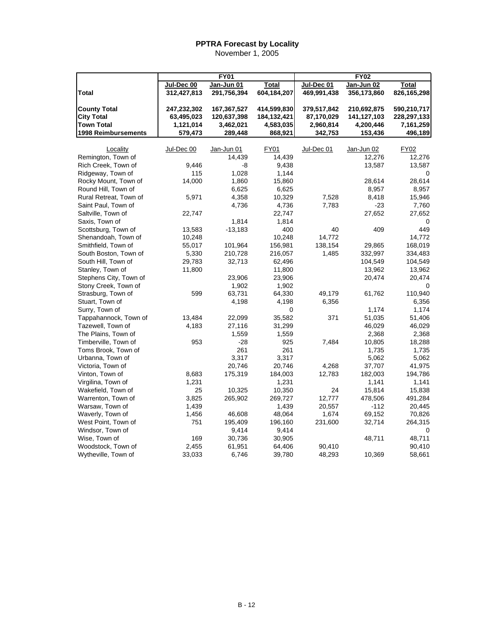|                        |             | <b>FY01</b> |               |             | <b>FY02</b> |             |
|------------------------|-------------|-------------|---------------|-------------|-------------|-------------|
|                        | Jul-Dec 00  | Jan-Jun 01  | Total         | Jul-Dec 01  | Jan-Jun 02  | Total       |
| <b>Total</b>           | 312,427,813 | 291,756,394 | 604,184,207   | 469,991,438 | 356,173,860 | 826,165,298 |
|                        |             |             |               |             |             |             |
| <b>County Total</b>    | 247,232,302 | 167,367,527 | 414,599,830   | 379,517,842 | 210,692,875 | 590,210,717 |
| <b>City Total</b>      | 63,495,023  | 120,637,398 | 184, 132, 421 | 87,170,029  | 141,127,103 | 228,297,133 |
| <b>Town Total</b>      | 1,121,014   | 3,462,021   | 4,583,035     | 2,960,814   | 4,200,446   | 7,161,259   |
| 1998 Reimbursements    | 579,473     | 289,448     | 868,921       | 342,753     | 153,436     | 496,189     |
| Locality               | Jul-Dec 00  | Jan-Jun 01  | FY01          | Jul-Dec 01  | Jan-Jun 02  | FY02        |
| Remington, Town of     |             | 14,439      | 14,439        |             | 12,276      | 12,276      |
| Rich Creek, Town of    | 9,446       | -8          | 9,438         |             | 13,587      | 13,587      |
| Ridgeway, Town of      | 115         | 1,028       | 1,144         |             |             | 0           |
| Rocky Mount, Town of   | 14,000      | 1,860       | 15,860        |             | 28,614      | 28,614      |
| Round Hill, Town of    |             | 6,625       | 6,625         |             | 8,957       | 8,957       |
| Rural Retreat, Town of | 5,971       | 4,358       | 10,329        | 7,528       | 8,418       | 15,946      |
| Saint Paul, Town of    |             | 4,736       | 4,736         | 7,783       | $-23$       | 7,760       |
| Saltville, Town of     | 22,747      |             | 22,747        |             | 27,652      | 27,652      |
| Saxis, Town of         |             | 1,814       | 1,814         |             |             | 0           |
| Scottsburg, Town of    | 13,583      | $-13,183$   | 400           | 40          | 409         | 449         |
| Shenandoah, Town of    | 10,248      |             | 10,248        | 14,772      |             | 14.772      |
| Smithfield, Town of    | 55,017      | 101,964     | 156,981       | 138,154     | 29,865      | 168,019     |
| South Boston, Town of  |             | 210,728     |               |             | 332,997     |             |
|                        | 5,330       |             | 216,057       | 1,485       |             | 334,483     |
| South Hill, Town of    | 29,783      | 32,713      | 62,496        |             | 104,549     | 104,549     |
| Stanley, Town of       | 11,800      |             | 11,800        |             | 13,962      | 13,962      |
| Stephens City, Town of |             | 23,906      | 23,906        |             | 20,474      | 20,474      |
| Stony Creek, Town of   |             | 1,902       | 1,902         |             |             |             |
| Strasburg, Town of     | 599         | 63,731      | 64,330        | 49,179      | 61,762      | 110,940     |
| Stuart, Town of        |             | 4,198       | 4,198         | 6,356       |             | 6,356       |
| Surry, Town of         |             |             | 0             |             | 1,174       | 1,174       |
| Tappahannock, Town of  | 13,484      | 22,099      | 35,582        | 371         | 51,035      | 51,406      |
| Tazewell, Town of      | 4,183       | 27,116      | 31,299        |             | 46,029      | 46,029      |
| The Plains, Town of    |             | 1,559       | 1,559         |             | 2,368       | 2,368       |
| Timberville, Town of   | 953         | $-28$       | 925           | 7,484       | 10,805      | 18,288      |
| Toms Brook, Town of    |             | 261         | 261           |             | 1,735       | 1,735       |
| Urbanna, Town of       |             | 3,317       | 3,317         |             | 5,062       | 5,062       |
| Victoria, Town of      |             | 20,746      | 20,746        | 4,268       | 37,707      | 41,975      |
| Vinton, Town of        | 8,683       | 175,319     | 184,003       | 12,783      | 182,003     | 194,786     |
| Virgilina, Town of     | 1,231       |             | 1,231         |             | 1,141       | 1,141       |
| Wakefield, Town of     | 25          | 10,325      | 10,350        | 24          | 15,814      | 15,838      |
| Warrenton, Town of     | 3,825       | 265,902     | 269,727       | 12,777      | 478,506     | 491,284     |
| Warsaw, Town of        | 1,439       |             | 1,439         | 20,557      | $-112$      | 20,445      |
| Waverly, Town of       | 1,456       | 46,608      | 48,064        | 1,674       | 69,152      | 70,826      |
| West Point, Town of    | 751         | 195,409     | 196,160       | 231,600     | 32,714      | 264,315     |
| Windsor, Town of       |             | 9,414       | 9,414         |             |             | 0           |
| Wise, Town of          | 169         | 30,736      | 30,905        |             | 48,711      | 48,711      |
| Woodstock, Town of     | 2,455       | 61,951      | 64,406        | 90,410      |             | 90,410      |
| Wytheville, Town of    | 33,033      | 6,746       | 39,780        | 48,293      | 10,369      | 58,661      |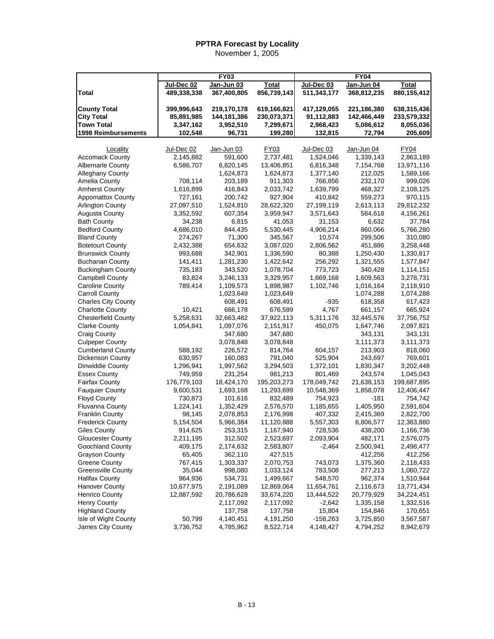|                                           |             | $\overline{FY}$ 03 |              |             | <b>FY04</b>          |              |
|-------------------------------------------|-------------|--------------------|--------------|-------------|----------------------|--------------|
|                                           | Jul-Dec 02  | Jan-Jun 03         | <b>Total</b> | Jul-Dec 03  | Jan-Jun 04           | <b>Total</b> |
| Total                                     | 489,338,338 | 367,400,805        | 856,739,143  | 511,343,177 | 368,812,235          | 880,155,412  |
|                                           |             |                    |              |             |                      |              |
| <b>County Total</b>                       | 399,996,643 | 219,170,178        | 619,166,821  | 417,129,055 | 221,186,380          | 638,315,436  |
| <b>City Total</b>                         | 85,891,985  | 144,181,386        | 230,073,371  | 91,112,883  | 142,466,449          | 233,579,332  |
| <b>Town Total</b>                         | 3,347,162   | 3,952,510          | 7,299,671    | 2,968,423   | 5,086,612            | 8,055,036    |
| 1998 Reimbursements                       | 102,548     | 96,731             | 199,280      | 132,815     | 72,794               | 205,609      |
| Locality                                  | Jul-Dec 02  | Jan-Jun 03         | <b>FY03</b>  | Jul-Dec 03  | Jan-Jun 04           | <b>FY04</b>  |
| <b>Accomack County</b>                    | 2,145,882   | 591,600            | 2,737,481    | 1,524,046   | 1,339,143            | 2,863,189    |
| <b>Albemarle County</b>                   | 6,586,707   | 6,820,145          | 13,406,851   | 6,816,348   |                      | 13,971,116   |
| <b>Alleghany County</b>                   |             | 1,624,873          | 1,624,873    | 1,377,140   | 7,154,768<br>212,025 | 1,589,166    |
| Amelia County                             |             | 203,189            |              | 766,856     | 232,170              |              |
|                                           | 708,114     |                    | 911,303      |             |                      | 999,026      |
| <b>Amherst County</b>                     | 1,616,899   | 416,843            | 2,033,742    | 1,639,799   | 468,327              | 2,108,125    |
| <b>Appomattox County</b>                  | 727,161     | 200,742            | 927,904      | 410,842     | 559,273              | 970,115      |
| <b>Arlington County</b>                   | 27,097,510  | 1,524,810          | 28,622,320   | 27,199,119  | 2,613,113            | 29,812,232   |
| Augusta County                            | 3,352,592   | 607,354            | 3,959,947    | 3,571,643   | 584,618              | 4,156,261    |
| <b>Bath County</b>                        | 34,238      | 6,815              | 41,053       | 31,153      | 6,632                | 37,784       |
| <b>Bedford County</b>                     | 4,686,010   | 844,435            | 5,530,445    | 4,906,214   | 860,066              | 5,766,280    |
| <b>Bland County</b>                       | 274,267     | 71,300             | 345,567      | 10,574      | 299,506              | 310,080      |
| <b>Botetourt County</b>                   | 2,432,388   | 654,632            | 3,087,020    | 2,806,562   | 451,886              | 3,258,448    |
| <b>Brunswick County</b>                   | 993,688     | 342,901            | 1,336,590    | 80,388      | 1,250,430            | 1,330,817    |
| <b>Buchanan County</b>                    | 141,411     | 1,281,230          | 1,422,642    | 256,292     | 1,321,555            | 1,577,847    |
| <b>Buckingham County</b>                  | 735,183     | 343,520            | 1,078,704    | 773,723     | 340,428              | 1,114,151    |
| <b>Campbell County</b>                    | 83,824      | 3,246,133          | 3,329,957    | 1,669,168   | 1,609,563            | 3,278,731    |
| Caroline County                           | 789,414     | 1,109,573          | 1,898,987    | 1,102,746   | 1,016,164            | 2,118,910    |
| <b>Carroll County</b>                     |             | 1,023,649          | 1,023,649    |             | 1,074,288            | 1,074,288    |
| <b>Charles City County</b>                |             | 608,491            | 608,491      | -935        | 618,358              | 617,423      |
| <b>Charlotte County</b>                   | 10,421      | 666,178            | 676,599      | 4,767       | 661,157              | 665,924      |
| <b>Chesterfield County</b>                | 5,258,631   | 32,663,482         | 37,922,113   | 5,311,176   | 32,445,576           | 37,756,752   |
| <b>Clarke County</b>                      | 1,054,841   | 1,097,076          | 2,151,917    | 450,075     | 1,647,746            | 2,097,821    |
| <b>Craig County</b>                       |             | 347,680            | 347,680      |             | 343,131              | 343,131      |
| <b>Culpeper County</b>                    |             | 3,078,848          | 3,078,848    |             | 3,111,373            | 3,111,373    |
| <b>Cumberland County</b>                  | 588,192     | 226,572            | 814,764      | 604,157     | 213,903              | 818,060      |
| Dickenson County                          | 630,957     | 160,083            | 791,040      | 525,904     | 243,697              | 769,601      |
| Dinwiddie County                          | 1,296,941   | 1,997,562          | 3,294,503    | 1,372,101   | 1,830,347            | 3,202,448    |
| <b>Essex County</b>                       | 749,959     | 231,254            | 981,213      | 801,469     | 243,574              | 1,045,043    |
| <b>Fairfax County</b>                     | 176,779,103 | 18,424,170         | 195,203,273  | 178,049,742 | 21,638,153           | 199,687,895  |
| <b>Fauquier County</b>                    | 9,600,531   | 1,693,168          | 11,293,699   | 10,548,369  | 1,858,078            | 12,406,447   |
| <b>Floyd County</b>                       | 730,873     | 101,616            | 832,489      | 754,923     | $-181$               | 754,742      |
| Fluvanna County                           | 1,224,141   | 1,352,429          | 2,576,570    | 1,185,655   | 1,405,950            | 2,591,604    |
| <b>Franklin County</b>                    | 98,145      | 2,078,853          | 2,176,998    | 407,332     | 2,415,369            | 2,822,700    |
| <b>Frederick County</b>                   | 5,154,504   | 5,966,384          | 11,120,888   | 5,557,303   | 6,806,577            | 12,363,880   |
| Giles County                              | 914,625     | 253,315            | 1,167,940    | 728,536     | 438,200              | 1,166,736    |
| <b>Gloucester County</b>                  | 2,211,195   | 312,502            | 2,523,697    | 2,093,904   | 482,171              | 2,576,075    |
| Goochland County                          | 409,175     | 2,174,632          | 2,583,807    | $-2,464$    | 2,500,941            | 2,498,477    |
| <b>Grayson County</b>                     | 65,405      | 362,110            | 427,515      |             | 412,256              | 412,256      |
| <b>Greene County</b>                      | 767,415     | 1,303,337          | 2,070,753    | 743,073     | 1,375,360            | 2,118,433    |
| <b>Greensville County</b>                 | 35,044      | 998,080            | 1,033,124    | 783,508     | 277,213              | 1,060,722    |
| <b>Halifax County</b>                     | 964,936     | 534,731            | 1,499,667    | 548,570     | 962,374              | 1,510,944    |
| <b>Hanover County</b>                     | 10,677,975  | 2,191,089          | 12,869,064   | 11,654,761  | 2,116,673            | 13,771,434   |
| <b>Henrico County</b>                     | 12,887,592  | 20,786,628         | 33,674,220   | 13,444,522  | 20,779,929           | 34,224,451   |
| <b>Henry County</b>                       |             | 2,117,092          | 2,117,092    | $-2,642$    | 1,335,158            | 1,332,516    |
| <b>Highland County</b>                    |             | 137,758            | 137,758      | 15,804      | 154,846              | 170,651      |
|                                           | 50,799      | 4,140,451          | 4,191,250    | $-158,263$  | 3,725,850            |              |
| Isle of Wight County<br>James City County | 3,736,752   |                    |              |             | 4,794,252            | 3,567,587    |
|                                           |             | 4,785,962          | 8,522,714    | 4,148,427   |                      | 8,942,679    |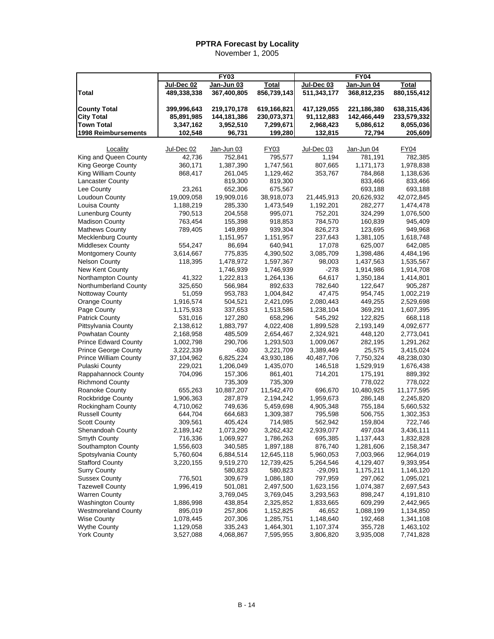|                              |                           | FY03        |              |                           | <b>FY04</b> |              |
|------------------------------|---------------------------|-------------|--------------|---------------------------|-------------|--------------|
|                              |                           | Jan-Jun 03  | <b>Total</b> |                           | Jan-Jun 04  | <b>Total</b> |
| Total                        | Jul-Dec 02<br>489,338,338 | 367,400,805 | 856,739,143  | Jul-Dec 03<br>511,343,177 | 368,812,235 | 880,155,412  |
|                              |                           |             |              |                           |             |              |
| <b>County Total</b>          | 399,996,643               | 219,170,178 | 619,166,821  | 417,129,055               | 221,186,380 | 638,315,436  |
| <b>City Total</b>            | 85,891,985                | 144,181,386 | 230,073,371  | 91,112,883                | 142,466,449 | 233,579,332  |
| <b>Town Total</b>            | 3,347,162                 | 3,952,510   | 7,299,671    | 2,968,423                 | 5,086,612   | 8,055,036    |
| 1998 Reimbursements          | 102,548                   | 96,731      | 199,280      | 132,815                   | 72,794      | 205,609      |
|                              |                           |             |              |                           |             |              |
| Locality                     | Jul-Dec 02                | Jan-Jun 03  | FY03         | Jul-Dec 03                | Jan-Jun 04  | FY04         |
| King and Queen County        | 42,736                    | 752,841     | 795,577      | 1,194                     | 781,191     | 782,385      |
| King George County           | 360,171                   | 1,387,390   | 1,747,561    | 807,665                   | 1,171,173   | 1,978,838    |
| King William County          | 868,417                   | 261,045     | 1,129,462    | 353,767                   | 784,868     | 1,138,636    |
| <b>Lancaster County</b>      |                           | 819,300     | 819,300      |                           | 833,466     | 833,466      |
| Lee County                   | 23,261                    | 652,306     | 675,567      |                           | 693,188     | 693,188      |
| Loudoun County               | 19,009,058                | 19,909,016  | 38,918,073   | 21,445,913                | 20,626,932  | 42,072,845   |
| Louisa County                | 1,188,219                 | 285,330     | 1,473,549    | 1,192,201                 | 282,277     | 1,474,478    |
| Lunenburg County             | 790,513                   | 204,558     | 995,071      | 752,201                   | 324,299     | 1,076,500    |
| <b>Madison County</b>        | 763,454                   | 155,398     | 918,853      | 784,570                   | 160,839     | 945,409      |
| <b>Mathews County</b>        | 789,405                   | 149,899     | 939,304      | 826,273                   | 123,695     | 949,968      |
| <b>Mecklenburg County</b>    |                           | 1,151,957   | 1,151,957    | 237,643                   | 1,381,105   | 1,618,748    |
| <b>Middlesex County</b>      | 554,247                   | 86,694      | 640,941      | 17,078                    | 625,007     | 642,085      |
| <b>Montgomery County</b>     | 3,614,667                 | 775,835     | 4,390,502    | 3,085,709                 | 1,398,486   | 4,484,196    |
| <b>Nelson County</b>         | 118,395                   | 1,478,972   | 1,597,367    | 98,003                    | 1,437,563   | 1,535,567    |
| New Kent County              |                           | 1,746,939   | 1,746,939    | $-278$                    | 1,914,986   | 1,914,708    |
| Northampton County           | 41,322                    | 1,222,813   | 1,264,136    | 64,617                    | 1,350,184   | 1,414,801    |
| Northumberland County        | 325,650                   | 566,984     | 892,633      | 782,640                   | 122,647     | 905,287      |
| Nottoway County              | 51,059                    | 953,783     | 1,004,842    | 47,475                    | 954,745     | 1,002,219    |
| <b>Orange County</b>         | 1,916,574                 | 504,521     | 2,421,095    | 2,080,443                 | 449,255     | 2,529,698    |
| Page County                  | 1,175,933                 | 337,653     | 1,513,586    | 1,238,104                 | 369,291     | 1,607,395    |
| Patrick County               | 531,016                   | 127,280     | 658,296      | 545,292                   | 122,825     | 668,118      |
| Pittsylvania County          | 2,138,612                 | 1,883,797   | 4,022,408    | 1,899,528                 | 2,193,149   | 4,092,677    |
| Powhatan County              | 2,168,958                 | 485,509     | 2,654,467    | 2,324,921                 | 448,120     | 2,773,041    |
| <b>Prince Edward County</b>  | 1,002,798                 | 290,706     | 1,293,503    | 1,009,067                 | 282,195     | 1,291,262    |
| <b>Prince George County</b>  | 3,222,339                 | -630        | 3,221,709    | 3,389,449                 | 25,575      | 3,415,024    |
| <b>Prince William County</b> | 37,104,962                | 6,825,224   | 43,930,186   | 40,487,706                | 7,750,324   | 48,238,030   |
| Pulaski County               | 229,021                   | 1,206,049   | 1,435,070    | 146,518                   | 1,529,919   | 1,676,438    |
| Rappahannock County          | 704,096                   | 157,306     | 861,401      | 714,201                   | 175,191     | 889,392      |
| <b>Richmond County</b>       |                           | 735,309     | 735,309      |                           | 778,022     | 778,022      |
| Roanoke County               | 655,263                   | 10,887,207  | 11,542,470   | 696,670                   | 10,480,925  | 11,177,595   |
| Rockbridge County            | 1,906,363                 | 287,879     | 2,194,242    | 1,959,673                 | 286,148     | 2,245,820    |
| Rockingham County            | 4,710,062                 | 749,636     | 5,459,698    | 4,905,348                 | 755,184     | 5,660,532    |
| <b>Russell County</b>        | 644,704                   | 664,683     | 1,309,387    | 795,598                   | 506,755     | 1,302,353    |
| <b>Scott County</b>          | 309,561                   | 405,424     | 714,985      | 562,942                   | 159,804     | 722,746      |
| Shenandoah County            | 2,189,142                 | 1,073,290   | 3,262,432    | 2,939,077                 | 497,034     | 3,436,111    |
| Smyth County                 | 716,336                   | 1,069,927   | 1,786,263    | 695,385                   | 1,137,443   | 1,832,828    |
| Southampton County           | 1,556,603                 | 340,585     | 1,897,188    | 876,740                   | 1,281,606   | 2,158,347    |
| Spotsylvania County          | 5,760,604                 | 6,884,514   | 12,645,118   | 5,960,053                 | 7,003,966   | 12,964,019   |
| <b>Stafford County</b>       | 3,220,155                 | 9,519,270   | 12,739,425   | 5,264,546                 | 4,129,407   | 9,393,954    |
| <b>Surry County</b>          |                           | 580,823     | 580,823      | $-29,091$                 | 1,175,211   | 1,146,120    |
| <b>Sussex County</b>         | 776,501                   | 309,679     | 1,086,180    | 797,959                   | 297,062     | 1,095,021    |
| <b>Tazewell County</b>       | 1,996,419                 | 501,081     | 2,497,500    | 1,623,156                 | 1,074,387   | 2,697,543    |
| <b>Warren County</b>         |                           | 3,769,045   | 3,769,045    | 3,293,563                 | 898,247     | 4,191,810    |
| Washington County            | 1,886,998                 | 438,854     | 2,325,852    | 1,833,665                 | 609,299     | 2,442,965    |
| <b>Westmoreland County</b>   | 895,019                   | 257,806     | 1,152,825    | 46,652                    | 1,088,199   | 1,134,850    |
| <b>Wise County</b>           | 1,078,445                 | 207,306     | 1,285,751    | 1,148,640                 | 192,468     | 1,341,108    |
| <b>Wythe County</b>          | 1,129,058                 | 335,243     | 1,464,301    | 1,107,374                 | 355,728     | 1,463,102    |
| <b>York County</b>           | 3,527,088                 | 4,068,867   | 7,595,955    | 3,806,820                 | 3,935,008   | 7,741,828    |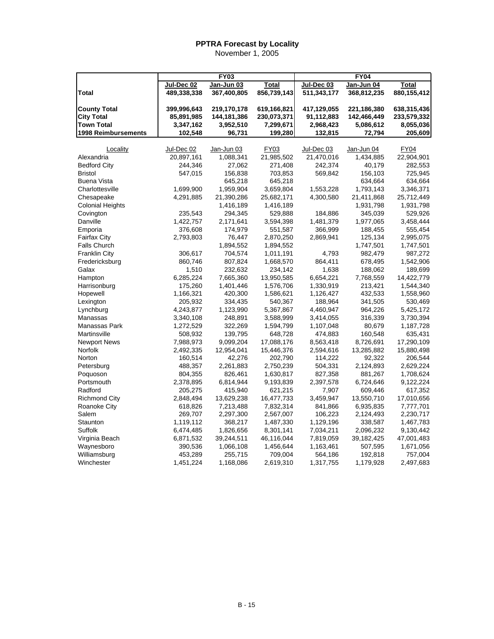|                         |             | <b>FY03</b> |              |             | <b>FY04</b> |              |
|-------------------------|-------------|-------------|--------------|-------------|-------------|--------------|
|                         | Jul-Dec 02  | Jan-Jun 03  | <b>Total</b> | Jul-Dec 03  | Jan-Jun 04  | <b>Total</b> |
| Total                   | 489,338,338 | 367,400,805 | 856,739,143  | 511,343,177 | 368,812,235 | 880,155,412  |
|                         |             |             |              |             |             |              |
| <b>County Total</b>     | 399,996,643 | 219,170,178 | 619,166,821  | 417,129,055 | 221,186,380 | 638,315,436  |
| <b>City Total</b>       | 85,891,985  | 144,181,386 | 230,073,371  | 91,112,883  | 142,466,449 | 233,579,332  |
| <b>Town Total</b>       | 3,347,162   | 3,952,510   | 7,299,671    | 2,968,423   | 5,086,612   | 8,055,036    |
| 1998 Reimbursements     | 102,548     | 96,731      | 199,280      | 132,815     | 72,794      | 205,609      |
| Locality                | Jul-Dec 02  | Jan-Jun 03  | FY03         | Jul-Dec 03  | Jan-Jun 04  | <b>FY04</b>  |
| Alexandria              | 20,897,161  | 1,088,341   | 21,985,502   | 21,470,016  | 1,434,885   | 22,904,901   |
| <b>Bedford City</b>     | 244,346     | 27,062      | 271,408      | 242,374     | 40,179      | 282,553      |
| <b>Bristol</b>          | 547,015     | 156,838     | 703,853      | 569,842     | 156,103     | 725,945      |
| <b>Buena Vista</b>      |             | 645,218     | 645,218      |             | 634,664     | 634,664      |
| Charlottesville         | 1,699,900   | 1,959,904   | 3,659,804    | 1,553,228   | 1,793,143   | 3,346,371    |
| Chesapeake              | 4,291,885   | 21,390,286  | 25,682,171   | 4,300,580   | 21,411,868  | 25,712,449   |
| <b>Colonial Heights</b> |             | 1,416,189   | 1,416,189    |             | 1,931,798   | 1,931,798    |
| Covington               | 235,543     | 294,345     | 529,888      | 184,886     | 345,039     | 529,926      |
|                         |             |             |              |             |             |              |
| Danville                | 1,422,757   | 2,171,641   | 3,594,398    | 1,481,379   | 1,977,065   | 3,458,444    |
| Emporia                 | 376,608     | 174,979     | 551,587      | 366,999     | 188,455     | 555,454      |
| <b>Fairfax City</b>     | 2,793,803   | 76,447      | 2,870,250    | 2,869,941   | 125,134     | 2,995,075    |
| <b>Falls Church</b>     |             | 1,894,552   | 1,894,552    |             | 1,747,501   | 1,747,501    |
| <b>Franklin City</b>    | 306,617     | 704.574     | 1,011,191    | 4,793       | 982,479     | 987,272      |
| Fredericksburg          | 860,746     | 807,824     | 1,668,570    | 864,411     | 678,495     | 1,542,906    |
| Galax                   | 1,510       | 232,632     | 234,142      | 1,638       | 188,062     | 189,699      |
| Hampton                 | 6,285,224   | 7,665,360   | 13,950,585   | 6,654,221   | 7,768,559   | 14,422,779   |
| Harrisonburg            | 175,260     | 1,401,446   | 1,576,706    | 1,330,919   | 213,421     | 1,544,340    |
| Hopewell                | 1,166,321   | 420,300     | 1,586,621    | 1,126,427   | 432,533     | 1,558,960    |
| Lexington               | 205,932     | 334,435     | 540,367      | 188,964     | 341,505     | 530,469      |
| Lynchburg               | 4,243,877   | 1,123,990   | 5,367,867    | 4,460,947   | 964,226     | 5,425,172    |
| Manassas                | 3,340,108   | 248,891     | 3,588,999    | 3,414,055   | 316,339     | 3,730,394    |
| Manassas Park           | 1,272,529   | 322,269     | 1,594,799    | 1,107,048   | 80,679      | 1,187,728    |
| Martinsville            | 508,932     | 139,795     | 648,728      | 474,883     | 160,548     | 635,431      |
| <b>Newport News</b>     | 7,988,973   | 9,099,204   | 17,088,176   | 8,563,418   | 8,726,691   | 17,290,109   |
| Norfolk                 | 2,492,335   | 12,954,041  | 15,446,376   | 2,594,616   | 13,285,882  | 15,880,498   |
| Norton                  | 160,514     | 42,276      | 202,790      | 114,222     | 92,322      | 206,544      |
| Petersburg              | 488,357     | 2,261,883   | 2,750,239    | 504,331     | 2,124,893   | 2,629,224    |
| Poquoson                | 804,355     | 826,461     | 1,630,817    | 827,358     | 881,267     | 1,708,624    |
| Portsmouth              | 2,378,895   | 6,814,944   | 9,193,839    | 2,397,578   | 6,724,646   | 9,122,224    |
| Radford                 | 205,275     | 415,940     | 621,215      | 7,907       | 609,446     | 617,352      |
| <b>Richmond City</b>    | 2,848,494   | 13,629,238  | 16,477,733   | 3,459,947   | 13,550,710  | 17,010,656   |
| <b>Roanoke City</b>     | 618,826     | 7,213,488   | 7,832,314    | 841,866     | 6,935,835   | 7,777,701    |
| Salem                   | 269,707     | 2,297,300   | 2,567,007    | 106,223     | 2,124,493   | 2,230,717    |
| Staunton                | 1,119,112   | 368,217     | 1,487,330    | 1,129,196   | 338,587     | 1,467,783    |
| Suffolk                 | 6,474,485   | 1,826,656   | 8,301,141    | 7,034,211   | 2,096,232   | 9,130,442    |
| Virginia Beach          | 6,871,532   | 39,244,511  | 46,116,044   | 7,819,059   | 39,182,425  | 47,001,483   |
| Waynesboro              | 390,536     | 1,066,108   | 1,456,644    | 1,163,461   | 507,595     | 1,671,056    |
| Williamsburg            | 453,289     | 255,715     | 709,004      | 564,186     | 192,818     | 757,004      |
|                         |             |             |              |             |             |              |
| Winchester              | 1,451,224   | 1,168,086   | 2,619,310    | 1,317,755   | 1,179,928   | 2,497,683    |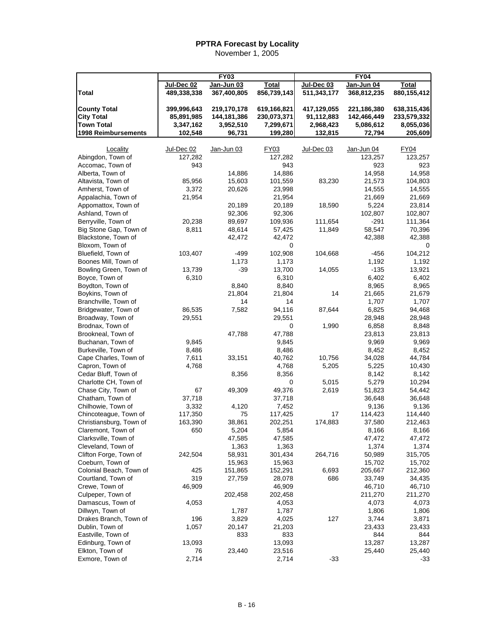|                                       |                           | <b>FY03</b>               |                             |                           | <b>FY04</b>      |                  |
|---------------------------------------|---------------------------|---------------------------|-----------------------------|---------------------------|------------------|------------------|
|                                       |                           |                           |                             |                           | Jan-Jun 04       |                  |
| <b>Total</b>                          | Jul-Dec 02<br>489,338,338 | Jan-Jun 03<br>367,400,805 | <b>Total</b><br>856,739,143 | Jul-Dec 03<br>511,343,177 | 368,812,235      | <b>Total</b>     |
|                                       |                           |                           |                             |                           |                  | 880,155,412      |
| <b>County Total</b>                   | 399,996,643               | 219,170,178               | 619,166,821                 | 417,129,055               | 221,186,380      | 638,315,436      |
| <b>City Total</b>                     | 85,891,985                | 144,181,386               | 230,073,371                 | 91,112,883                | 142,466,449      | 233,579,332      |
| <b>Town Total</b>                     | 3,347,162                 | 3,952,510                 | 7,299,671                   | 2,968,423                 | 5,086,612        | 8,055,036        |
| 1998 Reimbursements                   | 102,548                   | 96,731                    | 199,280                     | 132,815                   |                  | 205,609          |
|                                       |                           |                           |                             |                           | 72,794           |                  |
| Locality                              | Jul-Dec 02                | Jan-Jun 03                | FY03                        | Jul-Dec 03                | Jan-Jun 04       | <b>FY04</b>      |
| Abingdon, Town of                     | 127,282                   |                           | 127,282                     |                           | 123,257          | 123,257          |
| Accomac, Town of                      | 943                       |                           | 943                         |                           | 923              | 923              |
| Alberta, Town of                      |                           | 14,886                    | 14,886                      |                           | 14,958           | 14,958           |
| Altavista, Town of                    | 85,956                    | 15,603                    | 101,559                     | 83,230                    | 21,573           | 104,803          |
| Amherst, Town of                      | 3,372                     | 20,626                    | 23,998                      |                           | 14,555           | 14,555           |
| Appalachia, Town of                   | 21,954                    |                           | 21,954                      |                           | 21,669           | 21,669           |
| Appomattox, Town of                   |                           | 20,189                    | 20,189                      | 18,590                    | 5,224            | 23,814           |
| Ashland, Town of                      |                           | 92,306                    | 92,306                      |                           | 102,807          | 102,807          |
| Berryville, Town of                   | 20,238                    | 89,697                    | 109,936                     | 111,654                   | $-291$           | 111,364          |
| Big Stone Gap, Town of                | 8,811                     | 48,614                    | 57,425                      | 11,849                    | 58,547           | 70,396           |
| Blackstone, Town of                   |                           | 42,472                    | 42,472                      |                           | 42,388           | 42,388           |
| Bloxom, Town of                       |                           |                           | 0                           |                           |                  | 0                |
| Bluefield, Town of                    | 103,407                   | -499                      | 102,908                     | 104,668                   | -456             | 104,212          |
| Boones Mill, Town of                  |                           | 1,173                     | 1,173                       |                           | 1,192            | 1,192            |
| Bowling Green, Town of                | 13,739                    | $-39$                     | 13,700                      | 14,055                    | $-135$           | 13,921           |
| Boyce, Town of                        | 6,310                     |                           | 6,310                       |                           | 6,402            | 6,402            |
| Boydton, Town of                      |                           | 8,840                     | 8,840                       |                           | 8,965            | 8,965            |
| Boykins, Town of                      |                           | 21,804                    | 21,804                      | 14                        | 21,665           | 21,679           |
| Branchville, Town of                  |                           | 14                        | 14                          |                           | 1,707            | 1,707            |
| Bridgewater, Town of                  | 86,535                    | 7,582                     | 94,116                      | 87,644                    | 6,825            | 94,468           |
| Broadway, Town of                     | 29,551                    |                           | 29,551                      |                           | 28,948           | 28,948           |
| Brodnax, Town of                      |                           |                           | 0                           | 1,990                     | 6,858            | 8,848            |
| Brookneal, Town of                    |                           | 47,788                    | 47,788                      |                           | 23,813           | 23,813           |
| Buchanan, Town of                     | 9,845                     |                           | 9,845                       |                           | 9,969            | 9,969            |
| Burkeville, Town of                   | 8,486                     |                           | 8,486                       |                           | 8,452            | 8,452            |
| Cape Charles, Town of                 | 7,611                     | 33,151                    | 40,762                      | 10,756                    | 34,028           | 44,784           |
| Capron, Town of                       | 4,768                     |                           | 4,768                       | 5,205                     | 5,225            | 10,430           |
| Cedar Bluff, Town of                  |                           | 8,356                     | 8,356                       |                           | 8,142            | 8,142            |
| Charlotte CH, Town of                 |                           |                           | 0                           | 5,015                     | 5,279            | 10,294           |
| Chase City, Town of                   | 67                        | 49,309                    | 49,376                      | 2,619                     | 51,823           | 54,442           |
| Chatham, Town of                      | 37,718                    |                           | 37,718                      |                           | 36,648           | 36,648           |
| Chilhowie, Town of                    | 3,332                     | 4,120                     | 7,452                       |                           | 9,136            | 9,136            |
| Chincoteague, Town of                 | 117,350                   | 75                        | 117,425                     | 17                        | 114,423          | 114,440          |
| Christiansburg, Town of               | 163,390                   | 38,861                    | 202,251                     | 174,883                   | 37,580           | 212,463          |
| Claremont, Town of                    | 650                       | 5,204                     | 5,854                       |                           | 8,166            | 8,166            |
| Clarksville, Town of                  |                           | 47,585                    | 47,585                      |                           | 47,472           | 47,472           |
| Cleveland, Town of                    |                           | 1,363                     | 1,363                       |                           | 1,374            | 1,374            |
| Clifton Forge, Town of                | 242,504                   | 58,931                    | 301,434                     | 264,716                   | 50,989           | 315,705          |
| Coeburn, Town of                      |                           | 15,963                    | 15,963                      |                           | 15,702           | 15,702           |
| Colonial Beach, Town of               | 425                       | 151,865                   | 152,291                     | 6,693                     | 205,667          | 212,360          |
| Courtland, Town of                    | 319                       | 27,759                    | 28,078                      | 686                       | 33,749           | 34,435           |
| Crewe, Town of                        | 46,909                    |                           | 46,909                      |                           | 46,710           | 46,710           |
| Culpeper, Town of                     |                           | 202,458                   | 202,458                     |                           | 211,270          | 211,270          |
|                                       |                           |                           |                             |                           |                  |                  |
| Damascus, Town of<br>Dillwyn, Town of | 4,053                     | 1,787                     | 4,053<br>1,787              |                           | 4,073            | 4,073            |
| Drakes Branch, Town of                | 196                       | 3,829                     | 4,025                       | 127                       | 1,806<br>3,744   | 1,806<br>3,871   |
|                                       |                           |                           |                             |                           |                  |                  |
| Dublin, Town of                       | 1,057                     | 20,147                    | 21,203                      |                           | 23,433           | 23,433           |
| Eastville, Town of                    |                           | 833                       | 833                         |                           | 844              | 844              |
| Edinburg, Town of<br>Elkton, Town of  | 13,093<br>76              | 23,440                    | 13,093<br>23,516            |                           | 13,287<br>25,440 | 13,287<br>25,440 |
| Exmore, Town of                       | 2,714                     |                           | 2,714                       | $-33$                     |                  | -33              |
|                                       |                           |                           |                             |                           |                  |                  |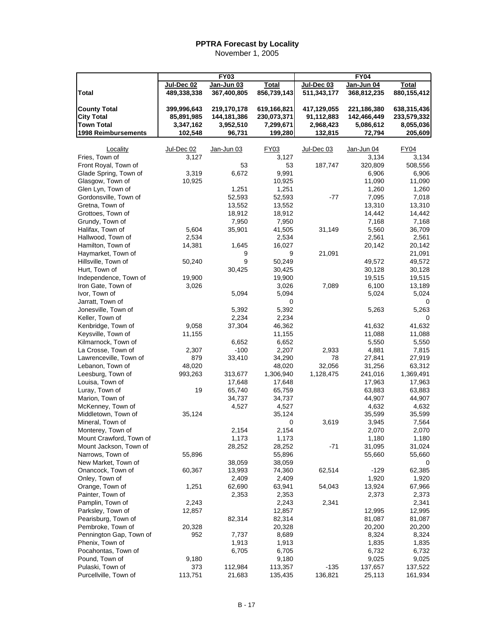|                                                   |              | <b>FY03</b>     |                    |             | <b>FY04</b>       |                    |
|---------------------------------------------------|--------------|-----------------|--------------------|-------------|-------------------|--------------------|
|                                                   | Jul-Dec 02   | Jan-Jun 03      | Total              | Jul-Dec 03  | Jan-Jun 04        | Total              |
| Total                                             | 489,338,338  | 367,400,805     | 856,739,143        | 511,343,177 | 368,812,235       | 880,155,412        |
|                                                   |              |                 |                    |             |                   |                    |
| <b>County Total</b>                               | 399,996,643  | 219,170,178     | 619,166,821        | 417,129,055 | 221,186,380       | 638,315,436        |
| <b>City Total</b>                                 | 85,891,985   | 144,181,386     | 230,073,371        | 91,112,883  | 142,466,449       | 233,579,332        |
| <b>Town Total</b>                                 | 3,347,162    | 3,952,510       | 7,299,671          | 2,968,423   | 5,086,612         | 8,055,036          |
| 1998 Reimbursements                               | 102,548      | 96,731          | 199,280            | 132,815     | 72,794            | 205,609            |
|                                                   |              |                 |                    |             |                   |                    |
| Locality<br>Fries, Town of                        | Jul-Dec 02   | Jan-Jun 03      | FY03               | Jul-Dec 03  | Jan-Jun 04        | <b>FY04</b>        |
| Front Royal, Town of                              | 3,127        | 53              | 3,127              |             | 3,134             | 3,134              |
| Glade Spring, Town of                             | 3,319        | 6,672           | 53<br>9,991        | 187,747     | 320,809<br>6,906  | 508,556<br>6,906   |
| Glasgow, Town of                                  | 10,925       |                 | 10,925             |             | 11,090            | 11,090             |
| Glen Lyn, Town of                                 |              | 1,251           | 1,251              |             | 1,260             | 1,260              |
| Gordonsville, Town of                             |              | 52,593          | 52,593             | -77         | 7,095             | 7,018              |
| Gretna, Town of                                   |              | 13,552          | 13,552             |             | 13,310            | 13,310             |
| Grottoes, Town of                                 |              | 18,912          | 18,912             |             | 14,442            | 14,442             |
| Grundy, Town of                                   |              | 7,950           | 7,950              |             | 7,168             | 7,168              |
| Halifax, Town of                                  | 5,604        | 35,901          | 41,505             | 31,149      | 5,560             | 36,709             |
| Hallwood, Town of                                 | 2,534        |                 | 2,534              |             | 2,561             | 2,561              |
| Hamilton, Town of                                 | 14,381       | 1,645           | 16,027             |             | 20,142            | 20,142             |
| Haymarket, Town of                                |              | 9               | 9                  | 21,091      |                   | 21,091             |
| Hillsville, Town of                               | 50,240       | 9               | 50,249             |             | 49,572            | 49,572             |
| Hurt, Town of                                     |              | 30,425          | 30,425             |             | 30,128            | 30,128             |
| Independence, Town of                             | 19,900       |                 | 19,900             |             | 19,515            | 19,515             |
| Iron Gate, Town of                                | 3,026        |                 | 3,026              | 7,089       | 6,100             | 13,189             |
| Ivor, Town of                                     |              | 5,094           | 5,094              |             | 5,024             | 5,024              |
| Jarratt, Town of                                  |              |                 | 0                  |             |                   | 0                  |
| Jonesville, Town of                               |              | 5,392<br>2,234  | 5,392<br>2,234     |             | 5,263             | 5,263              |
| Keller, Town of<br>Kenbridge, Town of             | 9,058        | 37,304          | 46,362             |             | 41,632            | 0<br>41,632        |
| Keysville, Town of                                | 11,155       |                 | 11,155             |             | 11,088            | 11,088             |
| Kilmarnock, Town of                               |              | 6,652           | 6,652              |             | 5,550             | 5,550              |
| La Crosse, Town of                                | 2,307        | $-100$          | 2,207              | 2,933       | 4,881             | 7,815              |
| Lawrenceville, Town of                            | 879          | 33,410          | 34,290             | 78          | 27,841            | 27,919             |
| Lebanon, Town of                                  | 48,020       |                 | 48,020             | 32,056      | 31,256            | 63,312             |
| Leesburg, Town of                                 | 993,263      | 313,677         | 1,306,940          | 1,128,475   | 241,016           | 1,369,491          |
| Louisa, Town of                                   |              | 17,648          | 17,648             |             | 17,963            | 17,963             |
| Luray, Town of                                    | 19           | 65,740          | 65,759             |             | 63,883            | 63,883             |
| Marion, Town of                                   |              | 34,737          | 34,737             |             | 44,907            | 44,907             |
| McKenney, Town of                                 |              | 4,527           | 4,527              |             | 4,632             | 4,632              |
| Middletown, Town of                               | 35,124       |                 | 35,124             |             | 35,599            | 35,599             |
| Mineral, Town of                                  |              |                 | 0                  | 3,619       | 3,945             | 7,564              |
| Monterey, Town of                                 |              | 2,154           | 2,154              |             | 2,070             | 2,070              |
| Mount Crawford, Town of<br>Mount Jackson, Town of |              | 1,173<br>28,252 | 1,173<br>28,252    | $-71$       | 1,180<br>31,095   | 1,180<br>31,024    |
| Narrows, Town of                                  | 55,896       |                 | 55,896             |             | 55,660            | 55,660             |
| New Market, Town of                               |              | 38,059          | 38,059             |             |                   | 0                  |
| Onancock, Town of                                 | 60,367       | 13,993          | 74,360             | 62,514      | $-129$            | 62,385             |
| Onley, Town of                                    |              | 2,409           | 2,409              |             | 1,920             | 1,920              |
| Orange, Town of                                   | 1,251        | 62,690          | 63,941             | 54,043      | 13,924            | 67,966             |
| Painter, Town of                                  |              | 2,353           | 2,353              |             | 2,373             | 2,373              |
| Pamplin, Town of                                  | 2,243        |                 | 2,243              | 2,341       |                   | 2,341              |
| Parksley, Town of                                 | 12,857       |                 | 12,857             |             | 12,995            | 12,995             |
| Pearisburg, Town of                               |              | 82,314          | 82,314             |             | 81,087            | 81,087             |
| Pembroke, Town of                                 | 20,328       |                 | 20,328             |             | 20,200            | 20,200             |
| Pennington Gap, Town of                           | 952          | 7,737           | 8,689              |             | 8,324             | 8,324              |
| Phenix, Town of                                   |              | 1,913           | 1,913              |             | 1,835             | 1,835              |
| Pocahontas, Town of                               |              | 6,705           | 6,705              |             | 6,732             | 6,732              |
| Pound, Town of<br>Pulaski, Town of                | 9,180<br>373 | 112,984         | 9,180              | $-135$      | 9,025             | 9,025              |
| Purcellville, Town of                             | 113,751      | 21,683          | 113,357<br>135,435 | 136,821     | 137,657<br>25,113 | 137,522<br>161,934 |
|                                                   |              |                 |                    |             |                   |                    |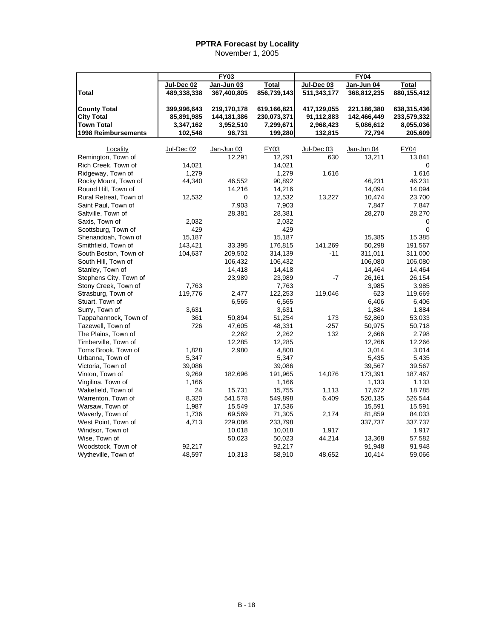|                                                               |                                        | <b>FY03</b>                             |                                         |                                        | <b>FY04</b>                             |                                         |
|---------------------------------------------------------------|----------------------------------------|-----------------------------------------|-----------------------------------------|----------------------------------------|-----------------------------------------|-----------------------------------------|
|                                                               | Jul-Dec 02                             | Jan-Jun 03                              | Total                                   | Jul-Dec 03                             | Jan-Jun 04                              | Total                                   |
| <b>Total</b>                                                  | 489,338,338                            | 367,400,805                             | 856,739,143                             | 511,343,177                            | 368,812,235                             | 880,155,412                             |
| <b>County Total</b><br><b>City Total</b><br><b>Town Total</b> | 399,996,643<br>85,891,985<br>3,347,162 | 219,170,178<br>144,181,386<br>3,952,510 | 619,166,821<br>230,073,371<br>7,299,671 | 417,129,055<br>91,112,883<br>2,968,423 | 221,186,380<br>142,466,449<br>5,086,612 | 638,315,436<br>233,579,332<br>8,055,036 |
| <b>1998 Reimbursements</b>                                    | 102,548                                | 96,731                                  | 199,280                                 | 132,815                                | 72,794                                  | 205,609                                 |
|                                                               |                                        |                                         |                                         |                                        |                                         |                                         |
| Locality                                                      | Jul-Dec 02                             | Jan-Jun 03                              | FY03                                    | Jul-Dec 03                             | Jan-Jun 04                              | FY04                                    |
| Remington, Town of                                            |                                        | 12,291                                  | 12,291                                  | 630                                    | 13,211                                  | 13,841                                  |
| Rich Creek. Town of                                           | 14,021                                 |                                         | 14,021                                  |                                        |                                         |                                         |
| Ridgeway, Town of                                             | 1,279                                  |                                         | 1,279                                   | 1,616                                  |                                         | 1,616                                   |
| Rocky Mount, Town of                                          | 44,340                                 | 46,552                                  | 90,892                                  |                                        | 46,231                                  | 46,231                                  |
| Round Hill, Town of                                           |                                        | 14,216                                  | 14,216                                  |                                        | 14,094                                  | 14,094                                  |
| Rural Retreat, Town of                                        | 12,532                                 | 0                                       | 12,532                                  | 13,227                                 | 10,474                                  | 23,700                                  |
| Saint Paul, Town of                                           |                                        | 7,903                                   | 7,903                                   |                                        | 7,847                                   | 7,847                                   |
| Saltville, Town of                                            |                                        | 28,381                                  | 28,381                                  |                                        | 28,270                                  | 28,270                                  |
| Saxis, Town of                                                | 2,032                                  |                                         | 2,032                                   |                                        |                                         | 0                                       |
| Scottsburg, Town of                                           | 429                                    |                                         | 429                                     |                                        |                                         | $\mathbf 0$                             |
| Shenandoah, Town of                                           | 15,187                                 |                                         | 15,187                                  |                                        | 15,385                                  | 15,385                                  |
| Smithfield, Town of                                           | 143,421                                | 33,395                                  | 176,815                                 | 141,269                                | 50,298                                  | 191,567                                 |
| South Boston, Town of                                         | 104,637                                | 209,502                                 | 314,139                                 | $-11$                                  | 311,011                                 | 311,000                                 |
| South Hill, Town of                                           |                                        | 106,432                                 | 106,432                                 |                                        | 106,080                                 | 106,080                                 |
| Stanley, Town of                                              |                                        | 14,418                                  | 14,418                                  |                                        | 14,464                                  | 14,464                                  |
| Stephens City, Town of                                        |                                        | 23,989                                  | 23,989                                  | $-7$                                   | 26,161                                  | 26,154                                  |
| Stony Creek, Town of                                          | 7,763                                  |                                         | 7,763                                   |                                        | 3,985                                   | 3,985                                   |
| Strasburg, Town of                                            | 119,776                                | 2,477                                   | 122,253                                 | 119,046                                | 623                                     | 119,669                                 |
| Stuart, Town of                                               |                                        | 6,565                                   | 6,565                                   |                                        | 6,406                                   | 6,406                                   |
| Surry, Town of                                                | 3,631                                  |                                         | 3,631                                   |                                        | 1,884                                   | 1,884                                   |
| Tappahannock, Town of                                         | 361                                    | 50,894                                  | 51,254                                  | 173                                    | 52,860                                  | 53,033                                  |
| Tazewell, Town of                                             | 726                                    | 47,605                                  | 48,331                                  | $-257$                                 | 50,975                                  | 50,718                                  |
| The Plains, Town of                                           |                                        | 2,262                                   | 2,262                                   | 132                                    | 2,666                                   | 2,798                                   |
| Timberville, Town of                                          |                                        | 12,285                                  | 12,285                                  |                                        | 12,266                                  | 12,266                                  |
| Toms Brook, Town of                                           | 1,828                                  | 2,980                                   | 4,808                                   |                                        | 3,014                                   | 3,014                                   |
| Urbanna, Town of                                              | 5,347                                  |                                         | 5,347                                   |                                        | 5,435                                   | 5,435                                   |
| Victoria, Town of                                             | 39,086                                 |                                         | 39,086                                  |                                        | 39,567                                  | 39,567                                  |
| Vinton, Town of                                               | 9,269                                  | 182,696                                 | 191,965                                 | 14,076                                 | 173,391                                 | 187,467                                 |
| Virgilina, Town of                                            | 1,166                                  |                                         | 1,166                                   |                                        | 1,133                                   | 1,133                                   |
| Wakefield, Town of                                            | 24                                     | 15,731                                  | 15,755                                  | 1,113                                  | 17,672                                  | 18,785                                  |
| Warrenton, Town of                                            | 8,320                                  | 541,578                                 | 549,898                                 | 6,409                                  | 520,135                                 | 526,544                                 |
| Warsaw, Town of                                               | 1,987                                  | 15,549                                  | 17,536                                  |                                        | 15,591                                  | 15,591                                  |
| Waverly, Town of                                              | 1,736                                  | 69,569                                  | 71,305                                  | 2,174                                  | 81,859                                  | 84,033                                  |
| West Point, Town of                                           | 4,713                                  | 229,086                                 | 233,798                                 |                                        | 337,737                                 | 337,737                                 |
| Windsor, Town of                                              |                                        | 10,018                                  | 10,018                                  | 1,917                                  |                                         | 1,917                                   |
| Wise, Town of                                                 |                                        | 50,023                                  | 50,023                                  | 44,214                                 | 13,368                                  | 57,582                                  |
| Woodstock, Town of                                            | 92,217                                 |                                         | 92,217                                  |                                        | 91,948                                  | 91,948                                  |
| Wytheville, Town of                                           | 48,597                                 | 10,313                                  | 58,910                                  | 48,652                                 | 10,414                                  | 59,066                                  |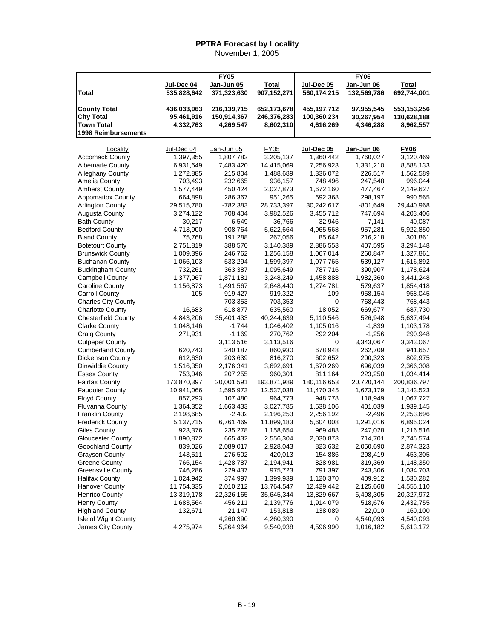|                            |             | <b>FY05</b> |              |             | <b>FY06</b> |              |
|----------------------------|-------------|-------------|--------------|-------------|-------------|--------------|
|                            | Jul-Dec 04  | Jan-Jun 05  | <u>Total</u> | Jul-Dec 05  | Jan-Jun 06  | <b>Total</b> |
| Total                      | 535,828,642 | 371,323,630 | 907,152,271  | 560,174,215 | 132,569,786 | 692,744,001  |
|                            |             |             |              |             |             |              |
| <b>County Total</b>        | 436,033,963 | 216,139,715 | 652,173,678  | 455,197,712 | 97,955,545  | 553,153,256  |
| <b>City Total</b>          | 95,461,916  | 150,914,367 | 246,376,283  | 100,360,234 | 30,267,954  | 130,628,188  |
| <b>Town Total</b>          | 4,332,763   | 4,269,547   | 8,602,310    | 4,616,269   | 4,346,288   | 8,962,557    |
| 1998 Reimbursements        |             |             |              |             |             |              |
|                            |             |             |              |             |             |              |
| Locality                   | Jul-Dec 04  | Jan-Jun 05  | <b>FY05</b>  | Jul-Dec 05  | Jan-Jun 06  | <b>FY06</b>  |
| <b>Accomack County</b>     | 1,397,355   | 1,807,782   | 3,205,137    | 1,360,442   | 1,760,027   | 3,120,469    |
| <b>Albemarle County</b>    | 6,931,649   | 7,483,420   | 14,415,069   | 7,256,923   | 1,331,210   | 8,588,133    |
| <b>Alleghany County</b>    | 1,272,885   | 215,804     | 1,488,689    | 1,336,072   | 226,517     | 1,562,589    |
| Amelia County              | 703,493     | 232,665     | 936,157      | 748,496     | 247,548     | 996,044      |
| <b>Amherst County</b>      | 1,577,449   | 450,424     | 2,027,873    | 1,672,160   | 477,467     | 2,149,627    |
| <b>Appomattox County</b>   | 664,898     | 286,367     | 951,265      | 692,368     | 298,197     | 990,565      |
| <b>Arlington County</b>    | 29,515,780  | -782,383    | 28,733,397   | 30,242,617  | $-801,649$  | 29,440,968   |
| Augusta County             | 3,274,122   | 708,404     | 3,982,526    | 3,455,712   | 747,694     | 4,203,406    |
| <b>Bath County</b>         | 30,217      | 6,549       | 36,766       | 32,946      | 7,141       | 40,087       |
| <b>Bedford County</b>      | 4,713,900   | 908,764     | 5,622,664    | 4,965,568   | 957,281     | 5,922,850    |
| <b>Bland County</b>        | 75,768      | 191,288     | 267,056      | 85,642      | 216,218     | 301,861      |
| <b>Botetourt County</b>    | 2,751,819   | 388,570     | 3,140,389    | 2,886,553   | 407,595     | 3,294,148    |
| <b>Brunswick County</b>    | 1,009,396   | 246,762     | 1,256,158    | 1,067,014   | 260,847     | 1,327,861    |
| <b>Buchanan County</b>     | 1,066,103   | 533,294     | 1,599,397    | 1,077,765   | 539,127     | 1,616,892    |
| <b>Buckingham County</b>   | 732,261     | 363,387     | 1,095,649    | 787,716     | 390,907     | 1,178,624    |
| <b>Campbell County</b>     | 1,377,067   | 1,871,181   | 3,248,249    | 1,458,888   | 1,982,360   | 3,441,248    |
| <b>Caroline County</b>     | 1,156,873   | 1,491,567   | 2,648,440    | 1,274,781   | 579,637     | 1,854,418    |
| <b>Carroll County</b>      | $-105$      | 919,427     | 919,322      | $-109$      | 958,154     | 958,045      |
| <b>Charles City County</b> |             | 703,353     | 703,353      | 0           | 768,443     | 768,443      |
| <b>Charlotte County</b>    | 16,683      | 618,877     | 635,560      | 18,052      | 669,677     | 687,730      |
| <b>Chesterfield County</b> | 4,843,206   | 35,401,433  | 40,244,639   | 5,110,546   | 526,948     | 5,637,494    |
| <b>Clarke County</b>       | 1,048,146   | $-1,744$    | 1,046,402    | 1,105,016   | $-1,839$    | 1,103,178    |
| <b>Craig County</b>        | 271,931     | $-1,169$    | 270,762      | 292,204     | $-1,256$    | 290,948      |
| <b>Culpeper County</b>     |             | 3,113,516   | 3,113,516    | 0           | 3,343,067   | 3,343,067    |
| <b>Cumberland County</b>   | 620,743     | 240,187     | 860,930      | 678,948     | 262,709     | 941,657      |
| Dickenson County           | 612,630     | 203,639     | 816,270      | 602,652     | 200,323     | 802,975      |
| Dinwiddie County           | 1,516,350   | 2,176,341   | 3,692,691    | 1,670,269   | 696,039     | 2,366,308    |
| <b>Essex County</b>        | 753,046     | 207,255     | 960,301      | 811,164     | 223,250     | 1,034,414    |
| <b>Fairfax County</b>      | 173,870,397 | 20,001,591  | 193,871,989  | 180,116,653 | 20,720,144  | 200,836,797  |
| <b>Fauquier County</b>     | 10,941,066  | 1,595,973   | 12,537,038   | 11,470,345  | 1,673,179   | 13,143,523   |
| <b>Floyd County</b>        | 857,293     | 107,480     | 964,773      | 948,778     | 118,949     | 1,067,727    |
| Fluvanna County            | 1,364,352   | 1,663,433   | 3,027,785    | 1,538,106   | 401,039     | 1,939,145    |
| <b>Franklin County</b>     | 2,198,685   | $-2,432$    | 2,196,253    | 2,256,192   | $-2,496$    | 2,253,696    |
| <b>Frederick County</b>    | 5,137,715   | 6,761,469   | 11,899,183   | 5,604,008   | 1,291,016   | 6,895,024    |
| Giles County               | 923,376     | 235,278     | 1,158,654    | 969,488     | 247,028     | 1,216,516    |
| <b>Gloucester County</b>   | 1,890,872   | 665,432     | 2,556,304    | 2,030,873   | 714,701     | 2,745,574    |
| Goochland County           | 839,026     | 2,089,017   | 2,928,043    | 823,632     | 2,050,690   | 2,874,323    |
| <b>Grayson County</b>      | 143,511     | 276,502     | 420,013      | 154,886     | 298,419     | 453,305      |
| <b>Greene County</b>       | 766,154     | 1,428,787   | 2,194,941    | 828,981     | 319,369     | 1,148,350    |
| <b>Greensville County</b>  | 746,286     | 229,437     | 975,723      | 791,397     | 243,306     | 1,034,703    |
| <b>Halifax County</b>      | 1,024,942   | 374,997     | 1,399,939    | 1,120,370   | 409,912     | 1,530,282    |
| <b>Hanover County</b>      | 11,754,335  | 2,010,212   | 13,764,547   | 12,429,442  | 2,125,668   | 14,555,110   |
| <b>Henrico County</b>      | 13,319,178  | 22,326,165  | 35,645,344   | 13,829,667  | 6,498,305   | 20,327,972   |
| <b>Henry County</b>        | 1,683,564   | 456,211     | 2,139,776    | 1,914,079   | 518,676     | 2,432,755    |
| <b>Highland County</b>     | 132,671     | 21,147      | 153,818      | 138,089     | 22,010      | 160,100      |
| Isle of Wight County       |             | 4,260,390   | 4,260,390    | 0           | 4,540,093   | 4,540,093    |
| James City County          | 4,275,974   | 5,264,964   | 9,540,938    | 4,596,990   | 1,016,182   | 5,613,172    |
|                            |             |             |              |             |             |              |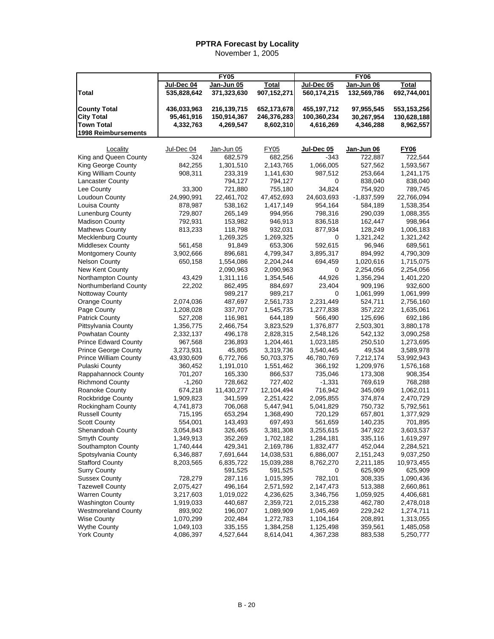| Jul-Dec 04<br>Jan-Jun 05<br><b>Total</b><br>Jul-Dec 05<br>Jan-Jun 06<br><b>Total</b><br>Total<br>535,828,642<br>371,323,630<br>907,152,271<br>560,174,215<br>132,569,786<br>692,744,001<br><b>County Total</b><br>436,033,963<br>216,139,715<br>652,173,678<br>455,197,712<br>97,955,545<br>553,153,256<br><b>City Total</b><br>95,461,916<br>150,914,367<br>246,376,283<br>100,360,234<br>30,267,954<br>130,628,188<br><b>Town Total</b><br>8,962,557<br>4,332,763<br>4,269,547<br>8,602,310<br>4,616,269<br>4,346,288<br>1998 Reimbursements<br>Jan-Jun 06<br>Locality<br>Jul-Dec 04<br>Jan-Jun 05<br>FY05<br>Jul-Dec 05<br><b>FY06</b><br>King and Queen County<br>682,256<br>$-324$<br>682,579<br>$-343$<br>722,544<br>722,887<br>King George County<br>842,255<br>1,301,510<br>2,143,765<br>1,066,005<br>527,562<br>1,593,567<br>King William County<br>908,311<br>233,319<br>1,141,630<br>987,512<br>253,664<br>1,241,175<br>Lancaster County<br>794,127<br>794,127<br>838,040<br>838,040<br>0<br>721,880<br>755,180<br>34,824<br>754,920<br>Lee County<br>33,300<br>789,745<br>Loudoun County<br>24,990,991<br>22,461,702<br>47,452,693<br>24,603,693<br>$-1,837,599$<br>22,766,094<br>Louisa County<br>878,987<br>538,162<br>1,417,149<br>954,164<br>584,189<br>1,538,354<br><b>Lunenburg County</b><br>729,807<br>798,316<br>265,149<br>994,956<br>290,039<br>1,088,355<br><b>Madison County</b><br>792,931<br>153,982<br>946,913<br>836,518<br>162,447<br>998,964<br><b>Mathews County</b><br>932,031<br>813,233<br>118,798<br>877,934<br>128,249<br>1,006,183<br><b>Mecklenburg County</b><br>1,269,325<br>1,269,325<br>1,321,242<br>1,321,242<br>0<br><b>Middlesex County</b><br>91,849<br>653,306<br>592,615<br>96,946<br>689,561<br>561,458<br>Montgomery County<br>3,902,666<br>4,799,347<br>3,895,317<br>896,681<br>894,992<br>4,790,309<br><b>Nelson County</b><br>1,554,086<br>2,204,244<br>1,020,616<br>650,158<br>694,459<br>1,715,075<br>New Kent County<br>2,090,963<br>2,254,056<br>2,090,963<br>0<br>2,254,056<br>Northampton County<br>1,311,116<br>1,354,546<br>44,926<br>43,429<br>1,356,294<br>1,401,220<br>Northumberland County<br>22,202<br>862,495<br>884,697<br>23,404<br>909,196<br>932,600<br>Nottoway County<br>989,217<br>989,217<br>1,061,999<br>1,061,999<br>0<br>2,561,733<br>Orange County<br>2,074,036<br>487,697<br>2,231,449<br>524,711<br>2,756,160<br>Page County<br>1,208,028<br>337,707<br>1,545,735<br>1,635,061<br>1,277,838<br>357,222<br><b>Patrick County</b><br>527,208<br>116,981<br>644,189<br>566,490<br>125,696<br>692,186<br>Pittsylvania County<br>1,356,775<br>3,823,529<br>1,376,877<br>3,880,178<br>2,466,754<br>2,503,301<br>Powhatan County<br>2,332,137<br>496,178<br>2,828,315<br>542,132<br>3,090,258<br>2,548,126<br><b>Prince Edward County</b><br>967,568<br>236,893<br>1,204,461<br>1,023,185<br>250,510<br>1,273,695<br>Prince George County<br>3,273,931<br>49,534<br>45,805<br>3,319,736<br>3,540,445<br>3,589,978<br><b>Prince William County</b><br>43,930,609<br>6,772,766<br>50,703,375<br>46,780,769<br>7,212,174<br>53,992,943<br>Pulaski County<br>360,452<br>1,191,010<br>1,551,462<br>366,192<br>1,209,976<br>1,576,168<br>Rappahannock County<br>701,207<br>165,330<br>866,537<br>735,046<br>908,354<br>173,308<br><b>Richmond County</b><br>$-1,260$<br>728,662<br>727,402<br>$-1,331$<br>769,619<br>768,288<br>Roanoke County<br>674,218<br>11,430,277<br>12,104,494<br>716,942<br>345,069<br>1,062,011<br>Rockbridge County<br>1,909,823<br>341,599<br>2,251,422<br>2,095,855<br>374,874<br>2,470,729<br>Rockingham County<br>4,741,873<br>706,068<br>5,447,941<br>5,041,829<br>750,732<br>5,792,561<br><b>Russell County</b><br>715,195<br>653,294<br>1,368,490<br>720,129<br>657,801<br>1,377,929<br><b>Scott County</b><br>554,001<br>143,493<br>697,493<br>561,659<br>140,235<br>701,895<br>3,054,843<br>3,255,615<br>Shenandoah County<br>326,465<br>3,381,308<br>347,922<br>Smyth County<br>1,349,913<br>352,269<br>1,702,182<br>1,284,181<br>335,116<br>1,619,297<br>Southampton County<br>452,044<br>1,740,444<br>429,341<br>2,169,786<br>1,832,477<br>2,284,521<br>Spotsylvania County<br>6,346,887<br>7,691,644<br>14,038,531<br>6,886,007<br>2,151,243<br>9,037,250<br><b>Stafford County</b><br>8,203,565<br>6,835,722<br>15,039,288<br>8,762,270<br>2,211,185<br>10,973,455<br><b>Surry County</b><br>591,525<br>591,525<br>0<br>625,909<br>625,909<br><b>Sussex County</b><br>728,279<br>287,116<br>1,015,395<br>782,101<br>308,335<br>1,090,436<br><b>Tazewell County</b><br>2,075,427<br>496,164<br>2,571,592<br>2,147,473<br>513,388<br>2,660,861<br><b>Warren County</b><br>1,019,022<br>4,236,625<br>4,406,681<br>3,217,603<br>3,346,756<br>1,059,925<br><b>Washington County</b><br>1,919,033<br>440,687<br>2,359,721<br>2,015,238<br>462,780<br>2,478,018<br><b>Westmoreland County</b><br>1,089,909<br>893,902<br>196,007<br>1,045,469<br>229,242<br>1,274,711<br><b>Wise County</b><br>1,070,299<br>202,484<br>1,272,783<br>1,104,164<br>208,891<br>1,313,055<br><b>Wythe County</b><br>1,049,103<br>335,155<br>1,384,258<br>1,125,498<br>359,561<br>1,485,058<br><b>York County</b><br>4,086,397<br>4,527,644<br>4,367,238<br>883,538<br>5,250,777 |  | <b>FY05</b> |           | <b>FY06</b> |  |
|--------------------------------------------------------------------------------------------------------------------------------------------------------------------------------------------------------------------------------------------------------------------------------------------------------------------------------------------------------------------------------------------------------------------------------------------------------------------------------------------------------------------------------------------------------------------------------------------------------------------------------------------------------------------------------------------------------------------------------------------------------------------------------------------------------------------------------------------------------------------------------------------------------------------------------------------------------------------------------------------------------------------------------------------------------------------------------------------------------------------------------------------------------------------------------------------------------------------------------------------------------------------------------------------------------------------------------------------------------------------------------------------------------------------------------------------------------------------------------------------------------------------------------------------------------------------------------------------------------------------------------------------------------------------------------------------------------------------------------------------------------------------------------------------------------------------------------------------------------------------------------------------------------------------------------------------------------------------------------------------------------------------------------------------------------------------------------------------------------------------------------------------------------------------------------------------------------------------------------------------------------------------------------------------------------------------------------------------------------------------------------------------------------------------------------------------------------------------------------------------------------------------------------------------------------------------------------------------------------------------------------------------------------------------------------------------------------------------------------------------------------------------------------------------------------------------------------------------------------------------------------------------------------------------------------------------------------------------------------------------------------------------------------------------------------------------------------------------------------------------------------------------------------------------------------------------------------------------------------------------------------------------------------------------------------------------------------------------------------------------------------------------------------------------------------------------------------------------------------------------------------------------------------------------------------------------------------------------------------------------------------------------------------------------------------------------------------------------------------------------------------------------------------------------------------------------------------------------------------------------------------------------------------------------------------------------------------------------------------------------------------------------------------------------------------------------------------------------------------------------------------------------------------------------------------------------------------------------------------------------------------------------------------------------------------------------------------------------------------------------------------------------------------------------------------------------------------------------------------------------------------------------------------------------------------------------------------------------------------------------------------------------------------------------------------------------------------------------------------------------------------------------------------------------------------------------------------------------------------------------------------------------------------------------------------------------------------------------------------------------------------------------------------------------------------------------------------------------------------------------------------------------------------------------------------------------------------------------------------------------------------------------|--|-------------|-----------|-------------|--|
|                                                                                                                                                                                                                                                                                                                                                                                                                                                                                                                                                                                                                                                                                                                                                                                                                                                                                                                                                                                                                                                                                                                                                                                                                                                                                                                                                                                                                                                                                                                                                                                                                                                                                                                                                                                                                                                                                                                                                                                                                                                                                                                                                                                                                                                                                                                                                                                                                                                                                                                                                                                                                                                                                                                                                                                                                                                                                                                                                                                                                                                                                                                                                                                                                                                                                                                                                                                                                                                                                                                                                                                                                                                                                                                                                                                                                                                                                                                                                                                                                                                                                                                                                                                                                                                                                                                                                                                                                                                                                                                                                                                                                                                                                                                                                                                                                                                                                                                                                                                                                                                                                                                                                                                                                                                                    |  |             |           |             |  |
|                                                                                                                                                                                                                                                                                                                                                                                                                                                                                                                                                                                                                                                                                                                                                                                                                                                                                                                                                                                                                                                                                                                                                                                                                                                                                                                                                                                                                                                                                                                                                                                                                                                                                                                                                                                                                                                                                                                                                                                                                                                                                                                                                                                                                                                                                                                                                                                                                                                                                                                                                                                                                                                                                                                                                                                                                                                                                                                                                                                                                                                                                                                                                                                                                                                                                                                                                                                                                                                                                                                                                                                                                                                                                                                                                                                                                                                                                                                                                                                                                                                                                                                                                                                                                                                                                                                                                                                                                                                                                                                                                                                                                                                                                                                                                                                                                                                                                                                                                                                                                                                                                                                                                                                                                                                                    |  |             |           |             |  |
|                                                                                                                                                                                                                                                                                                                                                                                                                                                                                                                                                                                                                                                                                                                                                                                                                                                                                                                                                                                                                                                                                                                                                                                                                                                                                                                                                                                                                                                                                                                                                                                                                                                                                                                                                                                                                                                                                                                                                                                                                                                                                                                                                                                                                                                                                                                                                                                                                                                                                                                                                                                                                                                                                                                                                                                                                                                                                                                                                                                                                                                                                                                                                                                                                                                                                                                                                                                                                                                                                                                                                                                                                                                                                                                                                                                                                                                                                                                                                                                                                                                                                                                                                                                                                                                                                                                                                                                                                                                                                                                                                                                                                                                                                                                                                                                                                                                                                                                                                                                                                                                                                                                                                                                                                                                                    |  |             |           |             |  |
|                                                                                                                                                                                                                                                                                                                                                                                                                                                                                                                                                                                                                                                                                                                                                                                                                                                                                                                                                                                                                                                                                                                                                                                                                                                                                                                                                                                                                                                                                                                                                                                                                                                                                                                                                                                                                                                                                                                                                                                                                                                                                                                                                                                                                                                                                                                                                                                                                                                                                                                                                                                                                                                                                                                                                                                                                                                                                                                                                                                                                                                                                                                                                                                                                                                                                                                                                                                                                                                                                                                                                                                                                                                                                                                                                                                                                                                                                                                                                                                                                                                                                                                                                                                                                                                                                                                                                                                                                                                                                                                                                                                                                                                                                                                                                                                                                                                                                                                                                                                                                                                                                                                                                                                                                                                                    |  |             |           |             |  |
|                                                                                                                                                                                                                                                                                                                                                                                                                                                                                                                                                                                                                                                                                                                                                                                                                                                                                                                                                                                                                                                                                                                                                                                                                                                                                                                                                                                                                                                                                                                                                                                                                                                                                                                                                                                                                                                                                                                                                                                                                                                                                                                                                                                                                                                                                                                                                                                                                                                                                                                                                                                                                                                                                                                                                                                                                                                                                                                                                                                                                                                                                                                                                                                                                                                                                                                                                                                                                                                                                                                                                                                                                                                                                                                                                                                                                                                                                                                                                                                                                                                                                                                                                                                                                                                                                                                                                                                                                                                                                                                                                                                                                                                                                                                                                                                                                                                                                                                                                                                                                                                                                                                                                                                                                                                                    |  |             |           |             |  |
|                                                                                                                                                                                                                                                                                                                                                                                                                                                                                                                                                                                                                                                                                                                                                                                                                                                                                                                                                                                                                                                                                                                                                                                                                                                                                                                                                                                                                                                                                                                                                                                                                                                                                                                                                                                                                                                                                                                                                                                                                                                                                                                                                                                                                                                                                                                                                                                                                                                                                                                                                                                                                                                                                                                                                                                                                                                                                                                                                                                                                                                                                                                                                                                                                                                                                                                                                                                                                                                                                                                                                                                                                                                                                                                                                                                                                                                                                                                                                                                                                                                                                                                                                                                                                                                                                                                                                                                                                                                                                                                                                                                                                                                                                                                                                                                                                                                                                                                                                                                                                                                                                                                                                                                                                                                                    |  |             |           |             |  |
|                                                                                                                                                                                                                                                                                                                                                                                                                                                                                                                                                                                                                                                                                                                                                                                                                                                                                                                                                                                                                                                                                                                                                                                                                                                                                                                                                                                                                                                                                                                                                                                                                                                                                                                                                                                                                                                                                                                                                                                                                                                                                                                                                                                                                                                                                                                                                                                                                                                                                                                                                                                                                                                                                                                                                                                                                                                                                                                                                                                                                                                                                                                                                                                                                                                                                                                                                                                                                                                                                                                                                                                                                                                                                                                                                                                                                                                                                                                                                                                                                                                                                                                                                                                                                                                                                                                                                                                                                                                                                                                                                                                                                                                                                                                                                                                                                                                                                                                                                                                                                                                                                                                                                                                                                                                                    |  |             |           |             |  |
| 3,603,537                                                                                                                                                                                                                                                                                                                                                                                                                                                                                                                                                                                                                                                                                                                                                                                                                                                                                                                                                                                                                                                                                                                                                                                                                                                                                                                                                                                                                                                                                                                                                                                                                                                                                                                                                                                                                                                                                                                                                                                                                                                                                                                                                                                                                                                                                                                                                                                                                                                                                                                                                                                                                                                                                                                                                                                                                                                                                                                                                                                                                                                                                                                                                                                                                                                                                                                                                                                                                                                                                                                                                                                                                                                                                                                                                                                                                                                                                                                                                                                                                                                                                                                                                                                                                                                                                                                                                                                                                                                                                                                                                                                                                                                                                                                                                                                                                                                                                                                                                                                                                                                                                                                                                                                                                                                          |  |             |           |             |  |
|                                                                                                                                                                                                                                                                                                                                                                                                                                                                                                                                                                                                                                                                                                                                                                                                                                                                                                                                                                                                                                                                                                                                                                                                                                                                                                                                                                                                                                                                                                                                                                                                                                                                                                                                                                                                                                                                                                                                                                                                                                                                                                                                                                                                                                                                                                                                                                                                                                                                                                                                                                                                                                                                                                                                                                                                                                                                                                                                                                                                                                                                                                                                                                                                                                                                                                                                                                                                                                                                                                                                                                                                                                                                                                                                                                                                                                                                                                                                                                                                                                                                                                                                                                                                                                                                                                                                                                                                                                                                                                                                                                                                                                                                                                                                                                                                                                                                                                                                                                                                                                                                                                                                                                                                                                                                    |  |             |           |             |  |
|                                                                                                                                                                                                                                                                                                                                                                                                                                                                                                                                                                                                                                                                                                                                                                                                                                                                                                                                                                                                                                                                                                                                                                                                                                                                                                                                                                                                                                                                                                                                                                                                                                                                                                                                                                                                                                                                                                                                                                                                                                                                                                                                                                                                                                                                                                                                                                                                                                                                                                                                                                                                                                                                                                                                                                                                                                                                                                                                                                                                                                                                                                                                                                                                                                                                                                                                                                                                                                                                                                                                                                                                                                                                                                                                                                                                                                                                                                                                                                                                                                                                                                                                                                                                                                                                                                                                                                                                                                                                                                                                                                                                                                                                                                                                                                                                                                                                                                                                                                                                                                                                                                                                                                                                                                                                    |  |             |           |             |  |
|                                                                                                                                                                                                                                                                                                                                                                                                                                                                                                                                                                                                                                                                                                                                                                                                                                                                                                                                                                                                                                                                                                                                                                                                                                                                                                                                                                                                                                                                                                                                                                                                                                                                                                                                                                                                                                                                                                                                                                                                                                                                                                                                                                                                                                                                                                                                                                                                                                                                                                                                                                                                                                                                                                                                                                                                                                                                                                                                                                                                                                                                                                                                                                                                                                                                                                                                                                                                                                                                                                                                                                                                                                                                                                                                                                                                                                                                                                                                                                                                                                                                                                                                                                                                                                                                                                                                                                                                                                                                                                                                                                                                                                                                                                                                                                                                                                                                                                                                                                                                                                                                                                                                                                                                                                                                    |  |             |           |             |  |
|                                                                                                                                                                                                                                                                                                                                                                                                                                                                                                                                                                                                                                                                                                                                                                                                                                                                                                                                                                                                                                                                                                                                                                                                                                                                                                                                                                                                                                                                                                                                                                                                                                                                                                                                                                                                                                                                                                                                                                                                                                                                                                                                                                                                                                                                                                                                                                                                                                                                                                                                                                                                                                                                                                                                                                                                                                                                                                                                                                                                                                                                                                                                                                                                                                                                                                                                                                                                                                                                                                                                                                                                                                                                                                                                                                                                                                                                                                                                                                                                                                                                                                                                                                                                                                                                                                                                                                                                                                                                                                                                                                                                                                                                                                                                                                                                                                                                                                                                                                                                                                                                                                                                                                                                                                                                    |  |             |           |             |  |
|                                                                                                                                                                                                                                                                                                                                                                                                                                                                                                                                                                                                                                                                                                                                                                                                                                                                                                                                                                                                                                                                                                                                                                                                                                                                                                                                                                                                                                                                                                                                                                                                                                                                                                                                                                                                                                                                                                                                                                                                                                                                                                                                                                                                                                                                                                                                                                                                                                                                                                                                                                                                                                                                                                                                                                                                                                                                                                                                                                                                                                                                                                                                                                                                                                                                                                                                                                                                                                                                                                                                                                                                                                                                                                                                                                                                                                                                                                                                                                                                                                                                                                                                                                                                                                                                                                                                                                                                                                                                                                                                                                                                                                                                                                                                                                                                                                                                                                                                                                                                                                                                                                                                                                                                                                                                    |  |             |           |             |  |
|                                                                                                                                                                                                                                                                                                                                                                                                                                                                                                                                                                                                                                                                                                                                                                                                                                                                                                                                                                                                                                                                                                                                                                                                                                                                                                                                                                                                                                                                                                                                                                                                                                                                                                                                                                                                                                                                                                                                                                                                                                                                                                                                                                                                                                                                                                                                                                                                                                                                                                                                                                                                                                                                                                                                                                                                                                                                                                                                                                                                                                                                                                                                                                                                                                                                                                                                                                                                                                                                                                                                                                                                                                                                                                                                                                                                                                                                                                                                                                                                                                                                                                                                                                                                                                                                                                                                                                                                                                                                                                                                                                                                                                                                                                                                                                                                                                                                                                                                                                                                                                                                                                                                                                                                                                                                    |  |             |           |             |  |
|                                                                                                                                                                                                                                                                                                                                                                                                                                                                                                                                                                                                                                                                                                                                                                                                                                                                                                                                                                                                                                                                                                                                                                                                                                                                                                                                                                                                                                                                                                                                                                                                                                                                                                                                                                                                                                                                                                                                                                                                                                                                                                                                                                                                                                                                                                                                                                                                                                                                                                                                                                                                                                                                                                                                                                                                                                                                                                                                                                                                                                                                                                                                                                                                                                                                                                                                                                                                                                                                                                                                                                                                                                                                                                                                                                                                                                                                                                                                                                                                                                                                                                                                                                                                                                                                                                                                                                                                                                                                                                                                                                                                                                                                                                                                                                                                                                                                                                                                                                                                                                                                                                                                                                                                                                                                    |  |             |           |             |  |
|                                                                                                                                                                                                                                                                                                                                                                                                                                                                                                                                                                                                                                                                                                                                                                                                                                                                                                                                                                                                                                                                                                                                                                                                                                                                                                                                                                                                                                                                                                                                                                                                                                                                                                                                                                                                                                                                                                                                                                                                                                                                                                                                                                                                                                                                                                                                                                                                                                                                                                                                                                                                                                                                                                                                                                                                                                                                                                                                                                                                                                                                                                                                                                                                                                                                                                                                                                                                                                                                                                                                                                                                                                                                                                                                                                                                                                                                                                                                                                                                                                                                                                                                                                                                                                                                                                                                                                                                                                                                                                                                                                                                                                                                                                                                                                                                                                                                                                                                                                                                                                                                                                                                                                                                                                                                    |  |             |           |             |  |
|                                                                                                                                                                                                                                                                                                                                                                                                                                                                                                                                                                                                                                                                                                                                                                                                                                                                                                                                                                                                                                                                                                                                                                                                                                                                                                                                                                                                                                                                                                                                                                                                                                                                                                                                                                                                                                                                                                                                                                                                                                                                                                                                                                                                                                                                                                                                                                                                                                                                                                                                                                                                                                                                                                                                                                                                                                                                                                                                                                                                                                                                                                                                                                                                                                                                                                                                                                                                                                                                                                                                                                                                                                                                                                                                                                                                                                                                                                                                                                                                                                                                                                                                                                                                                                                                                                                                                                                                                                                                                                                                                                                                                                                                                                                                                                                                                                                                                                                                                                                                                                                                                                                                                                                                                                                                    |  |             |           |             |  |
|                                                                                                                                                                                                                                                                                                                                                                                                                                                                                                                                                                                                                                                                                                                                                                                                                                                                                                                                                                                                                                                                                                                                                                                                                                                                                                                                                                                                                                                                                                                                                                                                                                                                                                                                                                                                                                                                                                                                                                                                                                                                                                                                                                                                                                                                                                                                                                                                                                                                                                                                                                                                                                                                                                                                                                                                                                                                                                                                                                                                                                                                                                                                                                                                                                                                                                                                                                                                                                                                                                                                                                                                                                                                                                                                                                                                                                                                                                                                                                                                                                                                                                                                                                                                                                                                                                                                                                                                                                                                                                                                                                                                                                                                                                                                                                                                                                                                                                                                                                                                                                                                                                                                                                                                                                                                    |  |             |           |             |  |
|                                                                                                                                                                                                                                                                                                                                                                                                                                                                                                                                                                                                                                                                                                                                                                                                                                                                                                                                                                                                                                                                                                                                                                                                                                                                                                                                                                                                                                                                                                                                                                                                                                                                                                                                                                                                                                                                                                                                                                                                                                                                                                                                                                                                                                                                                                                                                                                                                                                                                                                                                                                                                                                                                                                                                                                                                                                                                                                                                                                                                                                                                                                                                                                                                                                                                                                                                                                                                                                                                                                                                                                                                                                                                                                                                                                                                                                                                                                                                                                                                                                                                                                                                                                                                                                                                                                                                                                                                                                                                                                                                                                                                                                                                                                                                                                                                                                                                                                                                                                                                                                                                                                                                                                                                                                                    |  |             |           |             |  |
|                                                                                                                                                                                                                                                                                                                                                                                                                                                                                                                                                                                                                                                                                                                                                                                                                                                                                                                                                                                                                                                                                                                                                                                                                                                                                                                                                                                                                                                                                                                                                                                                                                                                                                                                                                                                                                                                                                                                                                                                                                                                                                                                                                                                                                                                                                                                                                                                                                                                                                                                                                                                                                                                                                                                                                                                                                                                                                                                                                                                                                                                                                                                                                                                                                                                                                                                                                                                                                                                                                                                                                                                                                                                                                                                                                                                                                                                                                                                                                                                                                                                                                                                                                                                                                                                                                                                                                                                                                                                                                                                                                                                                                                                                                                                                                                                                                                                                                                                                                                                                                                                                                                                                                                                                                                                    |  |             |           |             |  |
|                                                                                                                                                                                                                                                                                                                                                                                                                                                                                                                                                                                                                                                                                                                                                                                                                                                                                                                                                                                                                                                                                                                                                                                                                                                                                                                                                                                                                                                                                                                                                                                                                                                                                                                                                                                                                                                                                                                                                                                                                                                                                                                                                                                                                                                                                                                                                                                                                                                                                                                                                                                                                                                                                                                                                                                                                                                                                                                                                                                                                                                                                                                                                                                                                                                                                                                                                                                                                                                                                                                                                                                                                                                                                                                                                                                                                                                                                                                                                                                                                                                                                                                                                                                                                                                                                                                                                                                                                                                                                                                                                                                                                                                                                                                                                                                                                                                                                                                                                                                                                                                                                                                                                                                                                                                                    |  |             |           |             |  |
|                                                                                                                                                                                                                                                                                                                                                                                                                                                                                                                                                                                                                                                                                                                                                                                                                                                                                                                                                                                                                                                                                                                                                                                                                                                                                                                                                                                                                                                                                                                                                                                                                                                                                                                                                                                                                                                                                                                                                                                                                                                                                                                                                                                                                                                                                                                                                                                                                                                                                                                                                                                                                                                                                                                                                                                                                                                                                                                                                                                                                                                                                                                                                                                                                                                                                                                                                                                                                                                                                                                                                                                                                                                                                                                                                                                                                                                                                                                                                                                                                                                                                                                                                                                                                                                                                                                                                                                                                                                                                                                                                                                                                                                                                                                                                                                                                                                                                                                                                                                                                                                                                                                                                                                                                                                                    |  |             |           |             |  |
|                                                                                                                                                                                                                                                                                                                                                                                                                                                                                                                                                                                                                                                                                                                                                                                                                                                                                                                                                                                                                                                                                                                                                                                                                                                                                                                                                                                                                                                                                                                                                                                                                                                                                                                                                                                                                                                                                                                                                                                                                                                                                                                                                                                                                                                                                                                                                                                                                                                                                                                                                                                                                                                                                                                                                                                                                                                                                                                                                                                                                                                                                                                                                                                                                                                                                                                                                                                                                                                                                                                                                                                                                                                                                                                                                                                                                                                                                                                                                                                                                                                                                                                                                                                                                                                                                                                                                                                                                                                                                                                                                                                                                                                                                                                                                                                                                                                                                                                                                                                                                                                                                                                                                                                                                                                                    |  |             |           |             |  |
|                                                                                                                                                                                                                                                                                                                                                                                                                                                                                                                                                                                                                                                                                                                                                                                                                                                                                                                                                                                                                                                                                                                                                                                                                                                                                                                                                                                                                                                                                                                                                                                                                                                                                                                                                                                                                                                                                                                                                                                                                                                                                                                                                                                                                                                                                                                                                                                                                                                                                                                                                                                                                                                                                                                                                                                                                                                                                                                                                                                                                                                                                                                                                                                                                                                                                                                                                                                                                                                                                                                                                                                                                                                                                                                                                                                                                                                                                                                                                                                                                                                                                                                                                                                                                                                                                                                                                                                                                                                                                                                                                                                                                                                                                                                                                                                                                                                                                                                                                                                                                                                                                                                                                                                                                                                                    |  |             |           |             |  |
|                                                                                                                                                                                                                                                                                                                                                                                                                                                                                                                                                                                                                                                                                                                                                                                                                                                                                                                                                                                                                                                                                                                                                                                                                                                                                                                                                                                                                                                                                                                                                                                                                                                                                                                                                                                                                                                                                                                                                                                                                                                                                                                                                                                                                                                                                                                                                                                                                                                                                                                                                                                                                                                                                                                                                                                                                                                                                                                                                                                                                                                                                                                                                                                                                                                                                                                                                                                                                                                                                                                                                                                                                                                                                                                                                                                                                                                                                                                                                                                                                                                                                                                                                                                                                                                                                                                                                                                                                                                                                                                                                                                                                                                                                                                                                                                                                                                                                                                                                                                                                                                                                                                                                                                                                                                                    |  |             |           |             |  |
|                                                                                                                                                                                                                                                                                                                                                                                                                                                                                                                                                                                                                                                                                                                                                                                                                                                                                                                                                                                                                                                                                                                                                                                                                                                                                                                                                                                                                                                                                                                                                                                                                                                                                                                                                                                                                                                                                                                                                                                                                                                                                                                                                                                                                                                                                                                                                                                                                                                                                                                                                                                                                                                                                                                                                                                                                                                                                                                                                                                                                                                                                                                                                                                                                                                                                                                                                                                                                                                                                                                                                                                                                                                                                                                                                                                                                                                                                                                                                                                                                                                                                                                                                                                                                                                                                                                                                                                                                                                                                                                                                                                                                                                                                                                                                                                                                                                                                                                                                                                                                                                                                                                                                                                                                                                                    |  |             |           |             |  |
|                                                                                                                                                                                                                                                                                                                                                                                                                                                                                                                                                                                                                                                                                                                                                                                                                                                                                                                                                                                                                                                                                                                                                                                                                                                                                                                                                                                                                                                                                                                                                                                                                                                                                                                                                                                                                                                                                                                                                                                                                                                                                                                                                                                                                                                                                                                                                                                                                                                                                                                                                                                                                                                                                                                                                                                                                                                                                                                                                                                                                                                                                                                                                                                                                                                                                                                                                                                                                                                                                                                                                                                                                                                                                                                                                                                                                                                                                                                                                                                                                                                                                                                                                                                                                                                                                                                                                                                                                                                                                                                                                                                                                                                                                                                                                                                                                                                                                                                                                                                                                                                                                                                                                                                                                                                                    |  |             |           |             |  |
|                                                                                                                                                                                                                                                                                                                                                                                                                                                                                                                                                                                                                                                                                                                                                                                                                                                                                                                                                                                                                                                                                                                                                                                                                                                                                                                                                                                                                                                                                                                                                                                                                                                                                                                                                                                                                                                                                                                                                                                                                                                                                                                                                                                                                                                                                                                                                                                                                                                                                                                                                                                                                                                                                                                                                                                                                                                                                                                                                                                                                                                                                                                                                                                                                                                                                                                                                                                                                                                                                                                                                                                                                                                                                                                                                                                                                                                                                                                                                                                                                                                                                                                                                                                                                                                                                                                                                                                                                                                                                                                                                                                                                                                                                                                                                                                                                                                                                                                                                                                                                                                                                                                                                                                                                                                                    |  |             |           |             |  |
|                                                                                                                                                                                                                                                                                                                                                                                                                                                                                                                                                                                                                                                                                                                                                                                                                                                                                                                                                                                                                                                                                                                                                                                                                                                                                                                                                                                                                                                                                                                                                                                                                                                                                                                                                                                                                                                                                                                                                                                                                                                                                                                                                                                                                                                                                                                                                                                                                                                                                                                                                                                                                                                                                                                                                                                                                                                                                                                                                                                                                                                                                                                                                                                                                                                                                                                                                                                                                                                                                                                                                                                                                                                                                                                                                                                                                                                                                                                                                                                                                                                                                                                                                                                                                                                                                                                                                                                                                                                                                                                                                                                                                                                                                                                                                                                                                                                                                                                                                                                                                                                                                                                                                                                                                                                                    |  |             |           |             |  |
|                                                                                                                                                                                                                                                                                                                                                                                                                                                                                                                                                                                                                                                                                                                                                                                                                                                                                                                                                                                                                                                                                                                                                                                                                                                                                                                                                                                                                                                                                                                                                                                                                                                                                                                                                                                                                                                                                                                                                                                                                                                                                                                                                                                                                                                                                                                                                                                                                                                                                                                                                                                                                                                                                                                                                                                                                                                                                                                                                                                                                                                                                                                                                                                                                                                                                                                                                                                                                                                                                                                                                                                                                                                                                                                                                                                                                                                                                                                                                                                                                                                                                                                                                                                                                                                                                                                                                                                                                                                                                                                                                                                                                                                                                                                                                                                                                                                                                                                                                                                                                                                                                                                                                                                                                                                                    |  |             |           |             |  |
|                                                                                                                                                                                                                                                                                                                                                                                                                                                                                                                                                                                                                                                                                                                                                                                                                                                                                                                                                                                                                                                                                                                                                                                                                                                                                                                                                                                                                                                                                                                                                                                                                                                                                                                                                                                                                                                                                                                                                                                                                                                                                                                                                                                                                                                                                                                                                                                                                                                                                                                                                                                                                                                                                                                                                                                                                                                                                                                                                                                                                                                                                                                                                                                                                                                                                                                                                                                                                                                                                                                                                                                                                                                                                                                                                                                                                                                                                                                                                                                                                                                                                                                                                                                                                                                                                                                                                                                                                                                                                                                                                                                                                                                                                                                                                                                                                                                                                                                                                                                                                                                                                                                                                                                                                                                                    |  |             |           |             |  |
|                                                                                                                                                                                                                                                                                                                                                                                                                                                                                                                                                                                                                                                                                                                                                                                                                                                                                                                                                                                                                                                                                                                                                                                                                                                                                                                                                                                                                                                                                                                                                                                                                                                                                                                                                                                                                                                                                                                                                                                                                                                                                                                                                                                                                                                                                                                                                                                                                                                                                                                                                                                                                                                                                                                                                                                                                                                                                                                                                                                                                                                                                                                                                                                                                                                                                                                                                                                                                                                                                                                                                                                                                                                                                                                                                                                                                                                                                                                                                                                                                                                                                                                                                                                                                                                                                                                                                                                                                                                                                                                                                                                                                                                                                                                                                                                                                                                                                                                                                                                                                                                                                                                                                                                                                                                                    |  |             |           |             |  |
|                                                                                                                                                                                                                                                                                                                                                                                                                                                                                                                                                                                                                                                                                                                                                                                                                                                                                                                                                                                                                                                                                                                                                                                                                                                                                                                                                                                                                                                                                                                                                                                                                                                                                                                                                                                                                                                                                                                                                                                                                                                                                                                                                                                                                                                                                                                                                                                                                                                                                                                                                                                                                                                                                                                                                                                                                                                                                                                                                                                                                                                                                                                                                                                                                                                                                                                                                                                                                                                                                                                                                                                                                                                                                                                                                                                                                                                                                                                                                                                                                                                                                                                                                                                                                                                                                                                                                                                                                                                                                                                                                                                                                                                                                                                                                                                                                                                                                                                                                                                                                                                                                                                                                                                                                                                                    |  |             |           |             |  |
|                                                                                                                                                                                                                                                                                                                                                                                                                                                                                                                                                                                                                                                                                                                                                                                                                                                                                                                                                                                                                                                                                                                                                                                                                                                                                                                                                                                                                                                                                                                                                                                                                                                                                                                                                                                                                                                                                                                                                                                                                                                                                                                                                                                                                                                                                                                                                                                                                                                                                                                                                                                                                                                                                                                                                                                                                                                                                                                                                                                                                                                                                                                                                                                                                                                                                                                                                                                                                                                                                                                                                                                                                                                                                                                                                                                                                                                                                                                                                                                                                                                                                                                                                                                                                                                                                                                                                                                                                                                                                                                                                                                                                                                                                                                                                                                                                                                                                                                                                                                                                                                                                                                                                                                                                                                                    |  |             |           |             |  |
|                                                                                                                                                                                                                                                                                                                                                                                                                                                                                                                                                                                                                                                                                                                                                                                                                                                                                                                                                                                                                                                                                                                                                                                                                                                                                                                                                                                                                                                                                                                                                                                                                                                                                                                                                                                                                                                                                                                                                                                                                                                                                                                                                                                                                                                                                                                                                                                                                                                                                                                                                                                                                                                                                                                                                                                                                                                                                                                                                                                                                                                                                                                                                                                                                                                                                                                                                                                                                                                                                                                                                                                                                                                                                                                                                                                                                                                                                                                                                                                                                                                                                                                                                                                                                                                                                                                                                                                                                                                                                                                                                                                                                                                                                                                                                                                                                                                                                                                                                                                                                                                                                                                                                                                                                                                                    |  |             |           |             |  |
|                                                                                                                                                                                                                                                                                                                                                                                                                                                                                                                                                                                                                                                                                                                                                                                                                                                                                                                                                                                                                                                                                                                                                                                                                                                                                                                                                                                                                                                                                                                                                                                                                                                                                                                                                                                                                                                                                                                                                                                                                                                                                                                                                                                                                                                                                                                                                                                                                                                                                                                                                                                                                                                                                                                                                                                                                                                                                                                                                                                                                                                                                                                                                                                                                                                                                                                                                                                                                                                                                                                                                                                                                                                                                                                                                                                                                                                                                                                                                                                                                                                                                                                                                                                                                                                                                                                                                                                                                                                                                                                                                                                                                                                                                                                                                                                                                                                                                                                                                                                                                                                                                                                                                                                                                                                                    |  |             |           |             |  |
|                                                                                                                                                                                                                                                                                                                                                                                                                                                                                                                                                                                                                                                                                                                                                                                                                                                                                                                                                                                                                                                                                                                                                                                                                                                                                                                                                                                                                                                                                                                                                                                                                                                                                                                                                                                                                                                                                                                                                                                                                                                                                                                                                                                                                                                                                                                                                                                                                                                                                                                                                                                                                                                                                                                                                                                                                                                                                                                                                                                                                                                                                                                                                                                                                                                                                                                                                                                                                                                                                                                                                                                                                                                                                                                                                                                                                                                                                                                                                                                                                                                                                                                                                                                                                                                                                                                                                                                                                                                                                                                                                                                                                                                                                                                                                                                                                                                                                                                                                                                                                                                                                                                                                                                                                                                                    |  |             |           |             |  |
|                                                                                                                                                                                                                                                                                                                                                                                                                                                                                                                                                                                                                                                                                                                                                                                                                                                                                                                                                                                                                                                                                                                                                                                                                                                                                                                                                                                                                                                                                                                                                                                                                                                                                                                                                                                                                                                                                                                                                                                                                                                                                                                                                                                                                                                                                                                                                                                                                                                                                                                                                                                                                                                                                                                                                                                                                                                                                                                                                                                                                                                                                                                                                                                                                                                                                                                                                                                                                                                                                                                                                                                                                                                                                                                                                                                                                                                                                                                                                                                                                                                                                                                                                                                                                                                                                                                                                                                                                                                                                                                                                                                                                                                                                                                                                                                                                                                                                                                                                                                                                                                                                                                                                                                                                                                                    |  |             |           |             |  |
|                                                                                                                                                                                                                                                                                                                                                                                                                                                                                                                                                                                                                                                                                                                                                                                                                                                                                                                                                                                                                                                                                                                                                                                                                                                                                                                                                                                                                                                                                                                                                                                                                                                                                                                                                                                                                                                                                                                                                                                                                                                                                                                                                                                                                                                                                                                                                                                                                                                                                                                                                                                                                                                                                                                                                                                                                                                                                                                                                                                                                                                                                                                                                                                                                                                                                                                                                                                                                                                                                                                                                                                                                                                                                                                                                                                                                                                                                                                                                                                                                                                                                                                                                                                                                                                                                                                                                                                                                                                                                                                                                                                                                                                                                                                                                                                                                                                                                                                                                                                                                                                                                                                                                                                                                                                                    |  |             |           |             |  |
|                                                                                                                                                                                                                                                                                                                                                                                                                                                                                                                                                                                                                                                                                                                                                                                                                                                                                                                                                                                                                                                                                                                                                                                                                                                                                                                                                                                                                                                                                                                                                                                                                                                                                                                                                                                                                                                                                                                                                                                                                                                                                                                                                                                                                                                                                                                                                                                                                                                                                                                                                                                                                                                                                                                                                                                                                                                                                                                                                                                                                                                                                                                                                                                                                                                                                                                                                                                                                                                                                                                                                                                                                                                                                                                                                                                                                                                                                                                                                                                                                                                                                                                                                                                                                                                                                                                                                                                                                                                                                                                                                                                                                                                                                                                                                                                                                                                                                                                                                                                                                                                                                                                                                                                                                                                                    |  |             |           |             |  |
|                                                                                                                                                                                                                                                                                                                                                                                                                                                                                                                                                                                                                                                                                                                                                                                                                                                                                                                                                                                                                                                                                                                                                                                                                                                                                                                                                                                                                                                                                                                                                                                                                                                                                                                                                                                                                                                                                                                                                                                                                                                                                                                                                                                                                                                                                                                                                                                                                                                                                                                                                                                                                                                                                                                                                                                                                                                                                                                                                                                                                                                                                                                                                                                                                                                                                                                                                                                                                                                                                                                                                                                                                                                                                                                                                                                                                                                                                                                                                                                                                                                                                                                                                                                                                                                                                                                                                                                                                                                                                                                                                                                                                                                                                                                                                                                                                                                                                                                                                                                                                                                                                                                                                                                                                                                                    |  |             |           |             |  |
|                                                                                                                                                                                                                                                                                                                                                                                                                                                                                                                                                                                                                                                                                                                                                                                                                                                                                                                                                                                                                                                                                                                                                                                                                                                                                                                                                                                                                                                                                                                                                                                                                                                                                                                                                                                                                                                                                                                                                                                                                                                                                                                                                                                                                                                                                                                                                                                                                                                                                                                                                                                                                                                                                                                                                                                                                                                                                                                                                                                                                                                                                                                                                                                                                                                                                                                                                                                                                                                                                                                                                                                                                                                                                                                                                                                                                                                                                                                                                                                                                                                                                                                                                                                                                                                                                                                                                                                                                                                                                                                                                                                                                                                                                                                                                                                                                                                                                                                                                                                                                                                                                                                                                                                                                                                                    |  |             |           |             |  |
|                                                                                                                                                                                                                                                                                                                                                                                                                                                                                                                                                                                                                                                                                                                                                                                                                                                                                                                                                                                                                                                                                                                                                                                                                                                                                                                                                                                                                                                                                                                                                                                                                                                                                                                                                                                                                                                                                                                                                                                                                                                                                                                                                                                                                                                                                                                                                                                                                                                                                                                                                                                                                                                                                                                                                                                                                                                                                                                                                                                                                                                                                                                                                                                                                                                                                                                                                                                                                                                                                                                                                                                                                                                                                                                                                                                                                                                                                                                                                                                                                                                                                                                                                                                                                                                                                                                                                                                                                                                                                                                                                                                                                                                                                                                                                                                                                                                                                                                                                                                                                                                                                                                                                                                                                                                                    |  |             |           |             |  |
|                                                                                                                                                                                                                                                                                                                                                                                                                                                                                                                                                                                                                                                                                                                                                                                                                                                                                                                                                                                                                                                                                                                                                                                                                                                                                                                                                                                                                                                                                                                                                                                                                                                                                                                                                                                                                                                                                                                                                                                                                                                                                                                                                                                                                                                                                                                                                                                                                                                                                                                                                                                                                                                                                                                                                                                                                                                                                                                                                                                                                                                                                                                                                                                                                                                                                                                                                                                                                                                                                                                                                                                                                                                                                                                                                                                                                                                                                                                                                                                                                                                                                                                                                                                                                                                                                                                                                                                                                                                                                                                                                                                                                                                                                                                                                                                                                                                                                                                                                                                                                                                                                                                                                                                                                                                                    |  |             |           |             |  |
|                                                                                                                                                                                                                                                                                                                                                                                                                                                                                                                                                                                                                                                                                                                                                                                                                                                                                                                                                                                                                                                                                                                                                                                                                                                                                                                                                                                                                                                                                                                                                                                                                                                                                                                                                                                                                                                                                                                                                                                                                                                                                                                                                                                                                                                                                                                                                                                                                                                                                                                                                                                                                                                                                                                                                                                                                                                                                                                                                                                                                                                                                                                                                                                                                                                                                                                                                                                                                                                                                                                                                                                                                                                                                                                                                                                                                                                                                                                                                                                                                                                                                                                                                                                                                                                                                                                                                                                                                                                                                                                                                                                                                                                                                                                                                                                                                                                                                                                                                                                                                                                                                                                                                                                                                                                                    |  |             |           |             |  |
|                                                                                                                                                                                                                                                                                                                                                                                                                                                                                                                                                                                                                                                                                                                                                                                                                                                                                                                                                                                                                                                                                                                                                                                                                                                                                                                                                                                                                                                                                                                                                                                                                                                                                                                                                                                                                                                                                                                                                                                                                                                                                                                                                                                                                                                                                                                                                                                                                                                                                                                                                                                                                                                                                                                                                                                                                                                                                                                                                                                                                                                                                                                                                                                                                                                                                                                                                                                                                                                                                                                                                                                                                                                                                                                                                                                                                                                                                                                                                                                                                                                                                                                                                                                                                                                                                                                                                                                                                                                                                                                                                                                                                                                                                                                                                                                                                                                                                                                                                                                                                                                                                                                                                                                                                                                                    |  |             |           |             |  |
|                                                                                                                                                                                                                                                                                                                                                                                                                                                                                                                                                                                                                                                                                                                                                                                                                                                                                                                                                                                                                                                                                                                                                                                                                                                                                                                                                                                                                                                                                                                                                                                                                                                                                                                                                                                                                                                                                                                                                                                                                                                                                                                                                                                                                                                                                                                                                                                                                                                                                                                                                                                                                                                                                                                                                                                                                                                                                                                                                                                                                                                                                                                                                                                                                                                                                                                                                                                                                                                                                                                                                                                                                                                                                                                                                                                                                                                                                                                                                                                                                                                                                                                                                                                                                                                                                                                                                                                                                                                                                                                                                                                                                                                                                                                                                                                                                                                                                                                                                                                                                                                                                                                                                                                                                                                                    |  |             |           |             |  |
|                                                                                                                                                                                                                                                                                                                                                                                                                                                                                                                                                                                                                                                                                                                                                                                                                                                                                                                                                                                                                                                                                                                                                                                                                                                                                                                                                                                                                                                                                                                                                                                                                                                                                                                                                                                                                                                                                                                                                                                                                                                                                                                                                                                                                                                                                                                                                                                                                                                                                                                                                                                                                                                                                                                                                                                                                                                                                                                                                                                                                                                                                                                                                                                                                                                                                                                                                                                                                                                                                                                                                                                                                                                                                                                                                                                                                                                                                                                                                                                                                                                                                                                                                                                                                                                                                                                                                                                                                                                                                                                                                                                                                                                                                                                                                                                                                                                                                                                                                                                                                                                                                                                                                                                                                                                                    |  |             |           |             |  |
|                                                                                                                                                                                                                                                                                                                                                                                                                                                                                                                                                                                                                                                                                                                                                                                                                                                                                                                                                                                                                                                                                                                                                                                                                                                                                                                                                                                                                                                                                                                                                                                                                                                                                                                                                                                                                                                                                                                                                                                                                                                                                                                                                                                                                                                                                                                                                                                                                                                                                                                                                                                                                                                                                                                                                                                                                                                                                                                                                                                                                                                                                                                                                                                                                                                                                                                                                                                                                                                                                                                                                                                                                                                                                                                                                                                                                                                                                                                                                                                                                                                                                                                                                                                                                                                                                                                                                                                                                                                                                                                                                                                                                                                                                                                                                                                                                                                                                                                                                                                                                                                                                                                                                                                                                                                                    |  |             |           |             |  |
|                                                                                                                                                                                                                                                                                                                                                                                                                                                                                                                                                                                                                                                                                                                                                                                                                                                                                                                                                                                                                                                                                                                                                                                                                                                                                                                                                                                                                                                                                                                                                                                                                                                                                                                                                                                                                                                                                                                                                                                                                                                                                                                                                                                                                                                                                                                                                                                                                                                                                                                                                                                                                                                                                                                                                                                                                                                                                                                                                                                                                                                                                                                                                                                                                                                                                                                                                                                                                                                                                                                                                                                                                                                                                                                                                                                                                                                                                                                                                                                                                                                                                                                                                                                                                                                                                                                                                                                                                                                                                                                                                                                                                                                                                                                                                                                                                                                                                                                                                                                                                                                                                                                                                                                                                                                                    |  |             |           |             |  |
|                                                                                                                                                                                                                                                                                                                                                                                                                                                                                                                                                                                                                                                                                                                                                                                                                                                                                                                                                                                                                                                                                                                                                                                                                                                                                                                                                                                                                                                                                                                                                                                                                                                                                                                                                                                                                                                                                                                                                                                                                                                                                                                                                                                                                                                                                                                                                                                                                                                                                                                                                                                                                                                                                                                                                                                                                                                                                                                                                                                                                                                                                                                                                                                                                                                                                                                                                                                                                                                                                                                                                                                                                                                                                                                                                                                                                                                                                                                                                                                                                                                                                                                                                                                                                                                                                                                                                                                                                                                                                                                                                                                                                                                                                                                                                                                                                                                                                                                                                                                                                                                                                                                                                                                                                                                                    |  |             |           |             |  |
|                                                                                                                                                                                                                                                                                                                                                                                                                                                                                                                                                                                                                                                                                                                                                                                                                                                                                                                                                                                                                                                                                                                                                                                                                                                                                                                                                                                                                                                                                                                                                                                                                                                                                                                                                                                                                                                                                                                                                                                                                                                                                                                                                                                                                                                                                                                                                                                                                                                                                                                                                                                                                                                                                                                                                                                                                                                                                                                                                                                                                                                                                                                                                                                                                                                                                                                                                                                                                                                                                                                                                                                                                                                                                                                                                                                                                                                                                                                                                                                                                                                                                                                                                                                                                                                                                                                                                                                                                                                                                                                                                                                                                                                                                                                                                                                                                                                                                                                                                                                                                                                                                                                                                                                                                                                                    |  |             |           |             |  |
|                                                                                                                                                                                                                                                                                                                                                                                                                                                                                                                                                                                                                                                                                                                                                                                                                                                                                                                                                                                                                                                                                                                                                                                                                                                                                                                                                                                                                                                                                                                                                                                                                                                                                                                                                                                                                                                                                                                                                                                                                                                                                                                                                                                                                                                                                                                                                                                                                                                                                                                                                                                                                                                                                                                                                                                                                                                                                                                                                                                                                                                                                                                                                                                                                                                                                                                                                                                                                                                                                                                                                                                                                                                                                                                                                                                                                                                                                                                                                                                                                                                                                                                                                                                                                                                                                                                                                                                                                                                                                                                                                                                                                                                                                                                                                                                                                                                                                                                                                                                                                                                                                                                                                                                                                                                                    |  |             |           |             |  |
|                                                                                                                                                                                                                                                                                                                                                                                                                                                                                                                                                                                                                                                                                                                                                                                                                                                                                                                                                                                                                                                                                                                                                                                                                                                                                                                                                                                                                                                                                                                                                                                                                                                                                                                                                                                                                                                                                                                                                                                                                                                                                                                                                                                                                                                                                                                                                                                                                                                                                                                                                                                                                                                                                                                                                                                                                                                                                                                                                                                                                                                                                                                                                                                                                                                                                                                                                                                                                                                                                                                                                                                                                                                                                                                                                                                                                                                                                                                                                                                                                                                                                                                                                                                                                                                                                                                                                                                                                                                                                                                                                                                                                                                                                                                                                                                                                                                                                                                                                                                                                                                                                                                                                                                                                                                                    |  |             |           |             |  |
|                                                                                                                                                                                                                                                                                                                                                                                                                                                                                                                                                                                                                                                                                                                                                                                                                                                                                                                                                                                                                                                                                                                                                                                                                                                                                                                                                                                                                                                                                                                                                                                                                                                                                                                                                                                                                                                                                                                                                                                                                                                                                                                                                                                                                                                                                                                                                                                                                                                                                                                                                                                                                                                                                                                                                                                                                                                                                                                                                                                                                                                                                                                                                                                                                                                                                                                                                                                                                                                                                                                                                                                                                                                                                                                                                                                                                                                                                                                                                                                                                                                                                                                                                                                                                                                                                                                                                                                                                                                                                                                                                                                                                                                                                                                                                                                                                                                                                                                                                                                                                                                                                                                                                                                                                                                                    |  |             |           |             |  |
|                                                                                                                                                                                                                                                                                                                                                                                                                                                                                                                                                                                                                                                                                                                                                                                                                                                                                                                                                                                                                                                                                                                                                                                                                                                                                                                                                                                                                                                                                                                                                                                                                                                                                                                                                                                                                                                                                                                                                                                                                                                                                                                                                                                                                                                                                                                                                                                                                                                                                                                                                                                                                                                                                                                                                                                                                                                                                                                                                                                                                                                                                                                                                                                                                                                                                                                                                                                                                                                                                                                                                                                                                                                                                                                                                                                                                                                                                                                                                                                                                                                                                                                                                                                                                                                                                                                                                                                                                                                                                                                                                                                                                                                                                                                                                                                                                                                                                                                                                                                                                                                                                                                                                                                                                                                                    |  |             | 8,614,041 |             |  |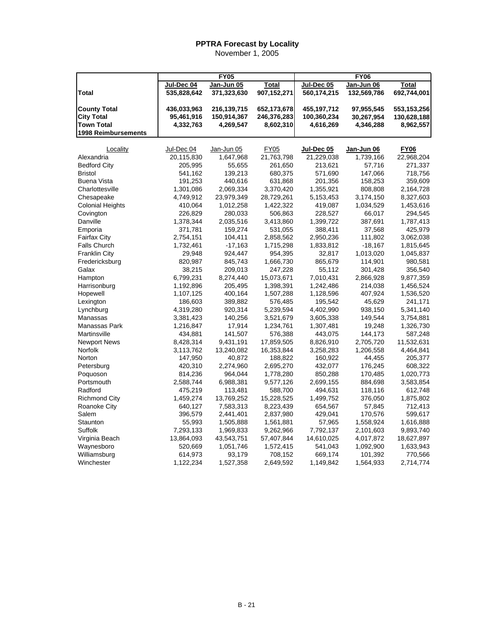|                                          |                           | <b>FY05</b>                |                            |                            | <b>FY06</b>              |                            |
|------------------------------------------|---------------------------|----------------------------|----------------------------|----------------------------|--------------------------|----------------------------|
|                                          | Jul-Dec 04                | Jan-Jun 05                 | Total                      | Jul-Dec 05                 | Jan-Jun 06               | <b>Total</b>               |
| Total                                    | 535,828,642               | 371,323,630                | 907,152,271                | 560,174,215                | 132,569,786              | 692,744,001                |
|                                          |                           |                            |                            |                            |                          |                            |
| <b>County Total</b><br><b>City Total</b> | 436,033,963<br>95,461,916 | 216,139,715<br>150,914,367 | 652,173,678<br>246,376,283 | 455,197,712<br>100,360,234 | 97,955,545<br>30,267,954 | 553,153,256<br>130,628,188 |
| <b>Town Total</b>                        | 4,332,763                 | 4,269,547                  | 8,602,310                  | 4,616,269                  | 4,346,288                | 8,962,557                  |
| <b>1998 Reimbursements</b>               |                           |                            |                            |                            |                          |                            |
|                                          |                           |                            |                            |                            |                          |                            |
| Locality                                 | Jul-Dec 04                | Jan-Jun 05                 | <b>FY05</b>                | Jul-Dec 05                 | Jan-Jun 06               | <b>FY06</b>                |
| Alexandria                               | 20,115,830                | 1,647,968                  | 21,763,798                 | 21,229,038                 | 1,739,166                | 22,968,204                 |
| <b>Bedford City</b>                      | 205,995                   | 55,655                     | 261,650                    | 213,621                    | 57,716                   | 271,337                    |
| <b>Bristol</b>                           | 541,162                   | 139,213                    | 680,375                    | 571,690                    | 147,066                  | 718,756                    |
| <b>Buena Vista</b>                       | 191,253                   | 440,616                    | 631,868                    | 201,356                    | 158,253                  | 359,609                    |
| Charlottesville                          | 1,301,086                 | 2,069,334                  | 3,370,420                  | 1,355,921                  | 808,808                  | 2,164,728                  |
| Chesapeake                               | 4,749,912                 | 23,979,349                 | 28,729,261                 | 5,153,453                  | 3,174,150                | 8,327,603                  |
| <b>Colonial Heights</b>                  | 410,064                   | 1,012,258                  | 1,422,322                  | 419,087                    | 1,034,529                | 1,453,616                  |
| Covington                                | 226,829                   | 280,033                    | 506,863                    | 228,527                    | 66,017                   | 294,545                    |
| Danville                                 | 1,378,344                 | 2,035,516                  | 3,413,860                  | 1,399,722                  | 387,691                  | 1,787,413                  |
| Emporia                                  | 371,781                   | 159,274                    | 531,055                    | 388,411                    | 37,568                   | 425,979                    |
| Fairfax City                             | 2,754,151                 | 104,411                    | 2,858,562                  | 2,950,236                  | 111,802                  | 3,062,038                  |
| <b>Falls Church</b>                      | 1,732,461                 | $-17,163$                  | 1,715,298                  | 1,833,812                  | $-18,167$                | 1,815,645                  |
| <b>Franklin City</b>                     | 29,948                    | 924,447                    | 954,395                    | 32,817                     | 1,013,020                | 1,045,837                  |
| Fredericksburg                           | 820,987                   | 845,743                    | 1,666,730                  | 865,679                    | 114,901                  | 980,581                    |
| Galax                                    | 38,215                    | 209,013                    | 247,228                    | 55,112                     | 301,428                  | 356,540                    |
| Hampton                                  | 6,799,231                 | 8,274,440                  | 15,073,671                 | 7,010,431                  | 2,866,928                | 9,877,359                  |
| Harrisonburg                             | 1,192,896                 | 205,495                    | 1,398,391                  | 1,242,486                  | 214,038                  | 1,456,524                  |
| Hopewell                                 | 1,107,125                 | 400,164                    | 1,507,288                  | 1,128,596                  | 407,924                  | 1,536,520                  |
| Lexington                                | 186,603                   | 389,882                    | 576,485                    | 195,542                    | 45,629                   | 241,171                    |
| Lynchburg                                | 4,319,280                 | 920,314                    | 5,239,594                  | 4,402,990                  | 938,150                  | 5,341,140                  |
| Manassas                                 | 3,381,423                 | 140,256                    | 3,521,679                  | 3,605,338                  | 149,544                  | 3,754,881                  |
| Manassas Park                            | 1,216,847                 | 17,914                     | 1,234,761                  | 1,307,481                  | 19,248                   | 1,326,730                  |
| Martinsville                             | 434,881                   | 141,507                    | 576,388                    | 443,075                    | 144,173                  | 587,248                    |
| <b>Newport News</b>                      | 8,428,314                 | 9,431,191                  | 17,859,505                 | 8,826,910                  | 2,705,720                | 11,532,631                 |
| Norfolk                                  | 3,113,762                 | 13,240,082                 | 16,353,844                 | 3,258,283                  | 1,206,558                | 4,464,841                  |
| Norton                                   | 147,950                   | 40,872                     | 188,822                    | 160,922                    | 44,455                   | 205,377                    |
| Petersburg                               | 420,310                   | 2,274,960                  | 2,695,270                  | 432,077                    | 176,245                  | 608,322                    |
| Poquoson                                 | 814,236                   | 964,044                    | 1,778,280                  | 850,288                    | 170,485                  | 1,020,773                  |
| Portsmouth                               | 2,588,744                 | 6,988,381                  | 9,577,126                  | 2,699,155                  | 884,698                  | 3,583,854                  |
| Radford                                  | 475,219                   |                            | 588,700                    | 494,631                    | 118,116                  |                            |
|                                          | 1,459,274                 | 113,481<br>13,769,252      | 15,228,525                 |                            |                          | 612,748                    |
| <b>Richmond City</b><br>Roanoke City     | 640,127                   | 7,583,313                  | 8,223,439                  | 1,499,752                  | 376,050<br>57,845        | 1,875,802                  |
| Salem                                    |                           |                            |                            | 654,567                    |                          | 712,413                    |
|                                          | 396,579                   | 2,441,401                  | 2,837,980                  | 429,041                    | 170,576                  | 599,617                    |
| Staunton                                 | 55,993                    | 1,505,888                  | 1,561,881                  | 57,965                     | 1,558,924                | 1,616,888                  |
| Suffolk                                  | 7,293,133                 | 1,969,833                  | 9,262,966                  | 7,792,137                  | 2,101,603                | 9,893,740                  |
| Virginia Beach                           | 13,864,093                | 43,543,751                 | 57,407,844                 | 14,610,025                 | 4,017,872                | 18,627,897                 |
| Waynesboro                               | 520,669                   | 1,051,746                  | 1,572,415                  | 541,043                    | 1,092,900                | 1,633,943                  |
| Williamsburg                             | 614,973                   | 93,179                     | 708,152                    | 669,174                    | 101,392                  | 770,566                    |
| Winchester                               | 1,122,234                 | 1,527,358                  | 2,649,592                  | 1,149,842                  | 1,564,933                | 2,714,774                  |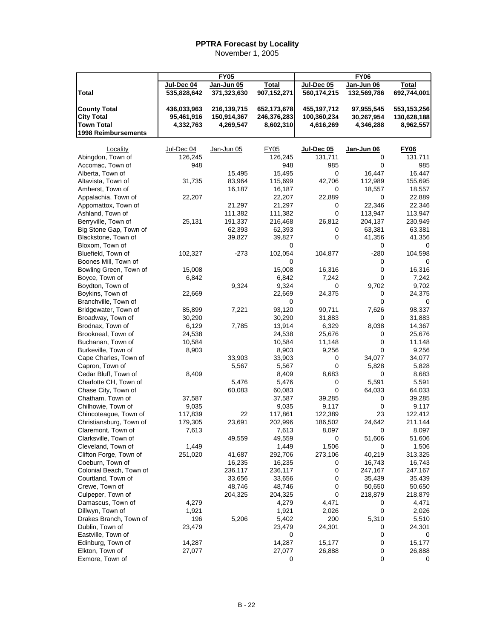|                                         |                 | $\overline{FY}$ 05 |                 |                     | $\overline{FY06}$ |                 |
|-----------------------------------------|-----------------|--------------------|-----------------|---------------------|-------------------|-----------------|
|                                         | Jul-Dec 04      | Jan-Jun 05         | Total           | Jul-Dec 05          | Jan-Jun 06        | <b>Total</b>    |
| <b>Total</b>                            | 535,828,642     | 371,323,630        | 907,152,271     | 560,174,215         | 132,569,786       | 692,744,001     |
|                                         |                 |                    |                 |                     |                   |                 |
| <b>County Total</b>                     | 436,033,963     | 216,139,715        | 652,173,678     | 455,197,712         | 97,955,545        | 553, 153, 256   |
| <b>City Total</b>                       | 95,461,916      | 150,914,367        | 246,376,283     | 100,360,234         | 30,267,954        | 130,628,188     |
| <b>Town Total</b>                       | 4,332,763       | 4,269,547          | 8,602,310       | 4,616,269           | 4,346,288         | 8,962,557       |
| 1998 Reimbursements                     |                 |                    |                 |                     |                   |                 |
|                                         |                 |                    |                 |                     |                   |                 |
| Locality                                | Jul-Dec 04      | Jan-Jun 05         | <b>FY05</b>     | $Jul\text{-}Dec 05$ | Jan-Jun 06        | <b>FY06</b>     |
| Abingdon, Town of                       | 126,245         |                    | 126,245         | 131,711             | 0                 | 131,711         |
| Accomac, Town of                        | 948             |                    | 948             | 985                 | 0                 | 985             |
| Alberta, Town of                        |                 | 15,495             | 15,495          | 0                   | 16,447            | 16,447          |
| Altavista, Town of                      | 31,735          | 83,964             | 115,699         | 42,706              | 112,989           | 155,695         |
| Amherst, Town of                        |                 | 16,187             | 16,187          | 0                   | 18,557            | 18,557          |
| Appalachia, Town of                     | 22,207          |                    | 22,207          | 22,889              | 0                 | 22,889          |
| Appomattox, Town of                     |                 | 21,297             | 21,297          | 0                   | 22,346            | 22,346          |
| Ashland, Town of                        |                 | 111,382            | 111,382         | 0                   | 113,947           | 113,947         |
| Berryville, Town of                     | 25,131          | 191,337            | 216,468         | 26,812              | 204,137           | 230,949         |
| Big Stone Gap, Town of                  |                 | 62,393             | 62,393          | 0                   | 63,381            | 63,381          |
| Blackstone, Town of                     |                 | 39,827             | 39,827          | 0                   | 41,356            | 41,356          |
| Bloxom, Town of                         |                 |                    | 0               |                     | 0                 | 0               |
| Bluefield, Town of                      | 102,327         | -273               | 102,054         | 104,877             | $-280$            | 104,598         |
| Boones Mill, Town of                    |                 |                    | 0               |                     | 0                 | 0               |
| Bowling Green, Town of                  | 15,008          |                    | 15,008          | 16,316              | 0                 | 16,316          |
| Boyce, Town of                          | 6,842           |                    | 6,842           | 7,242               | 0                 | 7,242           |
| Boydton, Town of                        |                 | 9,324              | 9,324           | 0                   | 9,702             | 9,702           |
| Boykins, Town of                        | 22,669          |                    | 22,669          | 24,375              | 0                 | 24,375          |
| Branchville, Town of                    |                 |                    | 0               |                     | 0                 | 0               |
| Bridgewater, Town of                    | 85,899          | 7,221              | 93,120          | 90,711              | 7,626             | 98,337          |
| Broadway, Town of                       | 30,290          |                    | 30,290          | 31,883              | 0                 | 31,883          |
| Brodnax, Town of                        | 6,129           | 7,785              | 13,914          | 6,329               | 8,038             | 14,367          |
| Brookneal, Town of<br>Buchanan, Town of | 24,538          |                    | 24,538          | 25,676              | 0<br>0            | 25,676          |
| Burkeville, Town of                     | 10,584<br>8,903 |                    | 10,584<br>8,903 | 11,148<br>9,256     | 0                 | 11,148<br>9,256 |
| Cape Charles, Town of                   |                 | 33,903             | 33,903          | 0                   | 34,077            | 34,077          |
| Capron, Town of                         |                 | 5,567              | 5,567           | 0                   | 5,828             | 5,828           |
| Cedar Bluff, Town of                    | 8,409           |                    | 8,409           | 8,683               | 0                 | 8,683           |
| Charlotte CH, Town of                   |                 | 5,476              | 5,476           | 0                   | 5,591             | 5,591           |
| Chase City, Town of                     |                 | 60,083             | 60,083          | 0                   | 64,033            | 64,033          |
| Chatham, Town of                        | 37,587          |                    | 37,587          | 39,285              | 0                 | 39,285          |
| Chilhowie, Town of                      | 9,035           |                    | 9,035           | 9,117               | 0                 | 9,117           |
| Chincoteague, Town of                   | 117,839         | 22                 | 117,861         | 122,389             | 23                | 122,412         |
| Christiansburg, Town of                 | 179,305         | 23,691             | 202,996         | 186,502             | 24,642            | 211,144         |
| Claremont, Town of                      | 7,613           |                    | 7,613           | 8,097               | $\Omega$          | 8,097           |
| Clarksville, Town of                    |                 | 49,559             | 49,559          | 0                   | 51,606            | 51,606          |
| Cleveland, Town of                      | 1,449           |                    | 1,449           | 1,506               | 0                 | 1,506           |
| Clifton Forge, Town of                  | 251,020         | 41,687             | 292,706         | 273,106             | 40,219            | 313,325         |
| Coeburn, Town of                        |                 | 16,235             | 16,235          | 0                   | 16,743            | 16,743          |
| Colonial Beach, Town of                 |                 | 236,117            | 236,117         | 0                   | 247,167           | 247,167         |
| Courtland, Town of                      |                 | 33,656             | 33,656          | 0                   | 35,439            | 35,439          |
| Crewe, Town of                          |                 | 48,746             | 48,746          | 0                   | 50,650            | 50,650          |
| Culpeper, Town of                       |                 | 204,325            | 204,325         | 0                   | 218,879           | 218,879         |
| Damascus, Town of                       | 4,279           |                    | 4,279           | 4,471               | 0                 | 4,471           |
| Dillwyn, Town of                        | 1,921           |                    | 1,921           | 2,026               | 0                 | 2,026           |
| Drakes Branch, Town of                  | 196             | 5,206              | 5,402           | 200                 | 5,310             | 5,510           |
| Dublin, Town of                         | 23,479          |                    | 23,479          | 24,301              | 0                 | 24,301          |
| Eastville, Town of                      |                 |                    | 0               |                     | 0                 | 0               |
| Edinburg, Town of                       | 14,287          |                    | 14,287          | 15,177              | 0                 | 15,177          |
| Elkton, Town of                         | 27,077          |                    | 27,077          | 26,888              | 0                 | 26,888          |
| Exmore, Town of                         |                 |                    | 0               |                     | 0                 | 0               |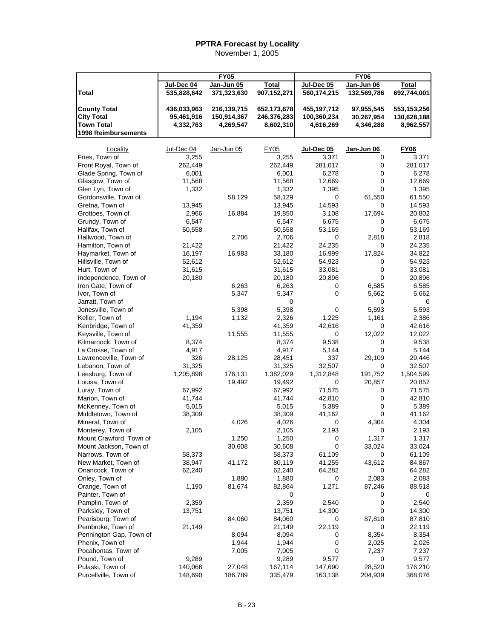|                         |             | <b>FY05</b> |              |             | <b>FY06</b> |               |
|-------------------------|-------------|-------------|--------------|-------------|-------------|---------------|
|                         |             |             |              |             |             |               |
|                         | Jul-Dec 04  | Jan-Jun 05  | <b>Total</b> | Jul-Dec 05  | Jan-Jun 06  | <b>Total</b>  |
| <b>Total</b>            | 535,828,642 | 371,323,630 | 907,152,271  | 560,174,215 | 132,569,786 | 692,744,001   |
|                         |             |             |              |             |             |               |
| <b>County Total</b>     | 436,033,963 | 216,139,715 | 652,173,678  | 455,197,712 | 97,955,545  | 553, 153, 256 |
| <b>City Total</b>       | 95,461,916  | 150,914,367 | 246,376,283  | 100,360,234 | 30,267,954  | 130,628,188   |
| <b>Town Total</b>       | 4,332,763   | 4,269,547   | 8,602,310    | 4,616,269   | 4,346,288   | 8,962,557     |
| 1998 Reimbursements     |             |             |              |             |             |               |
|                         |             |             |              |             |             |               |
| Locality                | Jul-Dec 04  | Jan-Jun 05  | FY05         | Jul-Dec 05  | Jan-Jun 06  | FY06          |
| Fries, Town of          | 3,255       |             | 3,255        | 3,371       | 0           | 3,371         |
| Front Royal, Town of    | 262,449     |             | 262,449      | 281,017     | 0           | 281,017       |
| Glade Spring, Town of   | 6,001       |             | 6,001        | 6,278       | 0           | 6,278         |
| Glasgow, Town of        | 11,568      |             | 11,568       | 12,669      | 0           | 12,669        |
| Glen Lyn, Town of       | 1,332       |             | 1,332        | 1,395       | 0           | 1,395         |
| Gordonsville, Town of   |             | 58,129      | 58,129       | 0           | 61,550      | 61,550        |
| Gretna, Town of         | 13,945      |             | 13,945       | 14,593      | 0           | 14,593        |
| Grottoes, Town of       | 2,966       | 16,884      | 19,850       | 3,108       | 17,694      | 20,802        |
| Grundy, Town of         | 6,547       |             | 6,547        | 6,675       | 0           | 6,675         |
| Halifax, Town of        | 50,558      |             | 50,558       | 53,169      | 0           | 53,169        |
| Hallwood, Town of       |             | 2,706       | 2,706        | 0           | 2,818       | 2,818         |
| Hamilton, Town of       | 21,422      |             | 21,422       | 24,235      | 0           | 24,235        |
| Haymarket, Town of      | 16,197      | 16,983      | 33,180       | 16,999      | 17,824      | 34,822        |
| Hillsville, Town of     | 52,612      |             | 52,612       | 54,923      | 0           | 54,923        |
| Hurt, Town of           | 31,615      |             | 31,615       | 33,081      | 0           | 33,081        |
| Independence, Town of   | 20,180      |             | 20,180       | 20,896      | 0           | 20,896        |
| Iron Gate, Town of      |             | 6,263       | 6,263        | 0           | 6,585       | 6,585         |
| Ivor, Town of           |             | 5,347       | 5,347        | 0           | 5,662       | 5,662         |
| Jarratt, Town of        |             |             | 0            |             | 0           | 0             |
| Jonesville, Town of     |             | 5,398       | 5,398        | 0           | 5,593       | 5,593         |
| Keller, Town of         | 1,194       | 1,132       | 2,326        | 1,225       | 1,161       | 2,386         |
| Kenbridge, Town of      | 41,359      |             | 41,359       | 42,616      | 0           | 42,616        |
| Keysville, Town of      |             | 11,555      | 11,555       | 0           | 12,022      | 12,022        |
| Kilmarnock, Town of     | 8,374       |             | 8,374        | 9,538       | 0           | 9,538         |
| La Crosse, Town of      | 4,917       |             | 4,917        | 5,144       | 0           | 5,144         |
| Lawrenceville, Town of  | 326         | 28,125      | 28,451       | 337         | 29,109      | 29,446        |
| Lebanon, Town of        | 31,325      |             | 31,325       | 32,507      | 0           | 32,507        |
| Leesburg, Town of       | 1,205,898   | 176,131     | 1,382,029    | 1,312,848   | 191,752     | 1,504,599     |
| Louisa, Town of         |             | 19,492      | 19,492       | 0           | 20,857      | 20,857        |
| Luray, Town of          | 67,992      |             | 67,992       | 71,575      | 0           | 71,575        |
| Marion, Town of         | 41,744      |             | 41,744       | 42,810      | 0           | 42,810        |
| McKenney, Town of       | 5,015       |             | 5,015        | 5,389       | 0           | 5,389         |
| Middletown, Town of     | 38,309      |             | 38,309       | 41,162      | 0           | 41,162        |
| Mineral, Town of        |             | 4,026       | 4,026        | 0           | 4,304       | 4,304         |
| Monterey, Town of       | 2,105       |             | 2,105        | 2,193       | 0           | 2,193         |
| Mount Crawford, Town of |             | 1,250       | 1,250        | 0           | 1,317       | 1,317         |
| Mount Jackson, Town of  |             | 30,608      | 30,608       | 0           | 33,024      | 33,024        |
| Narrows, Town of        | 58,373      |             | 58,373       | 61,109      | 0           | 61,109        |
| New Market, Town of     | 38,947      | 41,172      | 80,119       | 41,255      | 43,612      | 84,867        |
| Onancock, Town of       | 62,240      |             | 62,240       | 64,282      | 0           | 64,282        |
| Onley, Town of          |             | 1,880       | 1,880        | 0           | 2,083       | 2,083         |
| Orange, Town of         | 1,190       | 81,674      | 82,864       | 1,271       | 87,246      | 88,518        |
| Painter, Town of        |             |             | 0            |             | 0           | 0             |
| Pamplin, Town of        | 2,359       |             | 2,359        | 2,540       | 0           | 2,540         |
| Parksley, Town of       | 13,751      |             | 13,751       | 14,300      | 0           | 14,300        |
| Pearisburg, Town of     |             | 84,060      | 84,060       | 0           | 87,810      | 87,810        |
| Pembroke, Town of       | 21,149      |             | 21,149       | 22,119      | 0           | 22,119        |
| Pennington Gap, Town of |             | 8,094       | 8,094        | 0           | 8,354       | 8,354         |
| Phenix, Town of         |             | 1,944       | 1,944        | 0           | 2,025       | 2,025         |
| Pocahontas, Town of     |             | 7,005       | 7,005        | 0           | 7,237       | 7,237         |
| Pound, Town of          | 9,289       |             | 9,289        | 9,577       | 0           | 9,577         |
| Pulaski, Town of        | 140,066     | 27,048      | 167,114      | 147,690     | 28,520      | 176,210       |
| Purcellville, Town of   | 148,690     | 186,789     | 335,479      | 163,138     | 204,939     | 368,076       |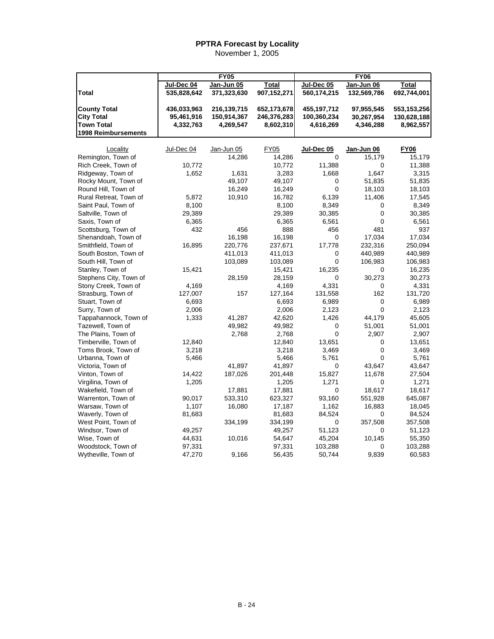|                            |             | <b>FY05</b> |             |             | <b>FY06</b> |             |
|----------------------------|-------------|-------------|-------------|-------------|-------------|-------------|
|                            | Jul-Dec 04  | Jan-Jun 05  | Total       | Jul-Dec 05  | Jan-Jun 06  | Total       |
| Total                      | 535,828,642 | 371,323,630 | 907,152,271 | 560,174,215 | 132,569,786 | 692,744,001 |
| <b>County Total</b>        | 436.033.963 | 216,139,715 | 652,173,678 | 455,197,712 | 97,955,545  | 553,153,256 |
| <b>City Total</b>          | 95,461,916  | 150,914,367 | 246,376,283 | 100,360,234 | 30,267,954  | 130,628,188 |
| <b>Town Total</b>          | 4,332,763   | 4,269,547   | 8,602,310   | 4,616,269   | 4,346,288   | 8,962,557   |
| <b>1998 Reimbursements</b> |             |             |             |             |             |             |
|                            |             |             |             |             |             |             |
| Locality                   | Jul-Dec 04  | Jan-Jun 05  | <b>FY05</b> | Jul-Dec 05  | Jan-Jun 06  | <b>FY06</b> |
| Remington, Town of         |             | 14,286      | 14,286      | $\Omega$    | 15,179      | 15,179      |
| Rich Creek, Town of        | 10,772      |             | 10,772      | 11,388      | 0           | 11,388      |
| Ridgeway, Town of          | 1,652       | 1,631       | 3,283       | 1,668       | 1,647       | 3,315       |
| Rocky Mount, Town of       |             | 49,107      | 49,107      | 0           | 51,835      | 51,835      |
| Round Hill, Town of        |             | 16,249      | 16,249      | $\mathbf 0$ | 18,103      | 18,103      |
| Rural Retreat, Town of     | 5,872       | 10,910      | 16,782      | 6,139       | 11,406      | 17,545      |
| Saint Paul, Town of        | 8,100       |             | 8,100       | 8,349       | 0           | 8,349       |
| Saltville, Town of         | 29,389      |             | 29,389      | 30,385      | 0           | 30,385      |
| Saxis, Town of             | 6,365       |             | 6,365       | 6,561       | 0           | 6,561       |
| Scottsburg, Town of        | 432         | 456         | 888         | 456         | 481         | 937         |
| Shenandoah, Town of        |             | 16,198      | 16,198      | 0           | 17,034      | 17,034      |
| Smithfield, Town of        | 16,895      | 220,776     | 237,671     | 17,778      | 232,316     | 250,094     |
| South Boston, Town of      |             | 411,013     | 411,013     | 0           | 440,989     | 440,989     |
| South Hill, Town of        |             | 103,089     | 103,089     | $\mathbf 0$ | 106,983     | 106,983     |
| Stanley, Town of           | 15,421      |             | 15,421      | 16,235      | 0           | 16,235      |
| Stephens City, Town of     |             | 28,159      | 28,159      | 0           | 30,273      | 30,273      |
| Stony Creek, Town of       | 4,169       |             | 4,169       | 4,331       | 0           | 4,331       |
| Strasburg, Town of         | 127,007     | 157         | 127,164     | 131,558     | 162         | 131,720     |
| Stuart, Town of            | 6,693       |             | 6,693       | 6,989       | 0           | 6,989       |
| Surry, Town of             | 2,006       |             | 2,006       | 2,123       | 0           | 2,123       |
| Tappahannock, Town of      | 1,333       | 41,287      | 42,620      | 1,426       | 44,179      | 45,605      |
| Tazewell, Town of          |             | 49,982      | 49,982      | 0           | 51,001      | 51,001      |
| The Plains, Town of        |             | 2,768       | 2,768       | $\mathbf 0$ | 2,907       | 2,907       |
| Timberville, Town of       | 12,840      |             | 12,840      | 13,651      | 0           | 13,651      |
| Toms Brook, Town of        | 3,218       |             | 3,218       | 3,469       | 0           | 3,469       |
| Urbanna, Town of           | 5,466       |             | 5,466       | 5,761       | 0           | 5,761       |
| Victoria, Town of          |             | 41,897      | 41,897      | 0           | 43,647      | 43,647      |
| Vinton, Town of            | 14,422      | 187,026     | 201,448     | 15,827      | 11,678      | 27,504      |
| Virgilina, Town of         | 1,205       |             | 1,205       | 1,271       | 0           | 1,271       |
| Wakefield, Town of         |             | 17,881      | 17,881      | 0           | 18,617      | 18,617      |
| Warrenton, Town of         | 90,017      | 533,310     | 623,327     | 93,160      | 551,928     | 645,087     |
| Warsaw, Town of            | 1,107       | 16,080      | 17,187      | 1,162       | 16,883      | 18,045      |
| Waverly, Town of           | 81,683      |             | 81,683      | 84,524      | 0           | 84,524      |
| West Point, Town of        |             | 334,199     | 334,199     | 0           | 357,508     | 357,508     |
| Windsor, Town of           | 49,257      |             | 49,257      | 51,123      | 0           | 51,123      |
| Wise, Town of              | 44,631      | 10,016      | 54,647      | 45,204      | 10,145      | 55,350      |
| Woodstock, Town of         | 97,331      |             | 97,331      | 103,288     | 0           | 103,288     |
| Wytheville, Town of        | 47,270      | 9,166       | 56,435      | 50,744      | 9,839       | 60,583      |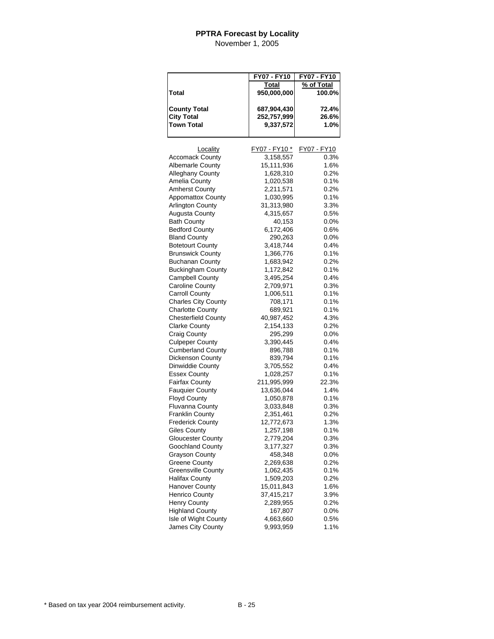|                            | FY07 - FY10   | FY07 - FY10 |
|----------------------------|---------------|-------------|
|                            | Total         | % of Total  |
| Total                      | 950,000,000   | 100.0%      |
|                            |               |             |
| <b>County Total</b>        | 687,904,430   | 72.4%       |
| <b>City Total</b>          | 252,757,999   | 26.6%       |
| <b>Town Total</b>          | 9,337,572     | 1.0%        |
|                            |               |             |
| Locality                   | FY07 - FY10 * | FY07 - FY10 |
| <b>Accomack County</b>     | 3,158,557     | 0.3%        |
| <b>Albemarle County</b>    | 15,111,936    | 1.6%        |
| Alleghany County           | 1,628,310     | 0.2%        |
| Amelia County              | 1,020,538     | 0.1%        |
| <b>Amherst County</b>      | 2,211,571     | 0.2%        |
| <b>Appomattox County</b>   | 1,030,995     | 0.1%        |
| <b>Arlington County</b>    | 31,313,980    | 3.3%        |
| <b>Augusta County</b>      | 4,315,657     | 0.5%        |
| <b>Bath County</b>         | 40,153        | $0.0\%$     |
| <b>Bedford County</b>      | 6,172,406     | 0.6%        |
| <b>Bland County</b>        | 290,263       | $0.0\%$     |
| <b>Botetourt County</b>    | 3,418,744     | $0.4\%$     |
| <b>Brunswick County</b>    | 1,366,776     | 0.1%        |
| <b>Buchanan County</b>     | 1,683,942     | 0.2%        |
| <b>Buckingham County</b>   | 1,172,842     | 0.1%        |
| <b>Campbell County</b>     | 3,495,254     | 0.4%        |
| <b>Caroline County</b>     | 2,709,971     | 0.3%        |
| <b>Carroll County</b>      | 1,006,511     | 0.1%        |
| <b>Charles City County</b> | 708,171       | 0.1%        |
| <b>Charlotte County</b>    | 689,921       | 0.1%        |
| <b>Chesterfield County</b> | 40,987,452    | 4.3%        |
| <b>Clarke County</b>       | 2,154,133     | 0.2%        |
| Craig County               | 295,299       | $0.0\%$     |
| <b>Culpeper County</b>     | 3,390,445     | 0.4%        |
| <b>Cumberland County</b>   | 896,788       | 0.1%        |
| Dickenson County           | 839,794       | 0.1%        |
| Dinwiddie County           | 3,705,552     | 0.4%        |
| <b>Essex County</b>        | 1,028,257     | 0.1%        |
| <b>Fairfax County</b>      | 211,995,999   | 22.3%       |
| <b>Fauquier County</b>     | 13,636,044    | 1.4%        |
| <b>Floyd County</b>        | 1,050,878     | 0.1%        |
| <b>Fluvanna County</b>     | 3,033,848     | 0.3%        |
| <b>Franklin County</b>     | 2,351,461     | 0.2%        |
| <b>Frederick County</b>    | 12,772,673    | 1.3%        |
| Giles Countv               | 1,257,198     | $0.1\%$     |
| <b>Gloucester County</b>   | 2,779,204     | 0.3%        |
| Goochland County           | 3,177,327     | 0.3%        |
| Grayson County             | 458,348       | 0.0%        |
| <b>Greene County</b>       | 2,269,638     | $0.2\%$     |
| <b>Greensville County</b>  | 1,062,435     | 0.1%        |
| <b>Halifax County</b>      | 1,509,203     | 0.2%        |
| <b>Hanover County</b>      | 15,011,843    | 1.6%        |
| <b>Henrico County</b>      | 37,415,217    | 3.9%        |
| Henry County               | 2,289,955     | 0.2%        |
| <b>Highland County</b>     | 167,807       | $0.0\%$     |
| Isle of Wight County       | 4,663,660     | 0.5%        |
| James City County          | 9,993,959     | 1.1%        |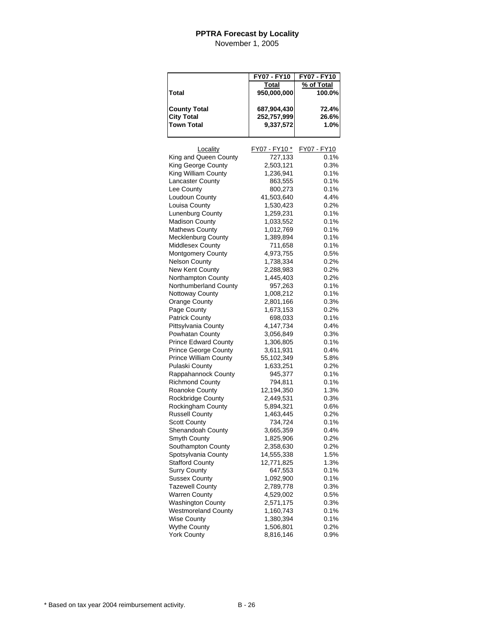|                              | FY07 - FY10   | FY07 - FY10 |
|------------------------------|---------------|-------------|
|                              | <b>Total</b>  | % of Total  |
| Total                        | 950,000,000   | 100.0%      |
|                              |               |             |
| <b>County Total</b>          | 687,904,430   | 72.4%       |
| <b>City Total</b>            | 252,757,999   | 26.6%       |
| <b>Town Total</b>            | 9,337,572     | 1.0%        |
|                              |               |             |
|                              |               |             |
| Locality                     | FY07 - FY10 * | FY07 - FY10 |
| King and Queen County        | 727,133       | 0.1%        |
| King George County           | 2,503,121     | 0.3%        |
| King William County          | 1,236,941     | 0.1%        |
| Lancaster County             | 863,555       | 0.1%        |
| Lee County                   | 800,273       | 0.1%        |
| Loudoun County               | 41,503,640    | 4.4%        |
| Louisa County                | 1,530,423     | 0.2%        |
| Lunenburg County             | 1,259,231     | 0.1%        |
| <b>Madison County</b>        | 1,033,552     | 0.1%        |
| <b>Mathews County</b>        | 1,012,769     | 0.1%        |
| <b>Mecklenburg County</b>    | 1,389,894     | 0.1%        |
| Middlesex County             | 711,658       | 0.1%        |
| Montgomery County            | 4,973,755     | 0.5%        |
| <b>Nelson County</b>         | 1,738,334     | 0.2%        |
| New Kent County              | 2,288,983     | 0.2%        |
| Northampton County           | 1,445,403     | 0.2%        |
| Northumberland County        | 957,263       | 0.1%        |
| Nottoway County              | 1,008,212     | 0.1%        |
| Orange County                | 2,801,166     | 0.3%        |
| Page County                  | 1,673,153     | 0.2%        |
| <b>Patrick County</b>        | 698,033       | 0.1%        |
| Pittsylvania County          | 4,147,734     | 0.4%        |
| Powhatan County              | 3,056,849     | 0.3%        |
| <b>Prince Edward County</b>  | 1,306,805     | 0.1%        |
| <b>Prince George County</b>  | 3,611,931     | 0.4%        |
| <b>Prince William County</b> | 55,102,349    | 5.8%        |
| Pulaski County               | 1,633,251     | 0.2%        |
| Rappahannock County          | 945,377       | 0.1%        |
| <b>Richmond County</b>       | 794,811       | 0.1%        |
| Roanoke County               | 12,194,350    | 1.3%        |
| Rockbridge County            | 2,449,531     | 0.3%        |
| Rockingham County            | 5,894,321     | 0.6%        |
| <b>Russell County</b>        | 1,463,445     | 0.2%        |
| <b>Scott County</b>          | 734,724       | 0.1%        |
| Shenandoah County            | 3,665,359     | 0.4%        |
| Smyth County                 | 1,825,906     | 0.2%        |
| Southampton County           | 2,358,630     | 0.2%        |
| Spotsylvania County          | 14,555,338    | 1.5%        |
| <b>Stafford County</b>       | 12,771,825    | 1.3%        |
| <b>Surry County</b>          | 647,553       | 0.1%        |
| <b>Sussex County</b>         | 1,092,900     | 0.1%        |
| <b>Tazewell County</b>       | 2,789,778     | 0.3%        |
| <b>Warren County</b>         | 4,529,002     | 0.5%        |
| <b>Washington County</b>     | 2,571,175     | 0.3%        |
| <b>Westmoreland County</b>   | 1,160,743     | 0.1%        |
| <b>Wise County</b>           | 1,380,394     | 0.1%        |
| <b>Wythe County</b>          | 1,506,801     | 0.2%        |
| <b>York County</b>           | 8,816,146     | 0.9%        |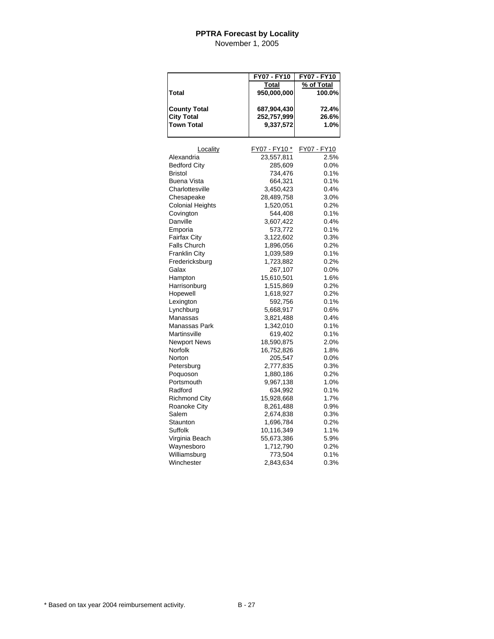|                                          | FY07 - FY10              | FY07 - FY10    |
|------------------------------------------|--------------------------|----------------|
|                                          | Total                    | % of Total     |
| Total                                    | 950,000,000              | 100.0%         |
|                                          |                          |                |
| <b>County Total</b><br><b>City Total</b> | 687,904,430              | 72.4%<br>26.6% |
| <b>Town Total</b>                        | 252,757,999<br>9,337,572 | 1.0%           |
|                                          |                          |                |
| Locality                                 | FY07 - FY10 *            | FY07 - FY10    |
| Alexandria                               | 23,557,811               | 2.5%           |
| <b>Bedford City</b>                      | 285,609                  | 0.0%           |
| Bristol                                  | 734,476                  | 0.1%           |
| Buena Vista                              | 664,321                  | 0.1%           |
| Charlottesville                          | 3,450,423                | 0.4%           |
| Chesapeake                               | 28,489,758               | 3.0%           |
| Colonial Heights                         | 1,520,051                | 0.2%           |
| Covington                                | 544,408                  | 0.1%           |
| Danville                                 | 3,607,422                | 0.4%           |
| Emporia                                  | 573,772                  | 0.1%           |
| <b>Fairfax City</b>                      | 3,122,602                | 0.3%           |
| <b>Falls Church</b>                      | 1,896,056                | 0.2%           |
| Franklin City                            | 1,039,589                | 0.1%           |
| Fredericksburg                           | 1,723,882                | 0.2%           |
| Galax                                    | 267,107                  | 0.0%           |
| Hampton                                  | 15,610,501               | 1.6%           |
| Harrisonburg                             | 1,515,869                | 0.2%           |
| Hopewell                                 | 1,618,927                | 0.2%           |
| Lexington                                | 592,756                  | 0.1%           |
| Lynchburg                                | 5,668,917                | 0.6%           |
| Manassas                                 | 3,821,488                | 0.4%           |
| Manassas Park                            | 1,342,010                | 0.1%           |
| Martinsville                             | 619,402                  | 0.1%           |
| <b>Newport News</b>                      | 18,590,875               | 2.0%           |
| Norfolk                                  | 16,752,826               | 1.8%           |
| Norton                                   | 205,547                  | 0.0%           |
| Petersburg                               | 2,777,835                | 0.3%           |
| Poquoson                                 | 1,880,186                | 0.2%           |
| Portsmouth                               | 9,967,138                | 1.0%           |
| Radford                                  | 634,992                  | 0.1%           |
| <b>Richmond City</b>                     | 15,928,668               | 1.7%           |
| <b>Roanoke City</b>                      | 8,261,488                | 0.9%           |
| Salem                                    | 2,674,838                | 0.3%           |
| Staunton                                 | 1,696,784                | 0.2%           |
| Suffolk                                  | 10,116,349               | 1.1%           |
| Virginia Beach                           | 55,673,386               | 5.9%           |
| Waynesboro                               | 1,712,790                | 0.2%           |
| Williamsburg                             | 773,504                  | 0.1%           |
| Winchester                               | 2,843,634                | 0.3%           |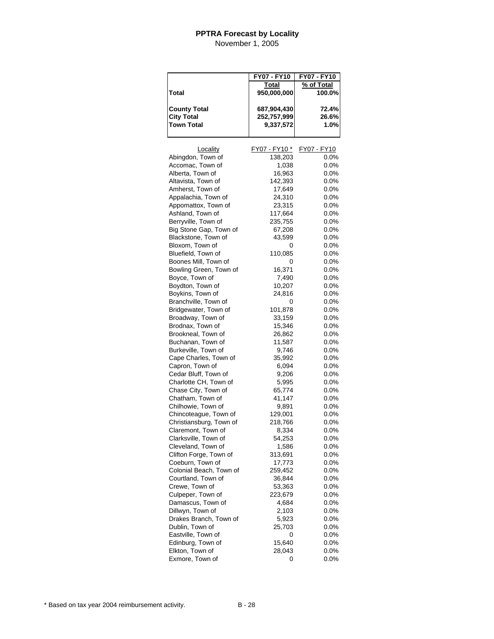|                         | FY07 - FY10   | FY07 - FY10 |
|-------------------------|---------------|-------------|
|                         | Total         | % of Total  |
| Total                   | 950,000,000   | 100.0%      |
|                         |               |             |
| <b>County Total</b>     | 687,904,430   | 72.4%       |
| <b>City Total</b>       | 252,757,999   | 26.6%       |
| <b>Town Total</b>       | 9,337,572     | 1.0%        |
|                         |               |             |
|                         |               |             |
| Locality                | FY07 - FY10 * | FY07 - FY10 |
| Abingdon, Town of       | 138,203       | $0.0\%$     |
| Accomac, Town of        | 1,038         | 0.0%        |
| Alberta, Town of        | 16,963        | $0.0\%$     |
| Altavista, Town of      | 142,393       | 0.0%        |
| Amherst, Town of        | 17,649        | 0.0%        |
| Appalachia, Town of     | 24,310        | 0.0%        |
| Appomattox, Town of     | 23,315        | $0.0\%$     |
| Ashland, Town of        | 117,664       | 0.0%        |
| Berryville, Town of     | 235,755       | $0.0\%$     |
| Big Stone Gap, Town of  | 67,208        | $0.0\%$     |
| Blackstone, Town of     | 43,599        | $0.0\%$     |
| Bloxom, Town of         | 0             | $0.0\%$     |
| Bluefield, Town of      | 110,085       | $0.0\%$     |
| Boones Mill, Town of    | 0             | 0.0%        |
| Bowling Green, Town of  | 16,371        | 0.0%        |
| Boyce, Town of          | 7,490         | $0.0\%$     |
| Boydton, Town of        | 10,207        | 0.0%        |
| Boykins, Town of        | 24,816        | 0.0%        |
| Branchville, Town of    | 0             | 0.0%        |
| Bridgewater, Town of    | 101,878       | 0.0%        |
| Broadway, Town of       | 33,159        | $0.0\%$     |
| Brodnax, Town of        | 15,346        | 0.0%        |
| Brookneal, Town of      | 26,862        | $0.0\%$     |
| Buchanan, Town of       | 11,587        | $0.0\%$     |
| Burkeville, Town of     | 9,746         | $0.0\%$     |
| Cape Charles, Town of   | 35,992        | $0.0\%$     |
| Capron, Town of         | 6,094         | $0.0\%$     |
| Cedar Bluff, Town of    | 9,206         | 0.0%        |
| Charlotte CH, Town of   | 5,995         | $0.0\%$     |
| Chase City, Town of     | 65,774        | $0.0\%$     |
| Chatham, Town of        | 41,147        | 0.0%        |
| Chilhowie, Town of      | 9,891         | $0.0\%$     |
| Chincoteague, Town of   | 129,001       | $0.0\%$     |
| Christiansburg, Town of | 218,766       | $0.0\%$     |
| Claremont, Town of      | 8,334         | 0.0%        |
| Clarksville, Town of    | 54,253        | 0.0%        |
| Cleveland, Town of      | 1,586         | 0.0%        |
| Clifton Forge, Town of  | 313,691       | $0.0\%$     |
| Coeburn, Town of        | 17,773        | 0.0%        |
| Colonial Beach, Town of | 259,452       | $0.0\%$     |
| Courtland, Town of      | 36,844        | $0.0\%$     |
| Crewe, Town of          | 53,363        | $0.0\%$     |
| Culpeper, Town of       | 223,679       | $0.0\%$     |
| Damascus, Town of       | 4,684         | 0.0%        |
| Dillwyn, Town of        | 2,103         | $0.0\%$     |
| Drakes Branch, Town of  | 5,923         | $0.0\%$     |
| Dublin, Town of         | 25,703        | $0.0\%$     |
| Eastville, Town of      | 0             | $0.0\%$     |
| Edinburg, Town of       | 15,640        | $0.0\%$     |
| Elkton, Town of         | 28,043        | $0.0\%$     |
| Exmore, Town of         | 0             | 0.0%        |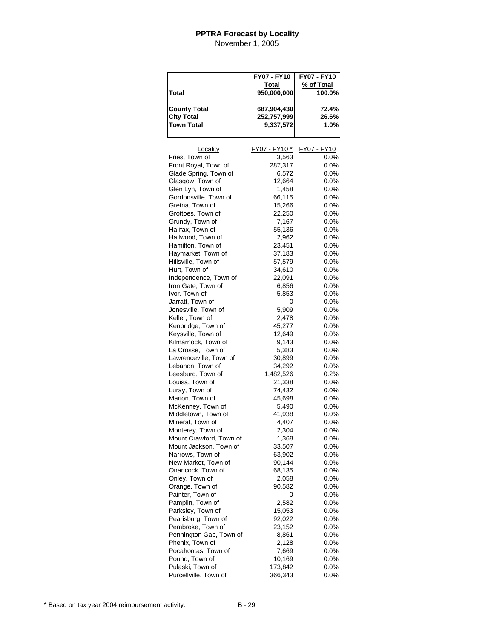|                         | FY07 - FY10   | FY07 - FY10 |
|-------------------------|---------------|-------------|
|                         | <u>Total</u>  | % of Total  |
| Total                   | 950,000,000   | 100.0%      |
|                         |               |             |
| <b>County Total</b>     | 687,904,430   | 72.4%       |
| <b>City Total</b>       | 252,757,999   | 26.6%       |
| <b>Town Total</b>       | 9,337,572     | 1.0%        |
|                         |               |             |
|                         |               |             |
| Locality                | FY07 - FY10 * | FY07 - FY10 |
| Fries, Town of          | 3,563         | $0.0\%$     |
| Front Royal, Town of    | 287,317       | $0.0\%$     |
| Glade Spring, Town of   | 6,572         | 0.0%        |
| Glasgow, Town of        | 12,664        | $0.0\%$     |
| Glen Lyn, Town of       | 1,458         | $0.0\%$     |
| Gordonsville, Town of   | 66,115        | 0.0%        |
| Gretna, Town of         | 15,266        | $0.0\%$     |
| Grottoes, Town of       | 22,250        | $0.0\%$     |
| Grundy, Town of         | 7,167         | 0.0%        |
| Halifax, Town of        | 55,136        | $0.0\%$     |
| Hallwood, Town of       | 2,962         | 0.0%        |
| Hamilton, Town of       | 23,451        | $0.0\%$     |
| Haymarket, Town of      | 37,183        | $0.0\%$     |
| Hillsville, Town of     | 57,579        | $0.0\%$     |
| Hurt, Town of           | 34,610        | $0.0\%$     |
| Independence, Town of   | 22,091        | $0.0\%$     |
| Iron Gate, Town of      | 6,856         | 0.0%        |
| Ivor, Town of           | 5,853         | 0.0%        |
| Jarratt, Town of        | 0             | 0.0%        |
| Jonesville, Town of     | 5,909         | 0.0%        |
| Keller, Town of         |               |             |
|                         | 2,478         | $0.0\%$     |
| Kenbridge, Town of      | 45,277        | $0.0\%$     |
| Keysville, Town of      | 12,649        | 0.0%        |
| Kilmarnock, Town of     | 9,143         | $0.0\%$     |
| La Crosse, Town of      | 5,383         | $0.0\%$     |
| Lawrenceville, Town of  | 30,899        | $0.0\%$     |
| Lebanon, Town of        | 34,292        | $0.0\%$     |
| Leesburg, Town of       | 1,482,526     | 0.2%        |
| Louisa, Town of         | 21,338        | 0.0%        |
| Luray, Town of          | 74,432        | 0.0%        |
| Marion, Town of         | 45,698        | 0.0%        |
| McKenney, Town of       | 5,490         | $0.0\%$     |
| Middletown, Town of     | 41,938        | $0.0\%$     |
| Mineral, Town of        | 4,407         | 0.0%        |
| Monterey, Town of       | 2,304         | $0.0\%$     |
| Mount Crawford, Town of | 1,368         | $0.0\%$     |
| Mount Jackson, Town of  | 33,507        | 0.0%        |
| Narrows, Town of        | 63,902        | 0.0%        |
| New Market, Town of     | 90,144        | 0.0%        |
| Onancock, Town of       | 68,135        | $0.0\%$     |
| Onley, Town of          | 2,058         | 0.0%        |
| Orange, Town of         | 90,582        | $0.0\%$     |
| Painter, Town of        | 0             | 0.0%        |
| Pamplin, Town of        | 2,582         | 0.0%        |
| Parksley, Town of       | 15,053        | $0.0\%$     |
| Pearisburg, Town of     | 92,022        | 0.0%        |
| Pembroke, Town of       | 23,152        | 0.0%        |
| Pennington Gap, Town of | 8,861         | 0.0%        |
| Phenix, Town of         | 2,128         | $0.0\%$     |
| Pocahontas, Town of     | 7,669         | 0.0%        |
| Pound, Town of          | 10,169        | 0.0%        |
| Pulaski, Town of        | 173,842       | $0.0\%$     |
| Purcellville, Town of   | 366,343       | $0.0\%$     |
|                         |               |             |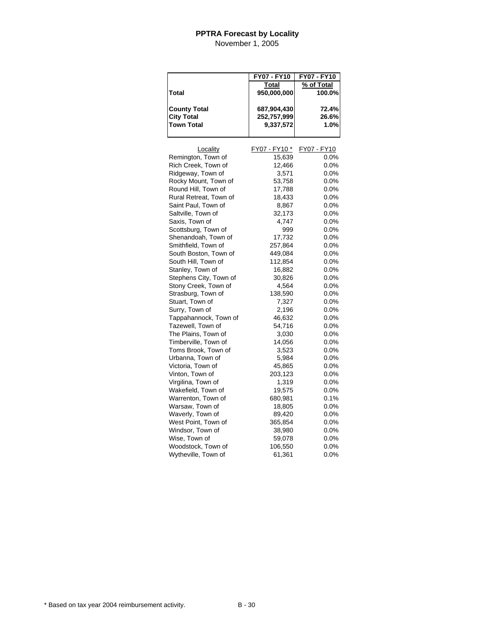|                                          | FY07 - FY10                | FY07 - FY10    |
|------------------------------------------|----------------------------|----------------|
|                                          | Total                      | % of Total     |
| Total                                    | 950,000,000                | 100.0%         |
|                                          |                            |                |
| <b>County Total</b><br><b>City Total</b> | 687,904,430<br>252,757,999 | 72.4%<br>26.6% |
| <b>Town Total</b>                        | 9,337,572                  | 1.0%           |
|                                          |                            |                |
| Locality                                 | FY07 - FY10 *              | FY07 - FY10    |
| Remington, Town of                       | 15,639                     | 0.0%           |
| Rich Creek, Town of                      | 12,466                     | 0.0%           |
| Ridgeway, Town of                        | 3,571                      | 0.0%           |
| Rocky Mount, Town of                     | 53,758                     | 0.0%           |
| Round Hill, Town of                      | 17,788                     | 0.0%           |
| Rural Retreat, Town of                   | 18,433                     | 0.0%           |
| Saint Paul, Town of                      | 8,867                      | $0.0\%$        |
| Saltville, Town of                       | 32,173                     | $0.0\%$        |
| Saxis, Town of                           | 4,747                      | $0.0\%$        |
| Scottsburg, Town of                      | 999                        | 0.0%           |
| Shenandoah, Town of                      | 17,732                     | 0.0%           |
| Smithfield, Town of                      | 257,864                    | 0.0%           |
| South Boston, Town of                    | 449,084                    | 0.0%           |
| South Hill, Town of                      | 112,854                    | 0.0%           |
| Stanley, Town of                         | 16,882                     | 0.0%           |
| Stephens City, Town of                   | 30,826                     | $0.0\%$        |
| Stony Creek, Town of                     | 4,564                      | 0.0%           |
| Strasburg, Town of                       | 138,590                    | 0.0%           |
| Stuart, Town of                          | 7,327                      | 0.0%           |
| Surry, Town of                           | 2,196                      | 0.0%           |
| Tappahannock, Town of                    | 46,632                     | 0.0%           |
| Tazewell, Town of                        | 54,716                     | 0.0%           |
| The Plains, Town of                      | 3,030                      | 0.0%           |
| Timberville, Town of                     | 14,056                     | 0.0%           |
| Toms Brook, Town of                      | 3,523                      | 0.0%           |
| Urbanna, Town of                         | 5,984                      | 0.0%           |
| Victoria, Town of                        | 45,865                     | 0.0%           |
| Vinton, Town of                          | 203,123                    | 0.0%           |
| Virgilina, Town of                       | 1,319                      | 0.0%           |
| Wakefield, Town of                       | 19,575                     | 0.0%           |
| Warrenton, Town of                       | 680,981                    | 0.1%           |
| Warsaw, Town of                          | 18,805                     | $0.0\%$        |
| Waverly, Town of                         | 89,420                     | $0.0\%$        |
| West Point, Town of                      | 365,854                    | 0.0%           |
| Windsor, Town of                         | 38,980                     | 0.0%           |
| Wise, Town of                            | 59,078                     | $0.0\%$        |
| Woodstock, Town of                       | 106,550                    | 0.0%           |
| Wytheville, Town of                      | 61,361                     | 0.0%           |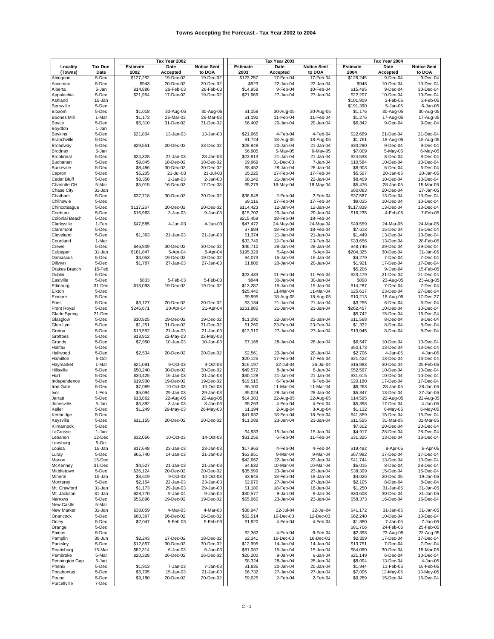|                      |                |                 | Tax Year 2002 |                    |           | Tax Year 2003 |                    |                    | Tax Year 2004 |                    |
|----------------------|----------------|-----------------|---------------|--------------------|-----------|---------------|--------------------|--------------------|---------------|--------------------|
| Locality             | <b>Tax Due</b> | <b>Estimate</b> | Date          | <b>Notice Sent</b> | Estimate  | Date          | <b>Notice Sent</b> | <b>Estimate</b>    | Date          | <b>Notice Sent</b> |
| (Towns)              | Date           | 2002            | Accepted      | to DOA             | 2003      | Accepted      | to DOA             | 2004               | Accepted      | to DOA             |
| Abingdon             | 5-Dec          | \$127,282       | 19-Dec-02     | 19-Dec-02          | \$123,257 | 17-Feb-04     | 17-Feb-04          | \$126,245          | 9-Dec-04      | 9-Dec-04           |
| Accomac              | 5-Dec          | \$943           | 20-Dec-02     | 20-Dec-02          | \$923     | 22-Jan-04     | 22-Jan-04          | \$948              | 10-Dec-04     | 10-Dec-04          |
| Alberta              | 5-Jan          | \$14,886        | 26-Feb-03     | 26-Feb-03          | \$14,958  | 9-Feb-04      | 10-Feb-04          | \$15,495           | 9-Dec-04      | 30-Dec-04          |
| Appalachia           | 5-Dec          | \$21,954        | 17-Dec-02     | 19-Dec-02          | \$21,669  | 27-Jan-04     | 27-Jan-04          | \$22,207           | 10-Dec-04     | 10-Dec-04          |
| Ashland              | 15-Jan         |                 |               |                    |           |               |                    | \$101,909          | 2-Feb-05      | 2-Feb-05           |
| Berryville           | 5-Dec          |                 |               |                    |           |               |                    | \$191,390          | 5-Jan-05      | 6-Jan-05           |
| Bloxom               | 5-Dec          | \$1,018         | 30-Aug-05     | 30-Aug-05          | \$1.158   | 30-Aug-05     | 30-Aug-05          | \$1,176            | 30-Aug-05     | 30-Aug-05          |
| <b>Boones Mill</b>   | 1-Mar          | \$1,173         | 26-Mar-03     | 26-Mar-03          | \$1,192   | 11-Feb-04     | 11-Feb-04          | \$1,276            | 17-Aug-05     | 17-Aug-05          |
| Boyce                | 5-Dec          | \$6,310         | 31-Dec-02     | 31-Dec-02          | \$6,402   | 20-Jan-04     | 20-Jan-04          | \$6,842            | 9-Dec-04      | 9-Dec-04           |
| Boydton              | 1-Jan          |                 |               |                    |           |               |                    |                    |               |                    |
| <b>Boykins</b>       | 5-Dec          | \$21,804        | 13-Jan-03     | 13-Jan-03          | \$21,665  | 4-Feb-04      | 4-Feb-04           | \$22,669           | 21-Dec-04     | 21-Dec-04          |
| Branchville          | 5-Dec          |                 |               |                    | \$1,724   | 18-Aug-05     | 18-Aug-05          | \$1,761            | 18-Aug-05     | 18-Aug-05          |
| Broadway             | 5-Dec          | \$29,551        | 20-Dec-02     | 23-Dec-02          | \$28,948  | 20-Jan-04     | 21-Jan-04          | \$30,290           | 9-Dec-04      | 9-Dec-04           |
| Brodnax              | 5-Jan          |                 |               |                    | \$6,905   | 5-May-05      | 6-May-05           | \$7,009            | 5-May-05      | 6-May-05           |
| Brookneal            | 5-Dec          | \$24,328        | 27-Jan-03     | 28-Jan-03          | \$23,813  | 21-Jan-04     | 21-Jan-04          | \$24,538           | 8-Dec-04      | 8-Dec-04           |
| Buchanan             | 5-Dec          | \$9,845         | 18-Dec-02     | 18-Dec-02          | \$9,969   | 31-Dec-03     | 7-Jan-04           | \$10,584           | 10-Dec-04     | 10-Dec-04          |
| <b>Burkeville</b>    | 5-Dec          | \$8,486         | 30-Dec-02     | 30-Dec-02          | \$8,452   | 28-Jan-04     | 28-Jan-04          | \$8,903            | 6-Dec-04      | 6-Dec-04           |
| Capron               | 5-Dec          | \$5,205         | 21-Jul-03     | 21-Jul-03          | \$5,225   | 17-Feb-04     | 17-Feb-04          |                    | 20-Jan-05     | 20-Jan-05          |
|                      | 5-Dec          | \$8,356         | $2 - Jan-03$  |                    | \$8,142   |               | 22-Jan-04          | \$5,597<br>\$8,409 |               | 10-Dec-04          |
| Cedar Bluff          |                |                 |               | $2 - Jan-03$       |           | 21-Jan-04     |                    |                    | 10-Dec-04     |                    |
| Charlotte CH         | 5-Mar          | \$5,015         | 16-Dec-03     | 17-Dec-03          | \$5,279   | 18-May-04     | 18-May-04          | \$5,476            | 28-Jan-05     | 15-Mar-05          |
| Chase City           | 31-Jan         |                 |               |                    |           |               |                    | \$60,083           | 20-Dec-04     | 27-Jan-05          |
| Chatham              | 5-Dec          | \$37,718        | 30-Dec-02     | 30-Dec-02          | \$36,648  | 2-Feb-04      | 2-Feb-04           | \$37,587           | 13-Dec-04     | 13-Dec-04          |
| Chilhowie            | 5-Dec          |                 |               |                    | \$9,116   | 17-Feb-04     | 17-Feb-04          | \$9,035            | 10-Dec-04     | 10-Dec-04          |
| Chincoteague         | 5-Dec          | \$117,267       | 20-Dec-02     | 20-Dec-02          | \$114,423 | 12-Jan-04     | 12-Jan-04          | \$117,839          | 13-Dec-04     | 13-Dec-04          |
| Coeburn              | 5-Dec          | \$15,963        | 3-Jan-03      | 9-Jan-03           | \$15,702  | 20-Jan-04     | 20-Jan-04          | \$16,235           | 4-Feb-05      | 7-Feb-05           |
| Colonial Beach       | 5-Dec          |                 |               |                    | \$215,459 | 18-Feb-04     | 18-Feb-04          |                    |               |                    |
| Clarksville          | 1-Feb          | \$47,585        | 4-Jun-03      | 4-Jun-03           | \$47,472  | 24-May-04     | 24-May-04          | \$49,559           | 24-Mar-05     | 24-Mar-05          |
| Claremont            | 5-Dec          |                 |               |                    | \$7,884   | 18-Feb-04     | 18-Feb-04          | \$7,613            | 15-Dec-04     | 15-Dec-04          |
| Cleveland            | 5-Dec          | \$1,363         | 21-Jan-03     | 21-Jan-03          | \$1,374   | 21-Jan-04     | 21-Jan-04          | \$1,449            | 13-Dec-04     | 13-Dec-04          |
| Courtland            | 1-Mar          |                 |               |                    | \$33,749  | 12-Feb-04     | 23-Feb-04          | \$33,656           | 13-Dec-04     | 28-Feb-05          |
| Crewe                | 5-Dec          | \$46,909        | 30-Dec-02     | 30-Dec-02          | \$46,710  | 28-Jan-04     | 28-Jan-04          | \$48,746           | 29-Dec-04     | 29-Dec-04          |
| Culpeper             | 31-Jan         | \$181,847       | 5-Apr-04      | 5-Apr-04           | \$195,329 | 5-Apr-04      | 5-Apr-04           | \$204,325          | 30-Dec-04     | 31-Jan-05          |
| Damascus             | 5-Dec          | \$4,053         | 19-Dec-02     | 19-Dec-02          | \$4,073   | 15-Jan-04     | 15-Jan-04          | \$4,279            | 7-Dec-04      | 7-Dec-04           |
| Dillwyn              | 5-Dec          | \$1,787         | 27-Jan-03     | 27-Jan-03          | \$1,806   | 20-Jan-04     | 20-Jan-04          | \$1,921            | 17-Dec-04     | 17-Dec-04          |
| <b>Drakes Branch</b> | 15-Feb         |                 |               |                    |           |               |                    | \$5,206            | 9-Dec-04      | 15-Feb-05          |
| Dublin               | 5-Dec          |                 |               |                    | \$23,433  | 11-Feb-04     | 11-Feb-04          | \$23,479           | 21-Dec-04     | 21-Dec-04          |
| Eastville            | 5-Dec          | \$833           | 5-Feb-03      | 5-Feb-03           | \$844     | 30-Jan-04     | 30-Jan-04          | \$898              | 23-Aug-05     | 23-Aug-05          |
| Edinburg             | 31-Dec         | \$13,093        | 19-Dec-02     | 19-Dec-02          | \$13,287  | 15-Jan-04     | 15-Jan-04          | \$14,287           | 7-Dec-04      | 7-Dec-04           |
| Elkton               | 5-Dec          |                 |               |                    | \$25,440  | 11-Mar-04     | 11-Mar-04          | \$25,617           | 23-Dec-04     | 27-Dec-04          |
| Exmore               | 5-Dec          |                 |               |                    | \$9,995   | 18-Aug-05     | 18-Aug-05          | \$10,213           | 18-Aug-05     | 17-Dec-27          |
| Fries                | 5-Dec          | \$3,127         | 20-Dec-02     | 20-Dec-02          | \$3,134   | 21-Jan-04     | 21-Jan-04          | \$3,255            | 6-Dec-04      | 6-Dec-04           |
| <b>Front Royal</b>   | 5-Dec          | \$246,671       | 20-Apr-04     | 21-Apr-04          | \$261,885 | 21-Jan-04     | 21-Jan-04          | \$262,457          | 10-Dec-04     | 10-Dec-04          |
| <b>Glade Spring</b>  | 21-Dec         |                 |               |                    |           |               |                    | \$5,742            | 15-Dec-04     | 16-Dec-04          |
| Glasglow             | 5-Dec          | \$10,925        | 19-Dec-02     | 19-Dec-02          | \$11,090  | 22-Jan-04     | 23-Jan-04          | \$11,568           | 8-Dec-04      | 8-Dec-04           |
| Glen Lyn             | 5-Dec          | \$1,251         | 31-Dec-02     | 31-Dec-02          | \$1,260   | 23-Feb-04     | 23-Feb-04          | \$1,332            | 8-Dec-04      | 8-Dec-04           |
| Gretna               | 5-Dec          | \$13,552        | 21-Jan-03     | 21-Jan-03          | \$13,310  | 27-Jan-04     | 27-Jan-04          | \$13,945           | 8-Dec-04      | 8-Dec-04           |
|                      | 5-Dec          | \$18,912        | 22-May-03     | 22-May-03          |           |               |                    |                    |               |                    |
| Grottoes             | 5-Dec          | \$7,950         | 10-Jan-03     |                    | \$7,168   | 28-Jan-04     | 28-Jan-04          |                    | 10-Dec-04     | 10-Dec-04          |
| Grundy               |                |                 |               | 10-Jan-03          |           |               |                    | \$6,547            |               | 13-Dec-04          |
| Halifax              | 5-Dec          |                 |               |                    |           |               |                    | \$50,173           | 13-Dec-04     |                    |
| Hallwood             | 5-Dec          | \$2,534         | 20-Dec-02     | 20-Dec-02          | \$2,561   | 20-Jan-04     | 20-Jan-04          | \$2,706            | 4-Jan-05      | 4-Jan-05           |
| Hamilton             | 5-Oct          |                 |               |                    | \$20,125  | 17-Feb-04     | 17-Feb-04          | \$21,422           | 13-Dec-04     | 13-Dec-04          |
| Haymarket            | 1-Mar          | \$21,091        | 9-Oct-03      | 9-Oct-03           | \$16,197  | 22-Jul-04     | 26-Jul-04          | \$16,983           | 30-Dec-04     | 25-Feb-05          |
| Hillsville           | 5-Dec          | \$50,240        | 30-Dec-02     | 30-Dec-02          | \$49,572  | 8-Jan-04      | 8-Jan-04           | \$52,597           | 10-Dec-04     | 10-Dec-04          |
| Hurt                 | 5-Dec          | \$30,425        | 16-Jan-03     | 21-Jan-03          | \$30,128  | 21-Jan-04     | 21-Jan-04          | \$31,615           | 10-Dec-04     | 10-Dec-04          |
| Independence         | 5-Dec          | \$19,900        | 19-Dec-02     | 19-Dec-02          | \$19,515  | 6-Feb-04      | 6-Feb-04           | \$20,180           | 17-Dec-04     | 17-Dec-04          |
| Iron Gate            | 5-Dec          | \$7,089         | 10-Oct-03     | 10-Oct-03          | \$6,100   | 11-Mar-04     | 11-Mar-04          | \$6,263            | 28-Jan-05     | 28-Jan-05          |
| Ivor                 | 1-Feb          | \$5,094         | 29-Jan-03     | 29-Jan-03          | \$5,024   | 28-Jan-04     | 28-Jan-04          | \$5,347            | 13-Dec-04     | 27-Jan-05          |
| Jarratt              | 5-Dec          | \$13,862        | 22-Aug-05     | 22-Aug-05          | \$14,383  | 22-Aug-05     | 22-Aug-05          | \$14,595           | 22-Aug-05     | 22-Aug-05          |
| Jonesville           | 5-Jan          | \$5,392         | 3-Jan-03      | 3-Jan-03           | \$5,263   | 4-Feb-04      | 4-Feb-04           | \$5,398            | 17-Dec-04     | 4-Jan-05           |
| Keller               | 5-Dec          | \$1,249         | 29-May-03     | 26-May-03          | \$1,194   | 2-Aug-04      | 3-Aug-04           | \$1,132            | 6-May-05      | $6$ -May-05        |
| Kenbridge            | 5-Dec          |                 |               |                    | \$41,632  | 18-Feb-04     | 18-Feb-04          | \$41,359           | 15-Dec-04     | 15-Dec-04          |
| Keysville            | 5-Dec          | \$11,155        | $20 - Dec-02$ | 20-Dec-02          | \$11,088  | 23-Jan-04     | 23-Jan-04          | \$11,555           | 31-Mar-05     | 31-Mar-05          |
| Kilmarnock           | 5-Dec          |                 |               |                    |           |               |                    | \$7,602            | 20-Dec-04     | 20-Dec-04          |
| LaCrosse             | 1-Jan          |                 |               |                    | \$4,933   | 15-Jan-04     | 15-Jan-04          | \$4,917            | 28-Dec-04     | 28-Dec-04          |
| Lebanon              | 12-Dec         | \$32,056        | 10-Oct-03     | 14-Oct-03          | \$31,256  | 6-Feb-04      | 11-Feb-04          | \$31,325           | 13-Dec-04     | 13-Dec-04          |
| Leesburg             | 5-Oct          |                 |               |                    |           |               |                    |                    |               |                    |
| Louisa               | 15-Jan         | \$17,648        | 23-Jan-03     | 23-Jan-03          | \$17,963  | 4-Feb-04      | 4-Feb-04           | \$19,492           | 8-Apr-05      | 8-Apr-05           |
| Luray                | 5-Dec          | \$65,740        | 14-Jan-03     | 21-Jan-03          | \$63,851  | 9-Mar-04      | 9-Mar-04           | \$67,992           | 17-Dec-04     | 17-Dec-04          |
| Marion               | 15-Dec         |                 |               |                    | \$42,662  | 22-Jan-04     | 22-Jan-04          | \$41,744           | 13-Dec-04     | 13-Dec-04          |
| McKenney             | 31-Dec         | \$4,527         | 21-Jan-03     | 21-Jan-03          | \$4,632   | 10-Mar-04     | 10-Mar-04          | \$5,015            | 8-Dec-04      | 28-Dec-04          |
| Middletown           | 5-Dec          | \$35,124        | 20-Dec-02     | 20-Dec-02          | \$35,599  | 23-Jan-04     | 23-Jan-04          | \$38,309           | 15-Dec-04     | 15-Dec-04          |
| Mineral              | 15-Jan         | \$3,619         | 9-Oct-03      | 10-Oct-03          | \$3,945   | 18-Feb-04     | 18-Jan-04          | \$4,026            | 20-Dec-05     | 19-Jan-05          |
| Monterey             | 5-Dec          | \$2,154         | 22-Jan-03     | 23-Jan-03          | \$2,070   | 27-Jan-04     | 27-Jan-04          | \$2,105            | 8-Dec-04      | 8-Dec-04           |
| Mt. Crawford         | 31-Jan         | \$1,173         | 29-Jan-03     | 29-Jan-03          | \$1,180   | 18-Feb-04     | 18-Jan-04          | \$1,250            | 31-Jan-05     | 31-Jan-05          |
| Mt. Jackson          | 31-Jan         | \$28,770        | 9-Jan-04      | 9-Jan-04           | \$30,577  | 9-Jan-04      | 9-Jan-04           | \$30,608           | 30-Dec-04     | 31-Jan-05          |
| Narrows              | 5-Dec          | \$55,896        | 19-Dec-02     | 19-Dec-02          | \$55,660  | 23-Jan-04     | 23-Jan-04          | \$58,373           | 16-Dec-04     | 16-Dec-04          |
| New Castle           | 5-Mar          |                 |               |                    |           |               |                    |                    |               |                    |
| <b>New Market</b>    | 31-Jan         | \$38,059        | 4-Mar-03      | 4-Mar-03           | \$38,947  | 22-Jul-04     | 22-Jul-04          | \$41,172           | 31-Jan-05     | 31-Jan-05          |
| Onancock             | 5-Dec          | \$60,367        | 26-Dec-02     | 26-Dec-02          | \$62,514  | 10-Dec-03     | 12-Dec-03          | \$62,240           | 10-Dec-04     | 10-Dec-04          |
| Onley                | 5-Dec          | \$2,047         | 5-Feb-03      | 5-Feb-03           | \$1,920   | 4-Feb-04      | 4-Feb-04           | \$1,880            | 7-Jan-05      | 7-Jan-05           |
| Orange               | 5-Dec          |                 |               |                    |           |               |                    | \$81,706           | 24-Feb-05     | 25-Feb-05          |
| Painter              | 5-Dec          |                 |               |                    | \$2,362   | 4-Feb-04      | 6-Feb-04           | \$2,398            | 23-Aug-05     | 23-Aug-05          |
| Pamplin              | 30-Jun         | \$2,243         | 17-Dec-02     | 18-Dec-02          | \$2,341   | 16-Dec-03     | 16-Dec-03          | \$2,359            | 17-Dec-04     | 17-Dec-04          |
| Parksley             | 5-Dec          | \$12,857        | 30-Dec-02     | 30-Dec-02          | \$12,995  | 14-Jan-04     | 14-Jan-04          | \$13,751           | 7-Dec-04      | 7-Dec-04           |
| Pearisburg           | 15-Mar         | \$82,314        | $6 - Jan-03$  | 6-Jan-03           | \$81,087  | 15-Jan-04     | 15-Jan-04          | \$84,060           | 30-Dec-04     | 15-Mar-05          |
| Pembroke             | 5-Mar          | \$20,328        | 26-Dec-02     | 26-Dec-02          | \$20,200  | 9-Jan-04      | 9-Jan-04           | \$21,149           | 6-Dec-04      | 10-Dec-04          |
| Pennington Gap       |                |                 |               |                    | \$8,324   | 28-Jan-04     |                    |                    |               | 4-Jan-05           |
|                      | 5-Jan          |                 |               |                    |           |               | 28-Jan-04          | \$8,094            | 13-Dec-04     | 16-Feb-05          |
| Phenix<br>Pocahontas | 5-Dec          | \$1,913         | 7-Jan-03      | 7-Jan-03           | \$1,835   | 20-Jan-04     | 20-Jan-04          | \$1,944            | 11-Feb-05     |                    |
|                      | 5-Dec          | \$6,705         | 15-Jan-03     | 21-Jan-03          | \$6,732   | 27-Jan-04     | 27-Jan-04          | \$7,005            | 12-May-05     | 13-May-05          |
| Pound                | 5-Dec          | \$9,180         | 20-Dec-02     | 20-Dec-02          | \$9,025   | 2-Feb-04      | 2-Feb-04           | \$9,289            | 15-Dec-04     | 15-Dec-04          |
| Purcellville         | 7-Dec          |                 |               |                    |           |               |                    |                    |               |                    |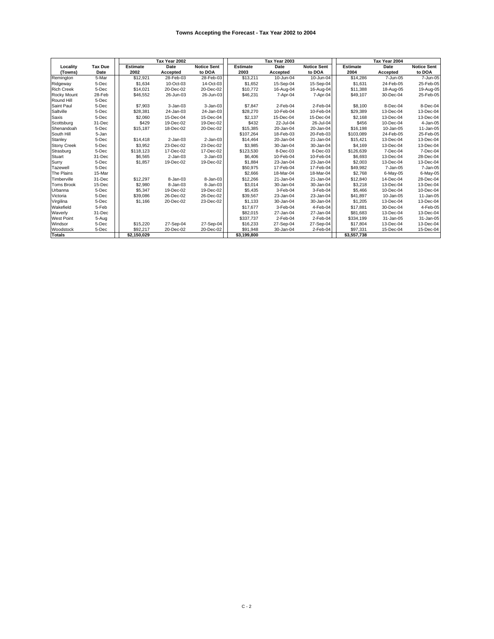|                    |                |                 | Tax Year 2002 |                    |                 | Tax Year 2003 |                    |                 | Tax Year 2004 |                    |
|--------------------|----------------|-----------------|---------------|--------------------|-----------------|---------------|--------------------|-----------------|---------------|--------------------|
| Locality           | <b>Tax Due</b> | <b>Estimate</b> | Date          | <b>Notice Sent</b> | <b>Estimate</b> | Date          | <b>Notice Sent</b> | <b>Estimate</b> | Date          | <b>Notice Sent</b> |
| (Towns)            | Date           | 2002            | Accepted      | to DOA             | 2003            | Accepted      | to DOA             | 2004            | Accepted      | to DOA             |
| Remington          | 5-Mar          | \$12,921        | 28-Feb-03     | 28-Feb-03          | \$13,211        | 10-Jun-04     | 10-Jun-04          | \$14,286        | 7-Jun-05      | 7-Jun-05           |
| Ridgeway           | 5-Dec          | \$1.634         | 10-Oct-03     | 14-Oct-03          | \$1.652         | 15-Sep-04     | 15-Sep-04          | \$1.631         | 24-Feb-05     | 25-Feb-05          |
| <b>Rich Creek</b>  | 5-Dec          | \$14,021        | 20-Dec-02     | 20-Dec-02          | \$10,772        | 16-Aug-04     | 16-Aug-04          | \$11,388        | 18-Aug-05     | 19-Aug-05          |
| Rocky Mount        | 28-Feb         | \$46,552        | 26-Jun-03     | 26-Jun-03          | \$46,231        | 7-Apr-04      | 7-Apr-04           | \$49,107        | 30-Dec-04     | 25-Feb-05          |
| Round Hill         | 5-Dec          |                 |               |                    |                 |               |                    |                 |               |                    |
| Saint Paul         | 5-Dec          | \$7,903         | $3 - Jan-03$  | 3-Jan-03           | \$7,847         | 2-Feb-04      | 2-Feb-04           | \$8,100         | 8-Dec-04      | 8-Dec-04           |
| Saltville          | 5-Dec          | \$28,381        | 24-Jan-03     | 24-Jan-03          | \$28,270        | 10-Feb-04     | 10-Feb-04          | \$29,389        | 13-Dec-04     | 13-Dec-04          |
| Saxis              | 5-Dec          | \$2,060         | 15-Dec-04     | 15-Dec-04          | \$2,137         | 15-Dec-04     | 15-Dec-04          | \$2,168         | 13-Dec-04     | 13-Dec-04          |
| Scottsburg         | 31-Dec         | \$429           | 19-Dec-02     | 19-Dec-02          | \$432           | 22-Jul-04     | 26-Jul-04          | \$456           | 10-Dec-04     | 4-Jan-05           |
| Shenandoah         | 5-Dec          | \$15,187        | 18-Dec-02     | 20-Dec-02          | \$15,385        | 20-Jan-04     | 20-Jan-04          | \$16,198        | 10-Jan-05     | 11-Jan-05          |
| South Hill         | 5-Jan          |                 |               |                    | \$107.264       | 18-Feb-03     | 20-Feb-03          | \$103.089       | 24-Feb-05     | 25-Feb-05          |
| Stanley            | 5-Dec          | \$14,418        | $2$ -Jan-03   | $2$ -Jan-03        | \$14,464        | 20-Jan-04     | 21-Jan-04          | \$15,421        | 13-Dec-04     | 13-Dec-04          |
| <b>Stony Creek</b> | 5-Dec          | \$3,952         | 23-Dec-02     | 23-Dec-02          | \$3,985         | 30-Jan-04     | 30-Jan-04          | \$4,169         | 13-Dec-04     | 13-Dec-04          |
| Strasburg          | 5-Dec          | \$118,123       | 17-Dec-02     | 17-Dec-02          | \$123,530       | 8-Dec-03      | 8-Dec-03           | \$126,639       | 7-Dec-04      | 7-Dec-04           |
| Stuart             | 31-Dec         | \$6,565         | $2$ -Jan-03   | 3-Jan-03           | \$6,406         | 10-Feb-04     | 10-Feb-04          | \$6,693         | 13-Dec-04     | 28-Dec-04          |
| Surry              | 5-Dec          | \$1,857         | 19-Dec-02     | 19-Dec-02          | \$1,884         | 23-Jan-04     | 23-Jan-04          | \$2,003         | 13-Dec-04     | 13-Dec-04          |
| Tazewell           | 5-Dec          |                 |               |                    | \$50,975        | 17-Feb-04     | 17-Feb-04          | \$49,982        | 7-Jan-05      | 7-Jan-05           |
| The Plains         | 15-Mar         |                 |               |                    | \$2,666         | 18-Mar-04     | 18-Mar-04          | \$2,768         | 6-May-05      | 6-May-05           |
| Timberville        | 31-Dec         | \$12,297        | 8-Jan-03      | 8-Jan-03           | \$12,266        | 21-Jan-04     | 21-Jan-04          | \$12,840        | 14-Dec-04     | 28-Dec-04          |
| <b>Toms Brook</b>  | 15-Dec         | \$2,980         | 8-Jan-03      | 8-Jan-03           | \$3,014         | 30-Jan-04     | 30-Jan-04          | \$3,218         | 13-Dec-04     | 13-Dec-04          |
| Urbanna            | 5-Dec          | \$5,347         | 19-Dec-02     | 19-Dec-02          | \$5,435         | 3-Feb-04      | 3-Feb-04           | \$5,466         | 10-Dec-04     | 10-Dec-04          |
| Victoria           | 5-Dec          | \$39.086        | 26-Dec-02     | 26-Dec-02          | \$39,567        | 23-Jan-04     | 23-Jan-04          | \$41,897        | 10-Jan-05     | 11-Jan-05          |
| Virgilina          | 5-Dec          | \$1,166         | 20-Dec-02     | 23-Dec-02          | \$1,133         | 30-Jan-04     | 30-Jan-04          | \$1,205         | 13-Dec-04     | 13-Dec-04          |
| Wakefield          | 5-Feb          |                 |               |                    | \$17,677        | 3-Feb-04      | 4-Feb-04           | \$17,881        | 30-Dec-04     | 4-Feb-05           |
| Waverly            | 31-Dec         |                 |               |                    | \$82,015        | 27-Jan-04     | 27-Jan-04          | \$81,683        | 13-Dec-04     | 13-Dec-04          |
| <b>West Point</b>  | 5-Aug          |                 |               |                    | \$337,737       | 2-Feb-04      | 2-Feb-04           | \$334,199       | 31-Jan-05     | 31-Jan-05          |
| Windsor            | 5-Dec          | \$15,220        | 27-Sep-04     | 27-Sep-04          | \$16,233        | 27-Sep-04     | 27-Sep-04          | \$17,804        | 13-Dec-04     | 13-Dec-04          |
| Woodstock          | 5-Dec          | \$92,217        | 20-Dec-02     | 20-Dec-02          | \$91,948        | 30-Jan-04     | 2-Feb-04           | \$97,331        | 15-Dec-04     | 15-Dec-04          |
| <b>Totals</b>      |                | \$2,150,029     |               |                    | \$3,199,800     |               |                    | \$3,557,738     |               |                    |